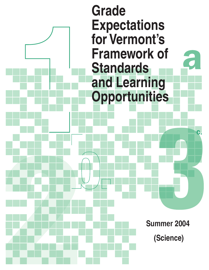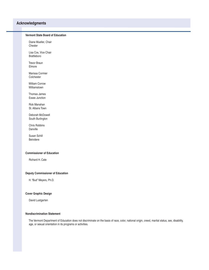# **Acknowledgments**

#### **Vermont State Board of Education**

 Diane Mueller, Chair Chester

 Lisa Cox, Vice Chair Brattleboro

 Trevor Braun Elmore

 Marissa Cormier **Colchester** 

 William Corrow Williamstown

 Thomas James Essex Junction

 Rick Manahan St. Albans Town

 Deborah McDowell South Burlington

 Chris Robbins Danville

 Susan Schill Belvidere

#### **Commissioner of Education**

Richard H. Cate

#### **Deputy Commissioner of Education**

H. "Bud" Meyers, Ph.D.

#### **Cover Graphic Design**

David Lustgarten

### **Nondiscrimination Statement**

 The Vermont Department of Education does not discriminate on the basis of race, color, national origin, creed, marital status, sex, disability, age, or sexual orientation in its programs or activities.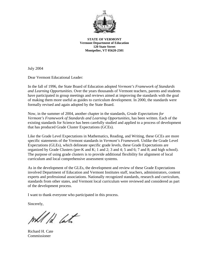

**STATE OF VERMONT Vermont Department of Education 120 State Street Montpelier, VT 05620-2501**

July 2004

Dear Vermont Educational Leader:

In the fall of 1996, the State Board of Education adopted *Vermont's Framework of Standards and Learning Opportunities*. Over the years thousands of Vermont teachers, parents and students have participated in group meetings and reviews aimed at improving the standards with the goal of making them more useful as guides to curriculum development. In 2000, the standards were formally revised and again adopted by the State Board.

Now, in the summer of 2004, another chapter in the standards, *Grade Expectations for Vermont's Framework of Standards and Learning Opportunities*, has been written. Each of the existing standards for Science has been carefully studied and applied to a process of development that has produced Grade Cluster Expectations (GCEs).

Like the Grade Level Expectations in Mathematics, Reading, and Writing, these GCEs are more specific statements of the Vermont standards in *Vermont's Framework*. Unlike the Grade Level Expectations (GLEs), which delineate specific grade levels, these Grade Expectations are organized by Grade Clusters (pre-K and K; 1 and 2; 3 and 4; 5 and 6; 7 and 8; and high school). The purpose of using grade clusters is to provide additional flexibility for alignment of local curriculum and local comprehensive assessment systems.

As in the development of the GLEs, the development and review of these Grade Expectations involved Department of Education and Vermont Institutes staff, teachers, administrators, content experts and professional associations. Nationally recognized standards, research and curriculum, standards from other states, and Vermont local curriculum were reviewed and considered as part of the development process.

I want to thank everyone who participated in this process.

Sincerely,

will ld late

Richard H. Cate Commissioner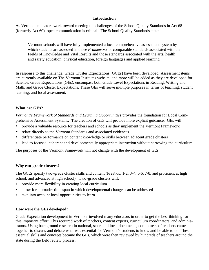# **Introduction**

As Vermont educators work toward meeting the challenges of the School Quality Standards in Act 68 (formerly Act 60), open communication is critical. The School Quality Standards state:

Vermont schools will have fully implemented a local comprehensive assessment system by which students are assessed in those *Framework* or comparable standards associated with the Fields of Knowledge and Vital Results and those standards associated with the arts, health and safety education, physical education, foreign languages and applied learning.

In response to this challenge, Grade Cluster Expectations (GCEs) have been developed. Assessment items are currently available on The Vermont Institutes website, and more will be added as they are developed for Science. Grade Expectations (GEs), encompass both Grade Level Expectations in Reading, Writing and Math, and Grade Cluster Expectations. These GEs will serve multiple purposes in terms of teaching, student learning, and local assessment.

# **What are GEs?**

*Vermont's Framework of Standards and Learning Opportunities* provides the foundation for Local Comprehensive Assessment Systems. The creation of GEs will provide more explicit guidance. GEs will:

- provide a valuable resource for teachers and schools as they implement the Vermont Framework
- relate directly to the Vermont Standards and associated evidences
- differentiate performance on content knowledge or skills between adjacent grade clusters
- lead to focused, coherent and developmentally appropriate instruction without narrowing the curriculum

The purposes of the Vermont Framework will not change with the development of GEs.

# **Why two-grade clusters?**

The GCEs specify two-grade cluster skills and content (PreK-K, 1-2, 3-4, 5-6, 7-8, and proficient at high school, and advanced at high school). Two-grade clusters will:

- provide more flexibility in creating local curriculum
- allow for a broader time span in which developmental changes can be addressed
- take into account local opportunities to learn

# **How were the GEs developed?**

Grade Expectation development in Vermont involved many educators in order to get the best thinking for this important effort. This required work of teachers, content experts, curriculum coordinators, and administrators. Using background research in national, state, and local documents, committees of teachers came together to discuss and debate what was essential for Vermont's students to know and be able to do. These essential skills and concepts became the GEs, which were then reviewed by hundreds of teachers around the state during the field review process.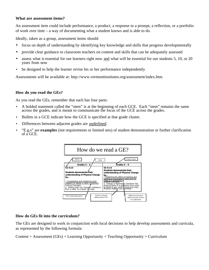# **What are assessment items?**

An assessment item could include performance, a product, a response to a prompt, a reflection, or a portfolio of work over time – a way of documenting what a student knows and is able to do.

Ideally, taken as a group, assessment items should:

- focus on depth of understanding by identifying key knowledge and skills that progress developmentally
- provide clear guidance to classroom teachers on content and skills that can be adequately assessed
- assess what is essential for our learners right now and what will be essential for our students 5, 10, or 20 years from now
- be designed to help the learner revise his or her performance independently

Assessments will be available at: http://www.vermontinstitutes.org/assessment/index.htm.

# **How do you read the GEs?**

As you read the GEs, remember that each has four parts:

- A bolded statement called the "stem" is at the beginning of each GCE. Each "stem" remains the same across the grades, and is meant to communicate the focus of the GCE across the grades.
- Bullets in a GCE indicate how the GCE is specified at that grade cluster.
- Differences between adjacent grades are underlined.
- "E.g.s" are **examples** (not requirements or limited sets) of student demonstration or further clarification of a GCE.



# **How do GEs fit into the curriculum?**

The GEs are designed to work in conjunction with local decisions to help develop assessments and curricula, as represented by the following formula:

Content + Assessment (GEs) + Learning Opportunity + Teaching Opportunity = Curriculum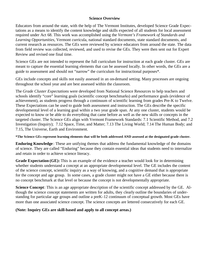# **Science Overview**

Educators from around the state, with the help of The Vermont Institutes, developed Science Grade Expectations as a means to identify the content knowledge and skills expected of all students for local assessment required under Act 68. This work was accomplished using the *Vermont's Framework of Standards and Learning Opportunities*, Vermont curricula, national standard documents, state standard documents, and current research as resources. The GEs were reviewed by science educators from around the state. The data from field review was collected, reviewed, and used to revise the GEs. They were then sent out for Expert Review and revised one final time.

Science GEs are not intended to represent the full curriculum for instruction at each grade cluster. GEs are meant to capture the essential learning elements that can be assessed locally. In other words, the GEs are a guide to assessment and should not "narrow" the curriculum for instructional purposes\*.

GEs include concepts and skills not easily assessed in an on-demand setting. Many processes are ongoing throughout the school year and are best assessed within the classroom.

The *Grade Cluster Expectations* were developed from National Science Resources to help teachers and schools identify "core" learning goals (scientific concept benchmarks) and performance goals (evidence of achievement), as students progress through a continuum of scientific learning from grades Pre-K to Twelve. These Expectations can be used to guide both assessment and instruction. The GEs describe the specific developmental level of a learning goal within a two year grade span. At any one cluster, students would be expected to know or be able to do everything that came before as well as the new skills or concepts in the targeted cluster. The Science GEs align with Vermont Framework Standards: 7.1 Scientific Method, and 7.2 Investigation (Inquiry); 7.12 Space, Time, and Matter; 7.13 The Living World; 7.14 The Human Body; and 7.15, The Universe, Earth and Environment.

**\*The Science GEs represent learning elements that will be both addressed AND assessed at the designated grade cluster.** 

**Enduring Knowledge** : These are unifying themes that address the fundamental knowledge of the domains of science. They are called "Enduring" because they contain essential ideas that students need to internalize and retain in order to achieve science literacy.

**Grade Expectation (GE):** This is an example of the evidence a teacher would look for in determining whether students understand a concept at an appropriate developmental level. The GE includes the content of the science concept, scientific inquiry as a way of knowing, and a cognitive demand that is appropriate for the concept and age group. In some cases, a grade cluster might not have a GE either because there is no concept benchmark at that level or because the concept is not developmentally appropriate.

**Science Concept**: This is an age appropriate description of the scientific concept addressed by the GE. Although the science concept statements are written for adults, they clearly outline the boundaries of understanding for particular age groups and outline a preK-12 continuum of conceptual growth. Most GEs have more than one associated science concept. The science concepts are lettered consecutively for each GE.

# **(Note: Inquiry GEs are skill-based and apply to all concept areas.)**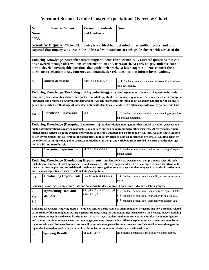| ${\bf G}{\bf E}$<br>Num-                                                                                                                                                                                                                                                                                                                                                                                                                                                                                                                                                                                                                                                                                                                                                                 | <b>Science Content</b>                          | <b>Vermont Standards</b><br>and Evidences | <b>Stem</b>                                                                                                                                                                                                                    |  |
|------------------------------------------------------------------------------------------------------------------------------------------------------------------------------------------------------------------------------------------------------------------------------------------------------------------------------------------------------------------------------------------------------------------------------------------------------------------------------------------------------------------------------------------------------------------------------------------------------------------------------------------------------------------------------------------------------------------------------------------------------------------------------------------|-------------------------------------------------|-------------------------------------------|--------------------------------------------------------------------------------------------------------------------------------------------------------------------------------------------------------------------------------|--|
| ber(s)                                                                                                                                                                                                                                                                                                                                                                                                                                                                                                                                                                                                                                                                                                                                                                                   |                                                 |                                           |                                                                                                                                                                                                                                |  |
|                                                                                                                                                                                                                                                                                                                                                                                                                                                                                                                                                                                                                                                                                                                                                                                          |                                                 |                                           | <b>Scientific Inquiry:</b> *Scientific Inquiry is a critical habit of mind for scientific literacy, and it is<br>expected that Inquiry GEs (S:1-8) be addressed with students of each grade cluster with EACH of the           |  |
| Enduring Knowledge (Scientific Questioning): Students raise scientifically oriented questions that can<br>be answered through observations, experimentation and/or research. At early stages, students learn<br>how to develop investigable questions that guide their work. At later stages, students connect their<br>questions to scientific ideas, concepts, and quantitative relationships that inform investigations.                                                                                                                                                                                                                                                                                                                                                              |                                                 |                                           |                                                                                                                                                                                                                                |  |
| S:1                                                                                                                                                                                                                                                                                                                                                                                                                                                                                                                                                                                                                                                                                                                                                                                      | <b>Scientific Questioning</b>                   | 7.1a; 2.1 a, b, c, d, e                   | S:1 Students demonstrate their understanding of scien-<br>tific questioning.                                                                                                                                                   |  |
| Enduring Knowledge (Predicting and Hypothesizing): Scientists' explanations about what happens in the world<br>come partly from what they observe and partly from what they think. Preliminary explanations are constructed with conceptual<br>knowledge and propose a new level of understanding. At early stages, students think about what may happen during an investi-<br>gation and justify their thinking. At later stages, students identify cause and effect relationships within an hypothesis and base                                                                                                                                                                                                                                                                        |                                                 |                                           |                                                                                                                                                                                                                                |  |
| S:2                                                                                                                                                                                                                                                                                                                                                                                                                                                                                                                                                                                                                                                                                                                                                                                      | Predicting & Hypothesizing                      | 7.1 b                                     | S:2 Students demonstrate their understanding of predict-<br>ing and hypothesizing.                                                                                                                                             |  |
| Enduring Knowledge (Designing Experiments): Students design investigations that control variables, generate ade-<br>quate data/observations to provide reasonable explanations and can be reproduced by other scientists. At early stages, experi-<br>mental design reflects what the experimenter will do to answer a question and ensure that a test is fair. At later stages, students<br>design investigations that will produce the appropriate kinds of evidence to support or refute an hypothesis. Multiple trials or<br>the collection of multiple data points are incorporated into the design and variables are controlled to ensure that the investiga-<br>tion is valid and reproducible.                                                                                   |                                                 |                                           |                                                                                                                                                                                                                                |  |
| S:3                                                                                                                                                                                                                                                                                                                                                                                                                                                                                                                                                                                                                                                                                                                                                                                      | <b>Designing Experiments</b>                    | 7.1 c; 7.2 a; b; 2.2 a, b                 | S:3 Students demonstrate their understanding of experi-<br>mental design.                                                                                                                                                      |  |
| Enduring Knowledge (Conducting Experiments): Students follow an experimental design and use scientific tools<br>(including measurement tools) appropriately and accurately. At early stages, students are encouraged to pay close attention to<br>their experimental plan and record data throughout an investigation. At later stages, students engage in extended investigations<br>and use more sophisticated science tools including computers .                                                                                                                                                                                                                                                                                                                                     |                                                 |                                           |                                                                                                                                                                                                                                |  |
| S:4                                                                                                                                                                                                                                                                                                                                                                                                                                                                                                                                                                                                                                                                                                                                                                                      | <b>Conducting Experiments</b>                   | 7.1 c; 7.2 c, d; 2.2 e, f, g              | S:4 Students demonstrate their ability to conduct experi-<br>ments                                                                                                                                                             |  |
|                                                                                                                                                                                                                                                                                                                                                                                                                                                                                                                                                                                                                                                                                                                                                                                          |                                                 |                                           | Enduring Knowledge (Representing Data and Analysis): Students represent data using text, charts, tables, graphs.                                                                                                               |  |
| S:5<br>S:6<br>S:7                                                                                                                                                                                                                                                                                                                                                                                                                                                                                                                                                                                                                                                                                                                                                                        | <b>Representing Data and</b><br><b>Analysis</b> | 1.20; 2.2 c, d                            | 7.1 c, d, e, f, g; 1.17 a, b, c, d; $\mathbf{S:}5$ Students demonstrate their ability to represent data.<br>S:6 Students demonstrate their ability to analyze data.<br>S:7 Students demonstrate their ability to explain data. |  |
| Enduring Knowledge (Applying Results): Students synthesize the results of an investigation by generating new questions related<br>to the results of the investigation stating a general rule regarding the understandings learned from the investigation, or applying<br>the understandings learned to similar situations. At early stages, students make connections between classroom investigations<br>and similar situations or experiences. At later stages, students recognize that different explanations can sometimes arise from<br>the same evidence. Students demonstrate an ability to resist overgeneralizations based on insufficient evidence and suggest the<br>types of evidence that need to be gathered in order to better understand the focus of the investigation. |                                                 |                                           |                                                                                                                                                                                                                                |  |
| S:8                                                                                                                                                                                                                                                                                                                                                                                                                                                                                                                                                                                                                                                                                                                                                                                      | <b>Applying Results</b>                         | 7.1 g, h; 7.2 e, h                        | S:8 Students demonstrate their ability to apply results.                                                                                                                                                                       |  |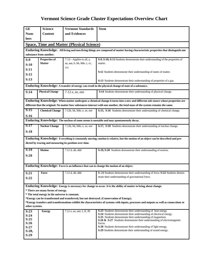| <b>GE</b>                                                                                                                                                   | <b>Science</b>                                  | <b>Vermont Standards</b>                                | <b>Stem</b>                                                                                                                                   |  |
|-------------------------------------------------------------------------------------------------------------------------------------------------------------|-------------------------------------------------|---------------------------------------------------------|-----------------------------------------------------------------------------------------------------------------------------------------------|--|
| Num-                                                                                                                                                        | <b>Content</b>                                  | and Evidences                                           |                                                                                                                                               |  |
| bers                                                                                                                                                        |                                                 |                                                         |                                                                                                                                               |  |
|                                                                                                                                                             |                                                 | <b>Space, Time and Matter (Physical Science)</b>        |                                                                                                                                               |  |
|                                                                                                                                                             |                                                 |                                                         | Enduring Knowledge: All living and non-living things are composed of matter having characteristic properties that distinguish one             |  |
|                                                                                                                                                             | substance from another.                         |                                                         |                                                                                                                                               |  |
| S:9                                                                                                                                                         | Properties of                                   | 7.12-Applies to all, a,                                 | S:9, S:10, S:11 Students demonstrate their understanding of the properties of                                                                 |  |
| S:10                                                                                                                                                        | <b>Matter</b>                                   | aa, aaa, b, bb, bbb, c, cc,                             | matter.                                                                                                                                       |  |
| S:11                                                                                                                                                        |                                                 | ccc                                                     |                                                                                                                                               |  |
| S:12                                                                                                                                                        |                                                 |                                                         | S:12 Students demonstrate their understanding of states of matter.                                                                            |  |
| S:13                                                                                                                                                        |                                                 |                                                         | S:13 Students demonstrate their understanding of properties of a gas.                                                                         |  |
|                                                                                                                                                             |                                                 |                                                         | Enduring Knowledge: A transfer of energy can result in the physical change of state of a substance.                                           |  |
| S:14                                                                                                                                                        | <b>Physical Change</b>                          | 7.12 e, ee, eee                                         | S:14 Students demonstrate their understanding of physical change.                                                                             |  |
|                                                                                                                                                             |                                                 |                                                         |                                                                                                                                               |  |
|                                                                                                                                                             |                                                 |                                                         | Enduring Knowledge: When matter undergoes a chemical change it turns into a new and different sub stance whose properties are                 |  |
|                                                                                                                                                             |                                                 |                                                         | different that the original. No matter how substances interact with one another, the total mass of the system remains the same.               |  |
| S:15                                                                                                                                                        | <b>Chemical Change</b>                          | 7.12b, bb, bbb; e, ee, eee                              | S:15, S:16 Students demonstrate their understanding of chemical change.                                                                       |  |
| S:16                                                                                                                                                        |                                                 |                                                         |                                                                                                                                               |  |
|                                                                                                                                                             |                                                 |                                                         | Enduring Knowledge: The nucleus of some atoms is unstable and may spontaneously decay.                                                        |  |
| S:17                                                                                                                                                        | <b>Nuclear Change</b>                           | $7.12b$ , bb, bbb; e, ee, eee                           | S:17, S:18 Students demonstrate their understanding of nuclear change.                                                                        |  |
| S:18                                                                                                                                                        |                                                 |                                                         |                                                                                                                                               |  |
|                                                                                                                                                             |                                                 |                                                         | Enduring Knowledge: Everything is constantly moving; motion is relative, but the motion of an object can be described and pre-                |  |
|                                                                                                                                                             |                                                 | dicted by tracing and measuring its position over time. |                                                                                                                                               |  |
| S:19                                                                                                                                                        | <b>Motion</b>                                   | 7.12 d, dd, ddd                                         | S:19, S:20 Students demonstrate their understanding of motion.                                                                                |  |
| S:20                                                                                                                                                        |                                                 |                                                         |                                                                                                                                               |  |
|                                                                                                                                                             |                                                 |                                                         |                                                                                                                                               |  |
|                                                                                                                                                             |                                                 |                                                         | Enduring Knowledge: Force is an influence that can to change the motion of an object.                                                         |  |
|                                                                                                                                                             |                                                 |                                                         |                                                                                                                                               |  |
| S:21                                                                                                                                                        | Force                                           | 7.12 d, dd, ddd                                         | S: 21 Students demonstrate their understanding of force. S:22 Students demon-                                                                 |  |
| S:22                                                                                                                                                        |                                                 |                                                         | strate their understanding of gravitational force.                                                                                            |  |
|                                                                                                                                                             |                                                 |                                                         | Enduring Knowledge: Energy is necessary for change to occur. It is the ability of matter to bring about change.                               |  |
|                                                                                                                                                             | * There are many forms of energy.               |                                                         |                                                                                                                                               |  |
|                                                                                                                                                             | * The total energy in the universe is constant. |                                                         |                                                                                                                                               |  |
| *Energy can be transformed and transferred, but not destroyed. (Conservation of Energy).                                                                    |                                                 |                                                         |                                                                                                                                               |  |
| *Energy transfers and transformations exhibit the characteristics of systems with inputs, processes and outputs as well as connections to<br>other systems. |                                                 |                                                         |                                                                                                                                               |  |
| S:23                                                                                                                                                        | <b>Energy</b>                                   | $7.12$ e, ee, eee; f, ff, fff                           | <b>S:23</b> Students demonstrate their understanding of heat energy.                                                                          |  |
| S:24                                                                                                                                                        |                                                 |                                                         | S:24 Students demonstrate their understanding of electrical energy.                                                                           |  |
| S:25                                                                                                                                                        |                                                 |                                                         | <b>S:25</b> Students demonstrate their understanding of magnetism.<br>S:26 & S:27 Students demonstrate their understanding of electromagnetic |  |
| S:26                                                                                                                                                        |                                                 |                                                         | forces.                                                                                                                                       |  |
| S:27                                                                                                                                                        |                                                 |                                                         | S:28 Students demonstrate their understanding of light energy.<br>S:29 Students demonstrate their understanding of sound energy.              |  |
| S:28,<br>S:29                                                                                                                                               |                                                 |                                                         |                                                                                                                                               |  |
|                                                                                                                                                             |                                                 |                                                         |                                                                                                                                               |  |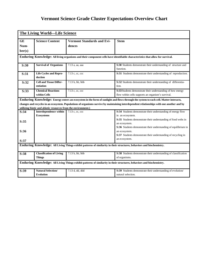| The Living World—Life Science                                                                                         |                                                               |                                   |                                                                                                                                            |  |
|-----------------------------------------------------------------------------------------------------------------------|---------------------------------------------------------------|-----------------------------------|--------------------------------------------------------------------------------------------------------------------------------------------|--|
| <b>GE</b>                                                                                                             | <b>Science Content</b>                                        | <b>Vermont Standards and Evi-</b> | <b>Stem</b>                                                                                                                                |  |
| Num-                                                                                                                  |                                                               | dences                            |                                                                                                                                            |  |
| ber(s)                                                                                                                |                                                               |                                   |                                                                                                                                            |  |
|                                                                                                                       |                                                               |                                   |                                                                                                                                            |  |
|                                                                                                                       |                                                               |                                   | Enduring Knowledge: All living organisms and their component cells have identifiable characteristics that allow for survival.              |  |
| S:30                                                                                                                  | <b>Survival of Organisms</b>                                  | 7.13 a, aa, aaa                   | S:30 Students demonstrate their understanding of structure and                                                                             |  |
|                                                                                                                       |                                                               |                                   | function.                                                                                                                                  |  |
| S:31                                                                                                                  | <b>Life Cycles and Repro-</b><br>duction                      | 7.13 c, cc, ccc                   | S:31 Students demonstrate their understanding of reproduction.                                                                             |  |
| S:32                                                                                                                  | <b>Cell and Tissue Differ-</b>                                | 7.13 b, bb, bbb                   | S:32 Students demonstrate their understanding of differentia-                                                                              |  |
|                                                                                                                       | entiation                                                     |                                   | tion.                                                                                                                                      |  |
| S:33                                                                                                                  | <b>Chemical Reactions</b>                                     | 7.13 c, cc, ccc                   | S:33 Students demonstrate their understanding of how energy                                                                                |  |
|                                                                                                                       | within Cells                                                  |                                   | flow within cells supports an organism's survival.                                                                                         |  |
|                                                                                                                       |                                                               |                                   | Enduring Knowledge: Energy enters an ecosystem in the form of sunlight and flows through the system to each cell. Matter interacts,        |  |
|                                                                                                                       |                                                               |                                   | changes and recycles in an ecosystem. Populations of organisms survive by maintaining interdependent relationships with one another and by |  |
|                                                                                                                       | utilizing biotic and abiotic resources from the environment.) |                                   |                                                                                                                                            |  |
| S:34                                                                                                                  | Interdependence within                                        | 7.13 c, cc, ccc                   | S:34 Students demonstrate their understanding of energy flow                                                                               |  |
|                                                                                                                       | <b>Ecosystems</b>                                             |                                   | in an ecosystem.                                                                                                                           |  |
| S:35                                                                                                                  |                                                               |                                   | S:35 Students demonstrate their understanding of food webs in                                                                              |  |
|                                                                                                                       |                                                               |                                   | an ecosystem.                                                                                                                              |  |
|                                                                                                                       |                                                               |                                   | S:36 Students demonstrate their understanding of equilibrium in                                                                            |  |
| S:36                                                                                                                  |                                                               |                                   | an ecosystem.                                                                                                                              |  |
|                                                                                                                       |                                                               |                                   | S:37 Students demonstrate their understanding of recycling in                                                                              |  |
| S:37                                                                                                                  |                                                               |                                   | an ecosystem.                                                                                                                              |  |
|                                                                                                                       |                                                               |                                   | Enduring Knowledge: All Living Things exhibit patterns of similarity in their structures, behaviors and biochemistry.                      |  |
|                                                                                                                       |                                                               |                                   |                                                                                                                                            |  |
| S:38                                                                                                                  | <b>Classification of Living</b>                               | 7.13 b, bb, bbb                   | S:38 Students demonstrate their understanding of classification                                                                            |  |
|                                                                                                                       | <b>Things</b>                                                 |                                   | of organisms.                                                                                                                              |  |
| Enduring Knowledge: All Living Things exhibit patterns of similarity in their structures, behaviors and biochemistry. |                                                               |                                   |                                                                                                                                            |  |
| S:39                                                                                                                  | <b>Natural Selection/</b>                                     | 7.13 d, dd, ddd                   | S:39 Students demonstrate their understanding of evolution/                                                                                |  |
|                                                                                                                       | <b>Evolution</b>                                              |                                   | natural selection.                                                                                                                         |  |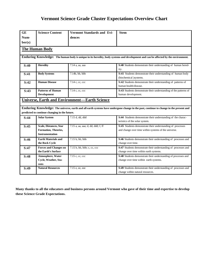| <b>GE</b>      | <b>Science Content</b>                                                   | Vermont Standards and Evi-                           | <b>Stem</b>                                                                                                                            |  |  |
|----------------|--------------------------------------------------------------------------|------------------------------------------------------|----------------------------------------------------------------------------------------------------------------------------------------|--|--|
| Num-<br>ber(s) |                                                                          | dences                                               |                                                                                                                                        |  |  |
|                | <b>The Human Body</b>                                                    |                                                      |                                                                                                                                        |  |  |
|                |                                                                          |                                                      | Enduring Knowledge: The human body is unique in its heredity, body systems and development and can be affected by the environment.     |  |  |
| S:40           | <b>Heredity</b>                                                          | 7.14 a, aa, aaa                                      | S:40 Students demonstrate their understanding of human hered-<br>ity.                                                                  |  |  |
| S:41           | <b>Body Systems</b>                                                      | 7.14b, bb, bbb                                       | S:41 Students demonstrate their understanding of human body<br>(biochemical )systems.                                                  |  |  |
| S:42           | <b>Human Disease</b>                                                     | 7.14 c, cc, ccc                                      | S:42 Students demonstrate their understanding of patterns of<br>human health/disease.                                                  |  |  |
| S:43           | <b>Patterns of Human</b><br><b>Development</b>                           | 7.14 c, cc, ccc                                      | S:43 Students demonstrate their understanding of the patterns of<br>human development.                                                 |  |  |
|                |                                                                          | <b>Universe, Earth and Environment—Earth Science</b> |                                                                                                                                        |  |  |
|                | predicted to continue changing in the future.                            |                                                      | Enduring Knowledge: The universe, earth and all earth systems have undergone change in the past, continue to change in the present and |  |  |
| S:44           | <b>Solar System</b>                                                      | 7.15 d, dd, ddd                                      | S:44 Students demonstrate their understanding of the charac-<br>teristics of the solar system.                                         |  |  |
| S:45           | Scale, Distances, Star<br>Formation, Theories,<br><b>Instrumentation</b> | 7.15 a, aa, aaa; d, dd, ddd; f, ff                   | S:45 Students demonstrate their understanding of processes<br>and change over time within systems of the universe.                     |  |  |
| S:46           | <b>Earth Materials and</b><br>the Rock Cycle                             | 7.15 b, bb, bbb                                      | S:46 Students demonstrate their understanding of processes and<br>change over time.                                                    |  |  |
| S:47           | <b>Forces and Changes on</b><br>the Earth's Surface                      | 7.15 b, bb, bbb; c, cc, ccc                          | S:47 Students demonstrate their understanding of processes and<br>change over time within earth systems.                               |  |  |
| S:48           | Atmosphere, Water<br>Cycle, Weather, Sea-<br>sons                        | 7.15 c, cc, ccc                                      | S:48 Students demonstrate their understanding of processes and<br>change over time within earth systems.                               |  |  |
| S:49           | <b>Natural Resources</b>                                                 | 7.15 e, ee, eee                                      | S:49 Students demonstrate their understanding of processes and<br>change within natural resources.                                     |  |  |

**Many thanks to all the educators and business persons around Vermont who gave of their time and expertise to develop these Science Grade Expectations.**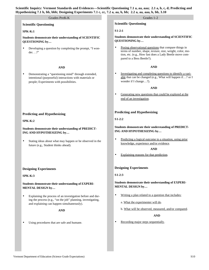### **Scientific Questioning**

#### **SPK-K:1**

**Students demonstrate their understanding of SCIENTIFIC QUESTIONING by…**

• Developing a question by completing the prompt, "I wonder. . .?"

#### **AND**

• Demonstrating a "questioning mind" through extended, intentional (purposeful) interactions with materials or people; Experiments with possibilities.

#### **Predicting and Hypothesizing**

#### **SPK-K:2**

**Students demonstrate their understanding of PREDICT-ING AND HYPOTHESIZING by…**

Stating ideas about what may happen or be observed in the future (e.g., Student thinks ahead).

#### **Designing Experiments**

#### **SPK-K:3**

**Students demonstrate their understanding of EXPERI-MENTAL DESIGN by…**

Explaining the process of an investigation before and during the process (e.g., "on the job" planning, investigating, and explaining can happen simultaneously).

#### **AND**

Using procedures that are safe and humane.

#### Grades PreK-K Grades 1-2

**Scientific Questioning**

#### **S1-2:1**

**Students demonstrate their understanding of SCIENTIFIC QUESTIONING by…**

• Posing observational questions that compare things in terms of number, shape, texture, size, weight, color, motion, etc. (e.g., How fast does a Lady Beetle move compared to a Bess Beetle?).

#### **AND**

• Investigating and completing questions to identify a variable that can be changed (e.g., What will happen if…? or I wonder if I change…?).

#### **AND**

• Generating new questions that could be explored at the end of an investigation.

#### **Predicting and Hypothesizing**

**S1-2:2**

#### **Students demonstrate their understanding of PREDICT-ING AND HYPOTHESIZING by…**

• Predicting a logical outcome to a situation, using prior knowledge, experience and/or evidence.

#### **AND**

• Explaining reasons for that prediction.

#### **Designing Experiments**

**S1-2:3**

**Students demonstrate their understanding of EXPERI-MENTAL DESIGN by…**

- Writing a plan related to a question that includes:
	- a. What the experimenter will do.
	- b. What will be observed, measured, and/or compared.

#### **AND**

• Recording major steps sequentially.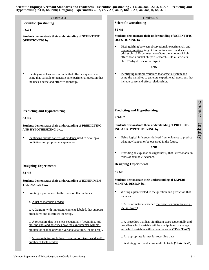| Grades 3-4<br><b>Scientific Questioning</b>                                                                                                                                                  | Grades 5-6<br><b>Scientific Questioning</b>                                                                                                                                                                                                                                                                                                                |
|----------------------------------------------------------------------------------------------------------------------------------------------------------------------------------------------|------------------------------------------------------------------------------------------------------------------------------------------------------------------------------------------------------------------------------------------------------------------------------------------------------------------------------------------------------------|
|                                                                                                                                                                                              | $S5-6:1$                                                                                                                                                                                                                                                                                                                                                   |
| $S3-4:1$<br>Students demonstrate their understanding of SCIENTIFIC<br>QUESTIONING by                                                                                                         | Students demonstrate their understanding of SCIENTIFIC<br>QUESTIONING by<br>Distinguishing between observational, experimental, and<br>$\bullet$<br>research questions (e.g., Observational-How does a<br>cricket chirp? Experimental-Does the amount of light<br>affect how a cricket chirps? Research-Do all crickets<br>chirp? Why do crickets chirp?). |
| Identifying at least one variable that affects a system and<br>$\bullet$<br>using that variable to generate an experimental question that<br>includes a cause and effect relationship.       | <b>AND</b><br>Identifying multiple variables that affect a system and<br>$\bullet$<br>using the variables to generate experimental questions that<br>include cause and effect relationships.                                                                                                                                                               |
| <b>Predicting and Hypothesizing</b>                                                                                                                                                          | <b>Predicting and Hypothesizing</b>                                                                                                                                                                                                                                                                                                                        |
| $S3-4:2$                                                                                                                                                                                     | $S$ 5-6: 2                                                                                                                                                                                                                                                                                                                                                 |
| <b>Students demonstrate their understanding of PREDICTING</b><br>AND HYPOTHESIZING by                                                                                                        | Students demonstrate their understanding of PREDICT-<br>ING AND HYPOTHESIZING by                                                                                                                                                                                                                                                                           |
| Identifying simple patterns of evidence used to develop a<br>$\bullet$<br>prediction and propose an explanation.                                                                             | Using logical inferences derived from evidence to predict<br>$\bullet$<br>what may happen or be observed in the future.<br><b>AND</b><br>Providing an explanation (hypothesis) that is reasonable in<br>$\bullet$<br>terms of available evidence.                                                                                                          |
| <b>Designing Experiments</b>                                                                                                                                                                 | <b>Designing Experiments</b>                                                                                                                                                                                                                                                                                                                               |
| S3-4:3                                                                                                                                                                                       | $S5-6:3$                                                                                                                                                                                                                                                                                                                                                   |
| <b>Students demonstrate their understanding of EXPERIMEN-</b><br>TAL DESIGN by                                                                                                               | Students demonstrate their understanding of EXPERI-<br>MENTAL DESIGN by                                                                                                                                                                                                                                                                                    |
| Writing a plan related to the question that includes:<br>$\bullet$                                                                                                                           | Writing a plan related to the question and prediction that<br>$\bullet$<br>includes:                                                                                                                                                                                                                                                                       |
| a. A list of materials needed.<br>b. A diagram, with important elements labeled, that supports<br>procedures and illustrates the setup.                                                      | a. A list of materials needed that specifies quantities (e.g.,<br>$250$ ml water).                                                                                                                                                                                                                                                                         |
| c. A procedure that lists steps sequentially (beginning, mid-<br>dle, and end) and describes how the experimenter will ma-<br>nipulate or change only one variable at a time. ("Fair Test"). | b. A procedure that lists significant steps sequentially and<br>describes which variable will be manipulated or changed<br>and which variables will remain the same ("Fair Test").                                                                                                                                                                         |
| d. Appropriate timing between observations (intervals) and/or<br>number of trials needed.                                                                                                    | c. An appropriate format for recording data,<br>d. A strategy for conducting multiple trials ("Fair Test").                                                                                                                                                                                                                                                |
|                                                                                                                                                                                              |                                                                                                                                                                                                                                                                                                                                                            |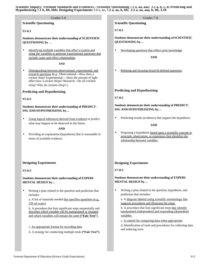**Scientific Questioning**

#### **S5-6:1**

**Students demonstrate their understanding of SCIENTIFIC QUESTIONING by** …

Identifying multiple variables that affect a system and using the variables to generate experimental questions that include cause and effect relationships.

**AND**

Distinguishing between observational, experimental, and research questions **(**e.g., Observational—How does a cricket chirp? Experimental—-Does the amount of light affect how a cricket chirps? Research—Do all crickets chirp? Why do crickets chirp? ).

#### **Predicting and Hypothesizing**

#### **S5-6:2**

**Students demonstrate their understanding of PREDICT-ING AND HYPOTHESIZING by…**

Using logical inferences derived from evidence to predict what may happen or be observed in the future.

#### **AND**

• Providing an explanation (hypothesis) that is reasonable in terms of available evidence.

#### **Designing Experiments**

**S5-6:3**

**Students demonstrate their understanding of EXPERI-MENTAL DESIGN by…**

• Writing a plan related to the question and prediction that includes:

a. A list of materials needed that specifies quantities (e.g., 250 ml water).

b. A procedure that lists significant steps sequentially and describes which variable will be manipulated or changed and which variables will remain the same **("Fair Test"**).

- c. An appropriate format for recording data.
- d. A strategy for conducting multiple trials **("Fair Test")**.

Grades 5-6 Grades 7-8

**Scientific Questioning**

**S7-8:1**

**Students demonstrate their understanding of SCIENTIFIC QUESTIONING by…**

• Developing questions that reflect prior knowledge.

**AND**

• Refining and focusing broad ill-defined questions.

#### **Predicting and Hypothesizing**

**S7-8:2**

#### **Students demonstrate their understanding of PREDICT-ING AND HYPOTHESIZING by…**

• Predicting results (evidence) that support the hypothesis.

#### **AND**

• Proposing a hypothesis based upon a scientific concept or principle, observation, or experience that identifies the relationship between variables.

#### **Designing Experiments**

**S7-8:3**

#### **Students demonstrate their understanding of EXPERI-MENTAL DESIGN by…**

• Writing a plan related to the question, hypothesis, and prediction that includes:

a. A diagram labeled using scientific terminology that supports procedures and illustrates the setup .

b. A procedure that lists significant steps that identify manipulated (independent) and responding (dependent) variables.

c. A control for comparing data when appropriate.

d. Identification of tools and procedures for collecting data and reducing error.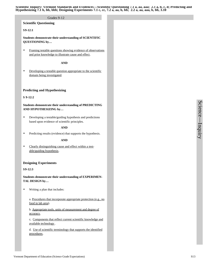#### Grades 9-12

#### **Scientific Questioning**

#### **S9-12:1**

**Students demonstrate their understanding of SCIENTIFIC QUESTIONING by…**

• Framing testable questions showing evidence of observations and prior knowledge to illustrate cause and effect.

#### **AND**

• Developing a testable question appropriate to the scientific domain being investigated.

#### **Predicting and Hypothesizing**

#### **S 9-12:2**

**Students demonstrate their understanding of PREDICTING AND HYPOTHESIZING by…**

• Developing a testable/guiding hypothesis and predictions based upon evidence of scientific principles.

#### **AND**

• Predicting results (evidence) that supports the hypothesis.

#### **AND**

• Clearly distinguishing cause and effect within a testable/guiding hypothesis.

#### **Designing Experiments**

**S9-12:3**

**Students demonstrate their understanding of EXPERIMEN-TAL DESIGN by…**

• Writing a plan that includes:

a. Procedures that incorporate appropriate protection (e.g., no food in lab area).

b. Appropriate tools, units of measurement and degree of accuracy.

c**.** Components that reflect current scientific knowledge and available technology .

d. Use of scientific terminology that supports the identified procedures.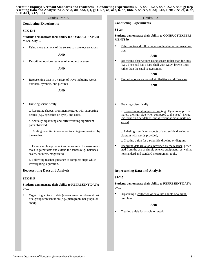# **Conducting Experiments**

#### **SPK-K:4**

**Students demonstrate their ability to CONDUCT EXPERI-MENTS by…**

• Using more than one of the senses to make observations.

#### **AND**

• Describing obvious features of an object or event.

#### **AND**

• Representing data in a variety of ways including words, numbers, symbols, and pictures

**AND**

• Drawing scientifically:

a. Recording shapes, prominent features with supporting details (e.g., eyelashes on eyes), and color.

b. Spatially organizing and differentiating significant parts observed.

c. Adding essential information to a diagram provided by the teacher.

d. Using simple equipment and nonstandard measurement tools to gather data and extend the senses (e.g., balances, scales, counters, magnifiers).

e. Following teacher guidance to complete steps while investigating a question.

#### **Representing Data and Analysis**

#### **SPK-K:5**

**Students demonstrate their ability to REPRESENT DATA by…**

• Organizing a piece of data (measurement or observation) or a group representation (e.g., pictograph, bar graph, or chart).

Grades PreK-K Grades 1-2

#### **Conducting Experiments**

#### **S1-2:4**

**Students demonstrate their ability to CONDUCT EXPERI-MENTS by…**

• Referring to and following a simple plan for an investigation.

#### **AND**

• Describing observations using senses rather than feelings (e.g., The snail has a hard shell with wavy, brown lines, rather than the snail is awesome).

#### **AND**

Recording observations of similarities and differences.

#### **AND**

• Drawing scientifically:

a. Recording relative proportion (e.g., Eyes are approximately the right size when compared to the head) including focus on finer details, and differentiating all parts observed.

b. Labeling significant aspects of a scientific drawing or diagram with words provided,

c. Creating a title for a scientific drawing or diagram.

• Recording data (in a table provided by the teacher) generated from the use of simple science equipment , as well as nonstandard and standard measurement tools.

#### **Representing Data and Analysis**

**S1-2:5**

**Students demonstrate their ability to REPRESENT DATA by…**

• Organizing a collection of data into a table or a graph template.

#### **AND**

• Creating a title for a table or graph.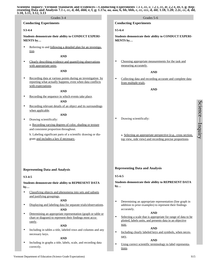|                                                                   | 10, 3.11, 3.12, 3.13<br>Grades 3-4                                                                                                                | Grades 5-6                                                                                                                                                   |
|-------------------------------------------------------------------|---------------------------------------------------------------------------------------------------------------------------------------------------|--------------------------------------------------------------------------------------------------------------------------------------------------------------|
|                                                                   | <b>Conducting Experiments</b>                                                                                                                     | <b>Conducting Experiments</b>                                                                                                                                |
|                                                                   |                                                                                                                                                   |                                                                                                                                                              |
|                                                                   | $S3-4:4$                                                                                                                                          | $S5-6:4$                                                                                                                                                     |
| Students demonstrate their ability to CONDUCT EXPERI-<br>MENTS by |                                                                                                                                                   | Students demonstrate their ability to CONDUCT EXPERI-<br>MENTS by                                                                                            |
|                                                                   | Referring to and following a detailed plan for an investiga-<br>tion.<br><b>AND</b>                                                               |                                                                                                                                                              |
|                                                                   | Clearly describing evidence and quantifying observations<br>with appropriate units.                                                               | Choosing appropriate measurements for the task and<br>$\bullet$<br>measuring accurately.                                                                     |
|                                                                   | <b>AND</b>                                                                                                                                        | <b>AND</b>                                                                                                                                                   |
|                                                                   | Recording data at various points during an investigation by<br>reporting what actually happens, even when data conflicts<br>with expectations.    | Collecting data and recording accurate and complete data<br>$\bullet$<br>from multiple trials.                                                               |
|                                                                   | <b>AND</b>                                                                                                                                        | <b>AND</b>                                                                                                                                                   |
|                                                                   | Recording the sequence in which events take place.<br><b>AND</b>                                                                                  |                                                                                                                                                              |
| ٠                                                                 | Recording relevant details of an object and its surroundings<br>when applicable.                                                                  |                                                                                                                                                              |
| ٠                                                                 | <b>AND</b><br>Drawing scientifically:                                                                                                             | Drawing scientifically:<br>٠                                                                                                                                 |
|                                                                   | a. Recording varying degrees of color, shading or texture                                                                                         |                                                                                                                                                              |
|                                                                   | and consistent proportion throughout.                                                                                                             |                                                                                                                                                              |
|                                                                   | b. Labeling significant parts of a scientific drawing or dia-<br>gram and includes a key if necessary.                                            | a. Selecting an appropriate perspective (e.g., cross section,<br>top view, side view) and recording precise proportions.                                     |
|                                                                   | <b>Representing Data and Analysis</b>                                                                                                             | <b>Representing Data and Analysis</b>                                                                                                                        |
|                                                                   | $S3-4:5$                                                                                                                                          | $S5-6:5$                                                                                                                                                     |
|                                                                   | Students demonstrate their ability to REPRESENT DATA<br>by                                                                                        | Students demonstrate their ability to REPRESENT DATA<br>by                                                                                                   |
| $\bullet$                                                         | Classifying objects and phenomena into sets and subsets<br>and justifying groupings.<br><b>AND</b>                                                | Determining an appropriate representation (line graph in<br>$\bullet$                                                                                        |
| ٠                                                                 | Displaying and labeling data for separate trials/observations.<br><b>AND</b>                                                                      | addition to prior examples) to represent their findings<br>accurately.                                                                                       |
| $\bullet$                                                         | Determining an appropriate representation (graph or table or<br>chart or diagram) to represent their findings most accu-<br>rately.<br><b>AND</b> | <b>AND</b><br>Selecting a scale that is appropriate for range of data to be<br>$\bullet$<br>plotted, labels units, and presents data in an objective<br>way. |
| ٠                                                                 | Including in tables a title, labeled rows and columns and any<br>necessary keys.<br><b>AND</b>                                                    | <b>AND</b><br>Including clearly labeled keys and symbols, when neces-<br>$\bullet$<br>sary.                                                                  |
| $\bullet$                                                         | Including in graphs a title, labels, scale, and recording data<br>correctly.                                                                      | <b>AND</b><br>Using correct scientific terminology to label representa-<br>$\bullet$<br>tions.                                                               |

Science

 $\overline{\phantom{a}}$ 

Inquiry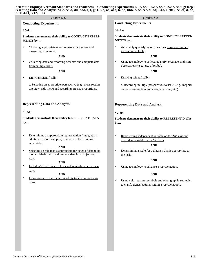#### **Conducting Experiments**

#### **S5-6:4**

**Students demonstrate their ability to CONDUCT EXPERI-MENTS by…**

• Choosing appropriate measurements for the task and measuring accurately.

#### **AND**

• Collecting data and recording accurate and complete data from multiple trials.

#### **AND**

• Drawing scientifically:

a. Selecting an appropriate perspective (e.g., cross section, top view, side view) and recording precise proportions.

#### **Representing Data and Analysis**

#### **S5-6:5**

**Students demonstrate their ability to REPRESENT DATA by…**

• Determining an appropriate representation (line graph in addition to prior examples) to represent their findings accurately.

#### **AND**

• Selecting a scale that is appropriate for range of data to be plotted, labels units, and presents data in an objective way.

#### **AND**

• Including clearly labeled keys and symbols, when necessary.

#### **AND**

• Using correct scientific terminology to label representations.

#### Grades 5-6 Grades 7-8

#### **Conducting Experiments**

#### **S7-8:4**

**Students demonstrate their ability to CONDUCT EXPERI-MENTS by…**

• Accurately quantifying observations using appropriate measurement tools.

#### **AND**

• Using technology to collect, quantify, organize, and store observations (e.g., use of probe).

#### **AND**

• Drawing scientifically:

a. Recording multiple perspectives to scale (e.g., magnification, cross section, top view, side view, etc.).

#### **Representing Data and Analysis**

#### **S7-8:5**

**Students demonstrate their ability to REPRESENT DATA by…** 

• Representing independent variable on the "X" axis and dependent variable on the "Y" axis.

#### **AND**

• Determining a scale for a diagram that is appropriate to the task.

#### **AND**

• Using technology to enhance a representation.

#### **AND**

• Using color, texture, symbols and other graphic strategies to clarify trends/patterns within a representation.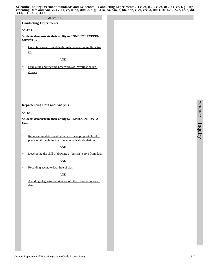#### Grades 9-12

**Conducting Experiments**

**S9-12:4:**

**Students demonstrate their ability to CONDUCT EXPERI-MENTS by…**

• Collecting significant data through completing multiple trials.

**AND**

• Evaluating and revising procedures as investigation progresses.

#### **Representing Data and Analysis**

**S9-12:5**

**Students demonstrate their ability to REPRESENT DATA by…** 

• Representing data quantitatively to the appropriate level of precision through the use of mathematical calculations.

**AND**

• Developing the skill of drawing a "best fit" curve from data.

#### **AND**

• Recording accurate data, free of bias

**AND**

• Avoiding plagiarism/fabrication of other recorded research data.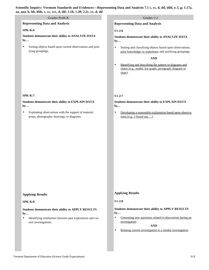# Grades PreK-K Grades 1-2

**Representing Data and Analysis**

#### **SPK-K:6**

**Students demonstrate their ability to ANALYZE DATA by…**

Sorting objects based upon current observations and justifying groupings.

**Representing Data and Analysis**

#### **S1-2:6**

**Students demonstrate their ability to ANALYZE DATA by…**

• Sorting and classifying objects based upon observations, prior knowledge, or experience and justifying groupings.

#### **AND**

• Identifying and describing the pattern in diagrams and charts (e.g., model, bar graph, pictograph, diagram or chart).

#### **S1-2:7**

### **Students demonstrate their ability to EXPLAIN DATA by…**

• Developing a reasonable explanation based upon observations (e.g., I found out.  $\ldots$ ).

#### **SPK-K:7**

**Students demonstrate their ability to EXPLAIN DATA by…**

• Explaining observations with the support of material props, photographs, drawings, or diagrams.

### **Applying Results**

#### **SPK-K:8**

**Students demonstrate their ability to APPLY RESULTS by…**

• Identifying similarities between past experiences and current investigations.

## **Applying Results**

#### **S1-2:8**

### **Students demonstrate their ability to APPLY RESULTS by…**

• Generating new questions related to discoveries during an investigation.

#### **AND**

• Relating current investigation to a similar investigation.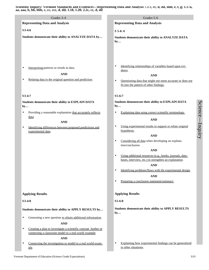| Grades 3-4                                                                                                                                 | Grades 5-6                                                                                                                                                                                                       |
|--------------------------------------------------------------------------------------------------------------------------------------------|------------------------------------------------------------------------------------------------------------------------------------------------------------------------------------------------------------------|
| <b>Representing Data and Analysis</b>                                                                                                      | <b>Representing Data and Analysis</b>                                                                                                                                                                            |
| S3-4:6                                                                                                                                     | $S$ 5-6:6                                                                                                                                                                                                        |
| Students demonstrate their ability to ANALYZE DATA by                                                                                      | Students demonstrate their ability to ANALYZE DATA<br>by                                                                                                                                                         |
| Interpreting patterns or trends in data.<br>$\bullet$<br><b>AND</b><br>Relating data to the original question and prediction.<br>$\bullet$ | Identifying relationships of variables based upon evi-<br>$\bullet$<br>dence.<br><b>AND</b><br>Questioning data that might not seem accurate or does not<br>$\bullet$<br>fit into the pattern of other findings. |
| S3-4:7                                                                                                                                     | $S5-6:7$                                                                                                                                                                                                         |
| Students demonstrate their ability to EXPLAIN DATA<br>by                                                                                   | Students demonstrate their ability to EXPLAIN DATA<br>by                                                                                                                                                         |
| Providing a reasonable explanation that accurately reflects<br>$\bullet$                                                                   | Explaining data using correct scientific terminology.<br>٠                                                                                                                                                       |
| data.<br><b>AND</b>                                                                                                                        | <b>AND</b>                                                                                                                                                                                                       |
| Identifying differences between proposed predictions and<br>$\bullet$<br>experimental data.                                                | Using experimental results to support or refute original<br>$\bullet$<br>hypothesis.<br><b>AND</b><br>Considering all data when developing an explana-<br>$\bullet$                                              |
|                                                                                                                                            | tion/conclusion.<br><b>AND</b>                                                                                                                                                                                   |
|                                                                                                                                            | Using additional resources (e.g., books, journals, data-<br>$\bullet$<br>bases, interview, etc.) to strengthen an explanation.<br><b>AND</b>                                                                     |
|                                                                                                                                            | Identifying problems/flaws with the experimental design.<br>$\bullet$                                                                                                                                            |
|                                                                                                                                            | <b>AND</b><br>Preparing a conclusion statement/summary.<br>$\bullet$                                                                                                                                             |
| <b>Applying Results</b>                                                                                                                    | <b>Applying Results</b>                                                                                                                                                                                          |
| $S3-4:8$                                                                                                                                   | $S5-6:8$                                                                                                                                                                                                         |
| Students demonstrate their ability to APPLY RESULTS by                                                                                     | Students demonstrate their ability to APPLY RESULTS<br>by                                                                                                                                                        |
| Generating a new question to obtain additional information.<br>$\bullet$                                                                   |                                                                                                                                                                                                                  |
| <b>AND</b>                                                                                                                                 |                                                                                                                                                                                                                  |
| Creating a plan to investigate a scientific concept further or<br>$\bullet$<br>connecting a classroom model to a real-world example.       |                                                                                                                                                                                                                  |
| <b>AND</b>                                                                                                                                 |                                                                                                                                                                                                                  |
| Connecting the investigation or model to a real world exam-<br>٠<br>ple.                                                                   | Explaining how experimental findings can be generalized<br>$\bullet$<br>to other situations.                                                                                                                     |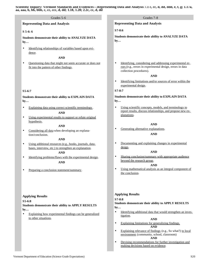# Grades 5-6 Grades 7-8 **Representing Data and Analysis S 5-6: 6 Students demonstrate their ability to ANALYZE DATA by…** • Identifying relationships of variables based upon evidence. **AND** • Questioning data that might not seem accurate or does not fit into the pattern of other findings. **S5-6:7 Students demonstrate their ability to EXPLAIN DATA by…** • Explaining data using correct scientific terminology. **AND** • Using experimental results to support or refute original hypothesis. **AND** • Considering all data when developing an explanation/conclusion. **AND** • Using additional resources (e.g., books, journals, databases, interview, etc.) to strengthen an explanation.

#### **AND**

- Identifying problems/flaws with the experimental design. **AND**
- Preparing a conclusion statement/summary.

#### **Applying Results**

**S5-6:8**

**Students demonstrate their ability to APPLY RESULTS by…**

• Explaining how experimental findings can be generalized to other situations.

**Representing Data and Analysis**

**S7-8:6**

**Students demonstrate their ability to ANALYZE DATA by…**

• Identifying, considering and addressing experimental errors (e.g., errors in experimental design, errors in data collection procedures).

#### **AND**

• Identifying limitations and/or sources of error within the experimental design.

#### **S7-8:7**

**Students demonstrate their ability to EXPLAIN DATA by…**

• Using scientific concepts, models, and terminology to report results, discuss relationships, and propose new explanations.

#### **AND**

• Generating alternative explanations.

#### **AND**

• Documenting and explaining changes in experimental design.

#### **AND**

• Sharing conclusion/summary with appropriate audience beyond the research group.

#### **AND**

• Using mathematical analysis as an integral component of the conclusion.

## **Applying Results**

#### **S7-8:8**

**Students demonstrate their ability to APPLY RESULTS by…**

• Identifying additional data that would strengthen an investigation.

#### **AND**

- Explaining limitations for generalizing findings. **AND**
- Explaining relevance of findings (e.g., So what?) to local environment (community, school, classroom) **AND**
- Devising recommendations for further investigation and making decisions based on evidence.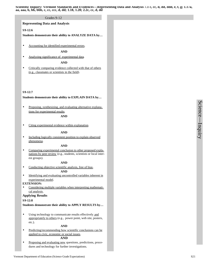#### Grades 9-12

#### **Representing Data and Analysis**

#### **S9-12:6**

**Students demonstrate their ability to ANALYZE DATA by…**

• Accounting for identified experimental errors.

#### **AND**

• Analyzing significance of experimental data.

#### **AND**

• Critically comparing evidence collected with that of others (e.g., classmates or scientists in the field).

#### **S9-12:7**

#### **Students demonstrate their ability to EXPLAIN DATA by…**

Proposing, synthesizing, and evaluating alternative explanations for experimental results.

#### **AND**

• Citing experimental evidence within explanation.

#### **AND**

Including logically consistent position to explain observed phenomena.

#### **AND**

• Comparing experimental conclusion to other proposed explanations by peer review (e.g., students, scientists or local interest groups).

#### **AND**

• Conducting objective scientific analysis, free of bias.

#### **AND**

• Identifying and evaluating uncontrolled variables inherent in experimental model.

#### **EXTENSION:**

Considering multiple variables when interpreting mathematical analysis.

#### **Applying Results**

#### **S9-12:8**

**Students demonstrate their ability to APPLY RESULTS by…**

• Using technology to communicate results effectively and appropriately to others (e.g., power point, web site, posters, etc.).

#### **AND**

• Predicting/recommending how scientific conclusions can be applied to civic, economic or social issues.

### **AND**

• Proposing and evaluating new questions, predictions, procedures and technology for further investigations.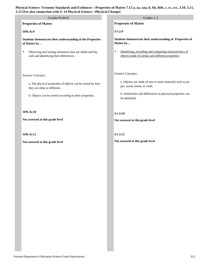| 13 [See also connection with S: 14 Physical Science-Physical Change]                                              |                                                                                                                           |  |  |
|-------------------------------------------------------------------------------------------------------------------|---------------------------------------------------------------------------------------------------------------------------|--|--|
| Grades PreK-K                                                                                                     | Grades 1-2                                                                                                                |  |  |
| <b>Properties of Matter</b>                                                                                       | <b>Properties of Matter</b>                                                                                               |  |  |
| <b>SPK-K:9</b>                                                                                                    | $S1-2:9$                                                                                                                  |  |  |
| Students demonstrate their understanding of the Properties<br>of Matter by                                        | Students demonstrate their understanding of Properties of<br>Matter by                                                    |  |  |
| Observing and sorting substances that are solids and liq-<br>$\bullet$<br>uids and identifying their differences. | Identifying, recording and comparing characteristics of<br>$\bullet$<br>objects made of similar and different properties. |  |  |
| Science Concepts:                                                                                                 | Science Concepts:                                                                                                         |  |  |
| a. The physical properties of objects can be sorted by how<br>they are alike or different.                        | a. Objects are made of one or more materials such as pa-<br>per, wood, metal, or cloth.                                   |  |  |
| b. Objects can be sorted according to their properties.                                                           | b. Similarities and differences in physical properties can<br>be identified.                                              |  |  |
| <b>SPK-K:10</b>                                                                                                   | $S1-2:10$                                                                                                                 |  |  |
| Not assessed at this grade level                                                                                  | Not assessed at this grade level                                                                                          |  |  |
| <b>SPK-K:11</b>                                                                                                   | $S1-2:11$                                                                                                                 |  |  |
| Not assessed at this grade level                                                                                  | Not assessed at this grade level                                                                                          |  |  |
|                                                                                                                   |                                                                                                                           |  |  |
|                                                                                                                   |                                                                                                                           |  |  |
|                                                                                                                   |                                                                                                                           |  |  |
|                                                                                                                   |                                                                                                                           |  |  |
|                                                                                                                   |                                                                                                                           |  |  |
|                                                                                                                   |                                                                                                                           |  |  |
|                                                                                                                   |                                                                                                                           |  |  |
|                                                                                                                   |                                                                                                                           |  |  |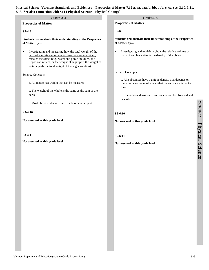| 13 [See also connection with S: 14 Physical Science—Physical Change]                                                                                                                                                                                                                                             |                                                                                                                               |  |  |  |
|------------------------------------------------------------------------------------------------------------------------------------------------------------------------------------------------------------------------------------------------------------------------------------------------------------------|-------------------------------------------------------------------------------------------------------------------------------|--|--|--|
| Grades 3-4                                                                                                                                                                                                                                                                                                       | Grades 5-6                                                                                                                    |  |  |  |
| <b>Properties of Matter</b>                                                                                                                                                                                                                                                                                      | <b>Properties of Matter</b>                                                                                                   |  |  |  |
| $S3-4:9$                                                                                                                                                                                                                                                                                                         | S5-6:9                                                                                                                        |  |  |  |
| Students demonstrate their understanding of the Properties<br>of Matter by                                                                                                                                                                                                                                       | Students demonstrate their understanding of the Properties<br>of Matter by                                                    |  |  |  |
| Investigating and measuring how the total weight of the<br>$\bullet$<br>parts of a substance, no matter how they are combined,<br>remains the same (e.g., water and gravel mixture, or a<br>Legoâ car system, or the weight of sugar plus the weight of<br>water equals the total weight of the sugar solution). | Investigating and explaining how the relative volume or<br>$\bullet$<br>mass of an object affects the density of the object.  |  |  |  |
| Science Concepts:                                                                                                                                                                                                                                                                                                | Science Concepts:                                                                                                             |  |  |  |
| a. All matter has weight that can be measured.                                                                                                                                                                                                                                                                   | a. All substances have a unique density that depends on<br>the volume (amount of space) that the substance is packed<br>into. |  |  |  |
| b. The weight of the whole is the same as the sum of the<br>parts.                                                                                                                                                                                                                                               | b. The relative densities of substances can be observed and<br>described.                                                     |  |  |  |
| c. Most objects/substances are made of smaller parts.                                                                                                                                                                                                                                                            |                                                                                                                               |  |  |  |
| S3-4:10                                                                                                                                                                                                                                                                                                          | S5-6:10                                                                                                                       |  |  |  |
| Not assessed at this grade level                                                                                                                                                                                                                                                                                 | Not assessed at this grade level                                                                                              |  |  |  |
| S3-4:11                                                                                                                                                                                                                                                                                                          | S5-6:11                                                                                                                       |  |  |  |
| Not assessed at this grade level                                                                                                                                                                                                                                                                                 | Not assessed at this grade level                                                                                              |  |  |  |
|                                                                                                                                                                                                                                                                                                                  |                                                                                                                               |  |  |  |
|                                                                                                                                                                                                                                                                                                                  |                                                                                                                               |  |  |  |
|                                                                                                                                                                                                                                                                                                                  |                                                                                                                               |  |  |  |
|                                                                                                                                                                                                                                                                                                                  |                                                                                                                               |  |  |  |
|                                                                                                                                                                                                                                                                                                                  |                                                                                                                               |  |  |  |

Science

 $\overline{\phantom{a}}$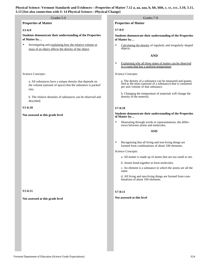### **Properties of Matter**

#### **S5-6:9**

**Students demonstrate their understanding of the Properties of Matter by…**

• Investigating and explaining how the relative volume or mass of an object affects the density of the object.

#### Science Concepts:

a. All substances have a unique density that depends on the volume (amount of space) that the substance is packed into.

b. The relative densities of substances can be observed and described.

#### **S5-6:10**

#### **Not assessed at this grade level**

#### **S5-6:11**

#### **Not assessed at this grade level**

#### Grades 5-6 Grades 7-8

#### **Properties of Matter**

#### **S7-8:9**

**Students demonstrate their understanding of the Properties of Matter by…**

• Calculating the density of regularly and irregularly shaped objects.

#### **AND**

• Explaining why all three states of matter can be observed in a room that has a uniform temperature.

Science Concepts:

a. The density of a substance can be measured and quanti-fied as the mass (amount of a substance) that is contained per unit volume of that substance.

b. Changing the temperature of materials will change the density of the material.

#### **S7-8:10**

**Students demonstrate their understanding of the Properties of Matter by…**

• Illustrating through words or representations, the differences between atoms and molecules.

#### **AND**

• Recognizing that all living and non-living things are formed from combinations of about 100 elements.

#### Science Concepts:

- a. All matter is made up of atoms that are too small to see.
- b. Atoms bond together to form molecules.

c. An element is a substance in which the atoms are all the same.

d. All living and non-living things are formed from combinations of about 100 elements.

#### **S7-8:11**

**Not assessed at this level**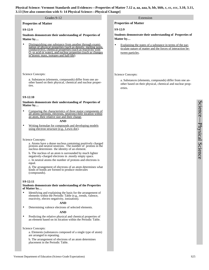#### Grades 9-12

**Properties of Matter**

#### **S9-12:9**

**Students demonstrate their understanding of Properties of Matter by…**

Distinguishing one substance from another through examination of physical properties (such as density, melting point, conductivity), chemical properties (such as reactivity with  $O_2$  or acid or water), and nuclear properties (such as changes in atomic mass, isotopes and half-life).

#### Science Concepts:

a. Substances (elements, compounds) differ from one another based on their physical, chemical and nuclear properties.

#### **S9-12:10**

**Students demonstrate their understanding of Properties of Matter by…**

Comparing the characteristics of three major components of all atoms (protons, electrons, neutrons) their location within an atom, their relative size and their charge.

#### **AND**

Writing formulae for compounds and developing models using electron structure (e.g., Lewis dot).

Science Concepts:

a. Atoms have a dense nucleus containing positively charged protons and neutral neutrons. The number of protons in the nucleus determines the identity of an element.

b. The nucleus of an atom is surrounded by much lighter negatively-charged electrons in .mostly empty space. c. In neutral atoms the number of protons and electrons is

equal.

d**.** The arrangement of electrons of an atom determines what kinds of bonds are formed to produce molecules (compounds).

#### **S9-12:11**

#### **Students demonstrate their understanding of the Properties of Matter by…**

• Identifying and explaining the basis for the arrangement of elements within the Periodic Table (e.g., trends, valence, reactivity, electro negativity, ionization).

#### **AND**

• Determining valence electrons of selected elements.

#### **AND**

• Predicting the relative physical and chemical properties of an element based on its location within the Periodic Table.

Science Concepts:

a. Elements (substances composed of a single type of atom) are arranged in repeating.

b. The arrangement of electrons of an atom determines placement in the Periodic Table.

#### Extension

#### **Properties of Matter**

**S9-12:9**

**Students demonstrate their understanding of Properties of Matter by…**

Explaining the states of a substance in terms of the particulate nature of matter and the forces of interaction between particles.

#### Science Concepts:

a. Substances (elements, compounds) differ from one another based on their physical, chemical and nuclear properties.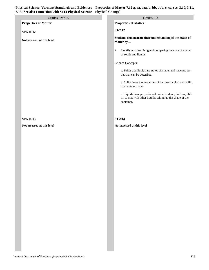|                             | 。                                                                                                                                       |
|-----------------------------|-----------------------------------------------------------------------------------------------------------------------------------------|
| Grades PreK-K               | Grades 1-2                                                                                                                              |
| <b>Properties of Matter</b> | <b>Properties of Matter</b>                                                                                                             |
| <b>SPK-K:12</b>             | $S1-2:12$                                                                                                                               |
| Not assessed at this level  | Students demonstrate their understanding of the States of<br>Matter by                                                                  |
|                             | Identifying, describing and comparing the state of matter<br>$\bullet$<br>of solids and liquids.                                        |
|                             | Science Concepts:                                                                                                                       |
|                             | a. Solids and liquids are states of matter and have proper-<br>ties that can be described.                                              |
|                             | b. Solids have the properties of hardness, color, and ability<br>to maintain shape.                                                     |
|                             | c. Liquids have properties of color, tendency to flow, abil-<br>ity to mix with other liquids, taking up the shape of the<br>container. |
|                             |                                                                                                                                         |
| <b>SPK-K:13</b>             | $S1-2:13$                                                                                                                               |
| Not assessed at this level  | Not assessed at this level                                                                                                              |
|                             |                                                                                                                                         |
|                             |                                                                                                                                         |
|                             |                                                                                                                                         |
|                             |                                                                                                                                         |
|                             |                                                                                                                                         |
|                             |                                                                                                                                         |
|                             |                                                                                                                                         |
|                             |                                                                                                                                         |
|                             |                                                                                                                                         |
|                             |                                                                                                                                         |
|                             |                                                                                                                                         |
|                             |                                                                                                                                         |
|                             |                                                                                                                                         |
|                             |                                                                                                                                         |
|                             |                                                                                                                                         |
|                             |                                                                                                                                         |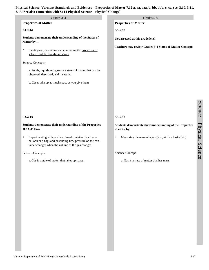| 13 [See also connection with S: 14 Physical Science—Physical Change]                                                                                                            |                                                                           |  |  |  |
|---------------------------------------------------------------------------------------------------------------------------------------------------------------------------------|---------------------------------------------------------------------------|--|--|--|
| Grades 3-4                                                                                                                                                                      | Grades 5-6                                                                |  |  |  |
| <b>Properties of Matter</b>                                                                                                                                                     | <b>Properties of Matter</b>                                               |  |  |  |
| S3-4:12                                                                                                                                                                         | S5-6:12                                                                   |  |  |  |
| Students demonstrate their understanding of the States of<br>Matter by                                                                                                          | Not assessed at this grade level                                          |  |  |  |
| Identifying, describing and comparing the properties of<br>$\bullet$<br>selected solids, liquids and gases.                                                                     | <b>Teachers may review Grades 3-4 States of Matter Concepts</b>           |  |  |  |
| Science Concepts:                                                                                                                                                               |                                                                           |  |  |  |
| a. Solids, liquids and gases are states of matter that can be<br>observed, described, and measured.                                                                             |                                                                           |  |  |  |
| b. Gases take up as much space as you give them.                                                                                                                                |                                                                           |  |  |  |
|                                                                                                                                                                                 |                                                                           |  |  |  |
|                                                                                                                                                                                 |                                                                           |  |  |  |
|                                                                                                                                                                                 |                                                                           |  |  |  |
| S3-4:13                                                                                                                                                                         | S5-6:13                                                                   |  |  |  |
| Students demonstrate their understanding of the Properties<br>of a Gas by                                                                                                       | Students demonstrate their understanding of the Properties<br>of a Gas by |  |  |  |
| Experimenting with gas in a closed container (such as a<br>٠<br>balloon or a bag) and describing how pressure on the con-<br>tainer changes when the volume of the gas changes. | Measuring the mass of a gas (e.g., air in a basketball).<br>$\bullet$     |  |  |  |
| Science Concepts:                                                                                                                                                               | Science Concept:                                                          |  |  |  |
| a. Gas is a state of matter that takes up space.                                                                                                                                | a. Gas is a state of matter that has mass.                                |  |  |  |
|                                                                                                                                                                                 |                                                                           |  |  |  |
|                                                                                                                                                                                 |                                                                           |  |  |  |
|                                                                                                                                                                                 |                                                                           |  |  |  |
|                                                                                                                                                                                 |                                                                           |  |  |  |
|                                                                                                                                                                                 |                                                                           |  |  |  |
|                                                                                                                                                                                 |                                                                           |  |  |  |
|                                                                                                                                                                                 |                                                                           |  |  |  |
|                                                                                                                                                                                 |                                                                           |  |  |  |
|                                                                                                                                                                                 |                                                                           |  |  |  |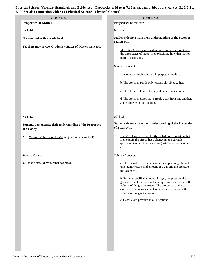| 13 [See also connection with S: 14 Physical Science-Physical Change]                 |                                                                                                                                                                                                                                                                                                                                                                                                                                                                          |  |  |
|--------------------------------------------------------------------------------------|--------------------------------------------------------------------------------------------------------------------------------------------------------------------------------------------------------------------------------------------------------------------------------------------------------------------------------------------------------------------------------------------------------------------------------------------------------------------------|--|--|
| Grades 5-6                                                                           | Grades 7-8                                                                                                                                                                                                                                                                                                                                                                                                                                                               |  |  |
| <b>Properties of Matter</b>                                                          | <b>Properties of Matter</b>                                                                                                                                                                                                                                                                                                                                                                                                                                              |  |  |
| S5-6:12                                                                              | $S7 - 8:12$                                                                                                                                                                                                                                                                                                                                                                                                                                                              |  |  |
| Not assessed at this grade level                                                     | Students demonstrate their understanding of the States of<br>Matter by                                                                                                                                                                                                                                                                                                                                                                                                   |  |  |
| <b>Teachers may review Grades 3-4 States of Matter Concepts</b>                      | Modeling (plays, models, diagrams) molecular motion of<br>the three states of matter and explaining how that motion<br>defines each state.<br><b>Science Concepts:</b><br>a. Atoms and molecules are in perpetual motion.<br>b. The atoms in solids only vibrate closely together.<br>c. The atoms in liquids loosely slide past one another.<br>d. The atoms in gases move freely apart from one another,<br>and collide with one another.                              |  |  |
| S5-6:13<br>Students demonstrate their understanding of the Properties<br>of a Gas by | $S7 - 8:13$<br>Students demonstrate their understanding of the Properties<br>of a Gas by                                                                                                                                                                                                                                                                                                                                                                                 |  |  |
| Measuring the mass of a gas (e.g., air in a basketball).                             | Using real world examples (tires, balloons, soda) predict<br>and explain the effect that a change in one variable<br>(pressure, temperature or volume) will have on the other<br>$(s)$ .                                                                                                                                                                                                                                                                                 |  |  |
| Science Concept:                                                                     | Science Concepts:                                                                                                                                                                                                                                                                                                                                                                                                                                                        |  |  |
| a. Gas is a state of matter that has mass.                                           | a. There exists a predictable relationship among the vol-<br>ume, temperature, and amount of a gas and the pressure<br>the gas exerts<br>b. For any specified amount of a gas, the pressure that the<br>gas exerts will increase as the temperature increases or the<br>volume of the gas decreases. The pressure that the gas<br>exerts will decrease as the temperature decreases or the<br>volume of the gas increases.<br>c. Gases exert pressure in all directions. |  |  |
|                                                                                      |                                                                                                                                                                                                                                                                                                                                                                                                                                                                          |  |  |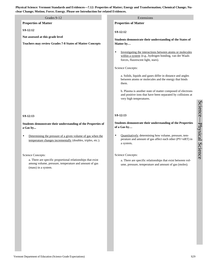**Physical Science: Vermont Standards and Evidences—7.12: Properties of Matter; Energy and Transformation; Chemical Change; Nuclear Change; Motion; Force; Energy. Please see Introduction for related Evidences.**

| lear Change; Motion; Force; Energy. Please see Introduction for related Evidences.                                                          |                                                                                                                                                                        |  |
|---------------------------------------------------------------------------------------------------------------------------------------------|------------------------------------------------------------------------------------------------------------------------------------------------------------------------|--|
| Grades 9-12                                                                                                                                 | Extensions                                                                                                                                                             |  |
| <b>Properties of Matter</b>                                                                                                                 | <b>Properties of Matter</b>                                                                                                                                            |  |
| S9-12:12<br>Not assessed at this grade level                                                                                                | $S9-12:12$                                                                                                                                                             |  |
| <b>Teachers may review Grades 7-8 States of Matter Concepts</b>                                                                             | Students demonstrate their understanding of the States of<br>Matter by                                                                                                 |  |
|                                                                                                                                             | Investigating the interactions between atoms or molecules<br>$\bullet$<br>within a system (e.g., hydrogen bonding, van der Waals<br>forces, fluorescent light, stars). |  |
|                                                                                                                                             | Science Concepts:                                                                                                                                                      |  |
|                                                                                                                                             | a. Solids, liquids and gases differ in distance and angles<br>between atoms or molecules and the energy that binds<br>them.                                            |  |
|                                                                                                                                             | b. Plasma is another state of matter composed of electrons<br>and positive ions that have been separated by collisions at<br>very high temperatures.                   |  |
| S9-12:13                                                                                                                                    | $S9-12:13$                                                                                                                                                             |  |
| Students demonstrate their understanding of the Properties of<br>a Gas by                                                                   | Students demonstrate their understanding of the Properties<br>of a Gas by                                                                                              |  |
| Determining the pressure of a given volume of gas when the<br>$\bullet$<br>temperature changes incrementally (doubles, triples, etc.).      | Quantitatively determining how volume, pressure, tem-<br>$\bullet$<br>perature and amount of gas affect each other (PV=nRT) in<br>a system.                            |  |
| Science Concepts:                                                                                                                           | Science Concepts:                                                                                                                                                      |  |
| a. There are specific proportional relationships that exist<br>among volume, pressure, temperature and amount of gas<br>(mass) in a system. | a. There are specific relationships that exist between vol-<br>ume, pressure, temperature and amount of gas (moles).                                                   |  |
|                                                                                                                                             |                                                                                                                                                                        |  |
|                                                                                                                                             |                                                                                                                                                                        |  |
|                                                                                                                                             |                                                                                                                                                                        |  |
|                                                                                                                                             |                                                                                                                                                                        |  |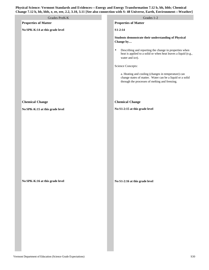| Grades PreK-K                   | Grades 1-2                                                                                                                                                         |
|---------------------------------|--------------------------------------------------------------------------------------------------------------------------------------------------------------------|
| <b>Properties of Matter</b>     | <b>Properties of Matter</b>                                                                                                                                        |
| No SPK-K:14 at this grade level | $S1-2:14$                                                                                                                                                          |
|                                 | Students demonstrate their understanding of Physical<br>Change by                                                                                                  |
|                                 | Describing and reporting the change in properties when<br>$\bullet$<br>heat is applied to a solid or when heat leaves a liquid (e.g.,<br>water and ice).           |
|                                 | Science Concepts:                                                                                                                                                  |
|                                 | a. Heating and cooling (changes in temperature) can<br>change states of matter. Water can be a liquid or a solid<br>through the processes of melting and freezing. |
|                                 |                                                                                                                                                                    |
| <b>Chemical Change</b>          | <b>Chemical Change</b>                                                                                                                                             |
| No SPK-K:15 at this grade level | No S1-2:15 at this grade level                                                                                                                                     |
|                                 |                                                                                                                                                                    |
|                                 |                                                                                                                                                                    |
|                                 |                                                                                                                                                                    |
|                                 |                                                                                                                                                                    |
|                                 |                                                                                                                                                                    |
| No SPK-K:16 at this grade level | No S1-2:16 at this grade level                                                                                                                                     |
|                                 |                                                                                                                                                                    |
|                                 |                                                                                                                                                                    |
|                                 |                                                                                                                                                                    |
|                                 |                                                                                                                                                                    |
|                                 |                                                                                                                                                                    |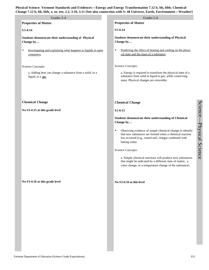| Grades 3-4                                                                               | Grades 5-6                                                                                                                                                                                                  |
|------------------------------------------------------------------------------------------|-------------------------------------------------------------------------------------------------------------------------------------------------------------------------------------------------------------|
| <b>Properties of Matter</b>                                                              | <b>Properties of Matter</b>                                                                                                                                                                                 |
| S3-4:14                                                                                  | S5-6:14                                                                                                                                                                                                     |
| Students demonstrate their understanding of Physical<br>Change by                        | Students demonstrate their understanding of Physical<br>Change by                                                                                                                                           |
| Investigating and explaining what happens to liquids in open<br>$\bullet$<br>containers. | Predicting the effect of heating and cooling on the physi-<br>$\bullet$<br>cal state and the mass of a substance.                                                                                           |
| Science Concepts:                                                                        | Science Concepts:                                                                                                                                                                                           |
| a. Adding heat can change a substance from a solid, to a<br>liquid, to a gas.            | a. Energy is required to transform the physical state of a<br>substance from solid to liquid to gas, while conserving<br>mass. Physical changes are reversible.                                             |
| <b>Chemical Change</b>                                                                   | <b>Chemical Change</b>                                                                                                                                                                                      |
| No S3-4:15 at this grade level                                                           | S5-6:15                                                                                                                                                                                                     |
|                                                                                          | Students demonstrate their understanding of Chemical<br>Change by                                                                                                                                           |
|                                                                                          | Observing evidence of simple chemical change to identify<br>$\bullet$<br>that new substances are formed when a chemical reaction<br>has occurred (e.g., rusted nail, vinegar combined with<br>baking soda). |
|                                                                                          | Science Concepts:                                                                                                                                                                                           |
|                                                                                          | a. Simple chemical reactions will produce new substances<br>that might be indicated by a different state of matter, a<br>color change, or a temperature change of the substances.                           |
| No S3-4:16 at this grade level                                                           | No S5-6:16 at this level                                                                                                                                                                                    |
|                                                                                          |                                                                                                                                                                                                             |
|                                                                                          |                                                                                                                                                                                                             |
|                                                                                          |                                                                                                                                                                                                             |
|                                                                                          |                                                                                                                                                                                                             |
|                                                                                          |                                                                                                                                                                                                             |
|                                                                                          |                                                                                                                                                                                                             |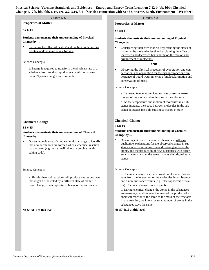### **Properties of Matter**

#### **S5-6:14**

**Students demonstrate their understanding of Physical Change by…**

Predicting the effect of heating and cooling on the physical state and the mass of a substance.

#### Science Concepts:

a. Energy is required to transform the physical state of a substance from solid to liquid to gas, while conserving mass. Physical changes are reversible.

#### **Chemical Change**

#### **S5-6:15**

#### **Students demonstrate their understanding of Chemical Change by…**

• Observing evidence of simple chemical change to identify that new substances are formed when a chemical reaction has occurred (e.g., rusted nail, vinegar combined with baking soda).

#### Science Concepts:

a. Simple chemical reactions will produce new substances that might be indicated by a different state of matter, a color change, or a temperature change of the substances.

#### **No S5-6:16 at this level**

#### **Properties of Matter**

#### **S7-8:14**

**Students demonstrate their understanding of Physical Change by…**

• Constructing their own models representing the states of matter at the molecular level and explaining the effect of increased and decreased heat energy on the motion and arrangement of molecules.

#### **AND**

• Observing the physical processes of evaporation and condensation, and accounting for the disappearance and appearance of liquid water in terms of molecular motion and conservation of mass.

#### Science Concepts:

a. Increased temperature of substances causes increased motion of the atoms and molecules in the substance.

b. As the temperature and motion of molecules in a substance increase, the space between molecules in the substance increases possibly causing a change in state.

#### **Chemical Change**

#### **S7-8:15**

#### **Students demonstrate their understanding of Chemical Change by…**

Observing evidence of chemical change, and offering qualitative explanations for the observed changes in substances in terms of interaction and rearrangement of the atoms, and the production of new substances with different characteristics but the same mass as the original substance.

#### Science Concepts:

a. Chemical change is a transformation of matter that results from the interaction of the molecules in a substance and a new substance results (e.g., electrophoresis of water)**.** Chemical change is not reversible.

b. During chemical change, the atoms in the substances are rearranged and because the mass of the product of a chemical reaction is the same as the mass of the reactants in that reaction, we know the total number of atoms in the substances stays the same.

#### **No S7-8:16 at this level**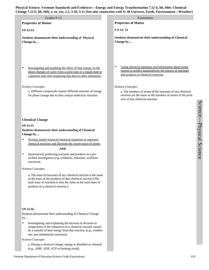| Grades 9-12                                                                                                                                                                                                                                                                                                                                                                                                                                                                                                                                                                                                                        | Extensions                                                                                                                                                           |
|------------------------------------------------------------------------------------------------------------------------------------------------------------------------------------------------------------------------------------------------------------------------------------------------------------------------------------------------------------------------------------------------------------------------------------------------------------------------------------------------------------------------------------------------------------------------------------------------------------------------------------|----------------------------------------------------------------------------------------------------------------------------------------------------------------------|
| <b>Properties of Matter</b>                                                                                                                                                                                                                                                                                                                                                                                                                                                                                                                                                                                                        | <b>Properties of Matter</b>                                                                                                                                          |
| S9-12:14                                                                                                                                                                                                                                                                                                                                                                                                                                                                                                                                                                                                                           | S 9-12:15                                                                                                                                                            |
| Students demonstrate their understanding of Physical<br>Change by                                                                                                                                                                                                                                                                                                                                                                                                                                                                                                                                                                  | Students demonstrate their understanding of Chemical<br>Change by                                                                                                    |
|                                                                                                                                                                                                                                                                                                                                                                                                                                                                                                                                                                                                                                    |                                                                                                                                                                      |
| Investigating and graphing the effect of heat energy on the<br>phase changes of water from a solid state to a liquid state to<br>a gaseous state and comparing that data to other substances.                                                                                                                                                                                                                                                                                                                                                                                                                                      | Using chemical equations and information about molar<br>$\bullet$<br>masses to predict quantitatively the masses of reactants<br>and products in chemical reactions. |
| <b>Science Concepts:</b>                                                                                                                                                                                                                                                                                                                                                                                                                                                                                                                                                                                                           | <b>Science Concepts:</b>                                                                                                                                             |
| a. Different compounds require different amounts of energy<br>for phase change due to their unique molecular structure.                                                                                                                                                                                                                                                                                                                                                                                                                                                                                                            | a. The numbers of atoms of the reactants of any chemical<br>reaction are the same as the numbers of atoms of the prod-<br>ucts of that chemical reaction.            |
| <b>Chemical Change</b><br>S9-12:15<br>Students demonstrate their understanding of Chemical<br>Change by<br>Writing simple balanced chemical equations to represent<br>$\bullet$<br>chemical reactions and illustrate the conservation of atoms.<br><b>AND</b><br>Qualitatively predicting reactants and products in a pre-<br>٠<br>scribed investigation (e.g. oxidation, reduction, acid/base<br>reactions).<br>Science Concepts:<br>a. The mass of reactants of any chemical reaction is the same<br>as the mass of the products of that chemical reaction (The<br>total mass of reactants is also the same as the total mass of |                                                                                                                                                                      |
| products in a chemical reaction.).                                                                                                                                                                                                                                                                                                                                                                                                                                                                                                                                                                                                 |                                                                                                                                                                      |
| S9-12:16                                                                                                                                                                                                                                                                                                                                                                                                                                                                                                                                                                                                                           |                                                                                                                                                                      |
| Students demonstrate their understanding of Chemical Change<br>by                                                                                                                                                                                                                                                                                                                                                                                                                                                                                                                                                                  |                                                                                                                                                                      |
| Investigating, and explaining the increase or decrease in<br>temperature of the substances in a chemical reaction caused<br>by a transfer of heat energy from that reaction. (e.g., exother-<br>mic and endothermic reactions).                                                                                                                                                                                                                                                                                                                                                                                                    |                                                                                                                                                                      |
| <b>Science Concepts:</b>                                                                                                                                                                                                                                                                                                                                                                                                                                                                                                                                                                                                           |                                                                                                                                                                      |

(e.g., AMP, ADP, ATP or burning wood).

a. During a chemical change, energy is absorbed or released

Science

 $\overline{\phantom{a}}$ 

Physical Science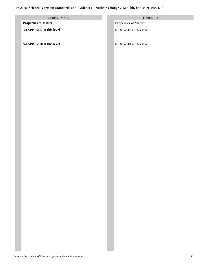# **Physical Science: Vermont Standards and Evidences—Nuclear Change 7.12 b, bb, bbb, e, ee, eee, 1.19**

| Grades PreK-K               | Grades 1-2                  |
|-----------------------------|-----------------------------|
| <b>Properties of Matter</b> | <b>Properties of Matter</b> |
| No SPK-K:17 at this level   | No S1-2:17 at this level    |
|                             |                             |
| No SPK-K:18 at this level   | No S1-2:18 at this level    |
|                             |                             |
|                             |                             |
|                             |                             |
|                             |                             |
|                             |                             |
|                             |                             |
|                             |                             |
|                             |                             |
|                             |                             |
|                             |                             |
|                             |                             |
|                             |                             |
|                             |                             |
|                             |                             |
|                             |                             |
|                             |                             |
|                             |                             |
|                             |                             |
|                             |                             |
|                             |                             |
|                             |                             |
|                             |                             |
|                             |                             |
|                             |                             |
|                             |                             |
|                             |                             |
|                             |                             |
|                             |                             |
|                             |                             |
|                             |                             |
|                             |                             |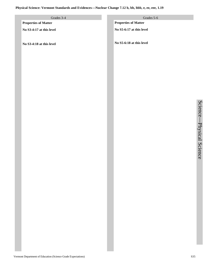# **Physical Science: Vermont Standards and Evidences—Nuclear Change 7.12 b, bb, bbb, e, ee, eee, 1.19**

| Grades 3-4                  | Grades 5-6                  |
|-----------------------------|-----------------------------|
| <b>Properties of Matter</b> | <b>Properties of Matter</b> |
| No S3-4:17 at this level    | No S5-6:17 at this level    |
| No S3-4:18 at this level    | No S5-6:18 at this level    |
|                             |                             |
|                             |                             |
|                             |                             |
|                             |                             |
|                             |                             |
|                             |                             |
|                             |                             |
|                             |                             |
|                             |                             |
|                             |                             |
|                             |                             |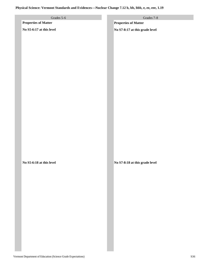# **Physical Science: Vermont Standards and Evidences—Nuclear Change 7.12 b, bb, bbb, e, ee, eee, 1.19**

| Grades 5-6                  | Grades 7-8                     |
|-----------------------------|--------------------------------|
| <b>Properties of Matter</b> | <b>Properties of Matter</b>    |
| No S5-6:17 at this level    | No S7-8:17 at this grade level |
| No S5-6:18 at this level    |                                |
|                             | No S7-8:18 at this grade level |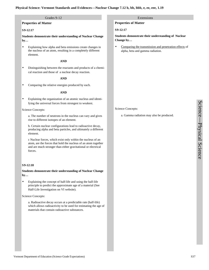#### **Physical Science: Vermont Standards and Evidences—Nuclear Change 7.12 b, bb, bbb, e, ee, eee, 1.19**

#### Grades 9-12

#### **Properties of Matter**

#### **S9-12:17**

**Students demonstrate their understanding of Nuclear Change by…**

• Explaining how alpha and beta emissions create changes in the nucleus of an atom, resulting in a completely different element.

#### **AND**

• Distinguishing between the reactants and products of a chemical reaction and those of a nuclear decay reaction.

#### **AND**

Comparing the relative energies produced by each.

#### **AND**

Explaining the organization of an atomic nucleus and identifying the universal forces from strongest to weakest.

#### Science Concepts:

a. The number of neutrons in the nucleus can vary and gives rise to different isotopes of an element.

b. Certain nuclear configurations lead to radioactive decay, producing alpha and beta particles, and ultimately a different element.

c Nuclear forces, which exist only within the nucleus of an atom, are the forces that hold the nucleus of an atom together and are much stronger than either gravitational or electrical forces.

#### **S9-12:18**

**Students demonstrate their understanding of Nuclear Change by…**

• Explaining the concept of half-life and using the half-life principle to predict the approximate age of a material (See Half-Life Investigation on VI website).

Science Concepts:

a. Radioactive decay occurs at a predictable rate (half-life) which allows radioactivity to be used for estimating the age of materials that contain radioactive substances.

#### Extensions

**Properties of Matter**

#### **S9-12:17**

**Students demonstrate their understanding of Nuclear Change by…**

Comparing the transmission and penetration effects of alpha, beta and gamma radiation.

#### Science Concepts:

a. Gamma radiation may also be produced.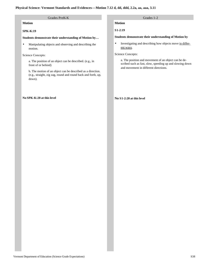#### Grades PreK-K Grades 1-2 **Motion SPK-K:19 Students demonstrate their understanding of Motion by…**  • Manipulating objects and observing and describing the motion. Science Concepts: a. The position of an object can be described. (e.g., in front of or behind) b. The motion of an object can be described as a direction. (e.g., straight, zig zag, round and round back and forth, up, down). **No SPK-K:20 at this level Motion S1-2:19 Students demonstrate their understanding of Motion by**  • Investigating and describing how objects move in different ways. Science Concepts: a. The position and movement of an object can be described such as fast, slow, speeding up and slowing down and movement in different directions. **No S1-2:20 at this level**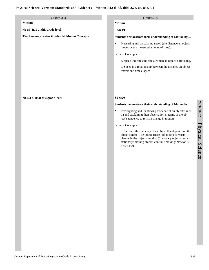#### **Motion**

**No S3-4:19 at this grade level**

**Teachers may review Grades 1-2 Motion Concepts.**

#### **No S3-4:20 at this grade level**

#### Grades 3-4 Grades 5-6

# **Motion**

**S5-6:19**

**Students demonstrate their understanding of Motion by**…

• Measuring and calculating speed (the distance an object moves over a measured amount of time).

#### Science Concepts:

a. Speed indicates the rate at which an object is traveling.

b. Speed is a relationship between the distance an object travels and time elapsed.

#### **S5-6:20**

#### **Students demonstrate their understanding of Motion by**…

• Investigating and identifying evidence of an object's inertia and explaining their observation in terms of the object's tendency to resist a change in motion.

Science Concepts:

a. Inertia is the tendency of an object that depends on the object's mass. The inertia (mass) of an object resists change in the object's motion (Stationary objects remain stationary; moving objects continue moving: Newton's First Law).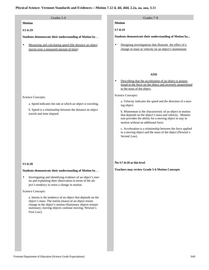# **Motion**

#### **S5-6:19**

**Students demonstrate their understanding of Motion by**…

Measuring and calculating speed (the distance an object moves over a measured amount of time).

#### Grades 5-6 Grades 7-8

### **Motion**

**S7-8:19**

**Students demonstrate their understanding of Motion by...** 

• Designing investigations that illustrate the effect of a change in mass or velocity on an object's momentum.

#### **AND**

• Describing that the acceleration of an object is proportional to the force on the object and inversely proportional to the mass of the object.

Science Concepts:

a. Velocity indicates the speed and the direction of a moving object.

b. Momentum is the characteristic of an object in motion that depends on the object's mass and velocity. Momentum provides the ability for a moving object to stay in motion without an additional force.

c. Acceleration is a relationship between the force applied to a moving object and the mass of the object (Newton's Second Law).

#### **No S7-8:20 at this level**

**Teachers may review Grade 5-6 Motion Concepts**

#### Science Concepts:

a. Speed indicates the rate at which an object is traveling.

b. Speed is a relationship between the distance an object travels and time elapsed.

#### **S5-6:20**

#### **Students demonstrate their understanding of Motion by**…

• Investigating and identifying evidence of an object's inertia and explaining their observation in terms of the object's tendency to resist a change in motion.

#### Science Concepts:

a. Inertia is the tendency of an object that depends on the object's mass. The inertia (mass) of an object resists change in the object's motion (Stationary objects remain stationary; moving objects continue moving: Newton's First Law).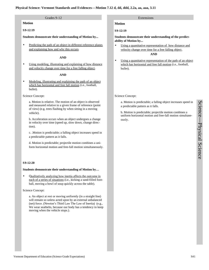#### Grades 9-12 Extensions Extensions Extensions Extensions Extensions Extensions Extensions

**Motion**

#### **S9-12:19**

**Students demonstrate their understanding of Motion by...** 

Predicting the path of an object in different reference planes and explaining how and why this occurs.

#### **AND**

Using modeling, illustrating and explaining of how distance and velocity change over time for a free falling object.

#### **AND**

• Modeling, illustrating and explaining the path of an object which has horizontal and free fall motion (i.e., football, bullet).

Science Concept:

a. Motion is relative. The motion of an object is observed and measured relative to a given frame of reference (point of view) (e.g. trees flashing by when sitting in a moving vehicle).

b. Acceleration occurs when an object undergoes a change in velocity over time (speed up, slow down, change direction).

c. .Motion is predictable; a falling object increases speed in a predictable pattern as it falls.

d. Motion is predictable; projectile motion combines a uniform horizontal motion and free-fall motion simultaneously.

#### **S9-12:20**

#### **Students demonstrate their understanding of Motion by…**

• Qualitatively analyzing how inertia affects the outcome in each of a series of situations (i.e., kicking a sand-filled football, moving a bowl of soup quickly across the table).

Science Concept:

a. An object at rest or moving uniformly (in a straight line) will remain so unless acted upon by an external unbalanced (net) force. (Newton's Third Law The Law of Inertia) (e.g., We wear seatbelts, because our body has a tendency to keep moving when the vehicle stops.).

#### **Motion**

**S9-12:19**

#### **Students demonstrate their understanding of the predictability of Motion by...**

- Using a quantitative representation of how distance and velocity change over time for a free falling object. **AND**
- Using a quantitative representation of the path of an object which has horizontal and free fall motion (i.e., football, bullet).

Science Concept:

a. Motion is predictable; a falling object increases speed in a predictable pattern as it falls.

b. Motion is predictable; projectile motion combines a uniform horizontal motion and free-fall motion simultaneously.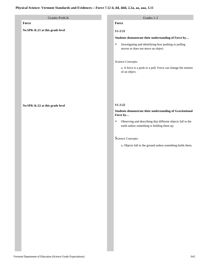# Grades PreK-K Grades 1-2 **Force No SPK-K:21 at this grade level No SPK-K:22 at this grade level Force S1-2:21 Students demonstrate their understanding of Force by…** • Investigating and identifying how pushing or pulling moves or does not move an object. Science Concepts: a. A force is a push or a pull. Force can change the motion of an object. **S1-2:22 Students demonstrate their understanding of Gravitational Force by…** • Observing and describing that different objects fall to the earth unless something is holding them up. Science Concepts: a. Objects fall to the ground unless something holds them.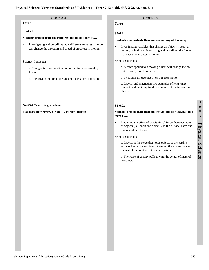# **Force**

#### **S3-4:21**

**Students demonstrate their understanding of Force by…** 

• Investigating and describing how different amounts of force can change the direction and speed of an object in motion.

#### Science Concepts:

a. Changes in speed or direction of motion are caused by forces.

b. The greater the force, the greater the change of motion.

#### **No S3-4:22 at this grade level**

#### **Teachers may review Grade 1-2 Force Concepts**

### Grades 3-4 Grades 5-6

#### **Force**

**S5-6:21**

#### **Students demonstrate their understanding of Force by…**

• Investigating variables that change an object's speed, direction, or both, and identifying and describing the forces that cause the change in motion.

#### Science Concepts:

a. A force applied to a moving object will change the object's speed, direction or both.

b. Friction is a force that often opposes motion.

c. Gravity and magnetism are examples of long-range forces that do not require direct contact of the interacting objects.

# **S5-6:22**

#### **Students demonstrate their understanding of Gravitational force by…**

• Predicting the effect of gravitational forces between pairs of objects (i.e., earth and object's on the surface, earth and moon, earth and sun).

#### Science Concepts:

a. Gravity is the force that holds objects to the earth's surface, keeps planets, in orbit around the sun and governs the rest of the motion in the solar system.

b. The force of gravity pulls toward the center of mass of an object.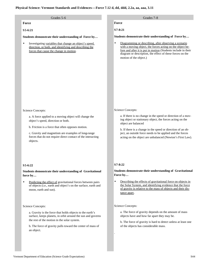| Grades 5-6                                                                                                                                                                                                                                                                          | Grades 7-8                                                                                                                                                                                                                                                                                                                                |
|-------------------------------------------------------------------------------------------------------------------------------------------------------------------------------------------------------------------------------------------------------------------------------------|-------------------------------------------------------------------------------------------------------------------------------------------------------------------------------------------------------------------------------------------------------------------------------------------------------------------------------------------|
| Force                                                                                                                                                                                                                                                                               | Force                                                                                                                                                                                                                                                                                                                                     |
| S5-6:21                                                                                                                                                                                                                                                                             | S7-8:21                                                                                                                                                                                                                                                                                                                                   |
| Students demonstrate their understanding of Force by                                                                                                                                                                                                                                | Students demonstrate their understanding of Force by                                                                                                                                                                                                                                                                                      |
| Investigating variables that change an object's speed,<br>$\bullet$<br>direction, or both, and identifying and describing the<br>forces that cause the change in motion.                                                                                                            | Diagramming or describing, after observing a scenario<br>٠<br>with a moving object, the forces acting on the object be-<br>fore and after it is put in motion (Students include in their<br>diagram or description, the effect of these forces on the<br>motion of the object.)                                                           |
| Science Concepts:                                                                                                                                                                                                                                                                   | Science Concepts:                                                                                                                                                                                                                                                                                                                         |
| a. A force applied to a moving object will change the<br>object's speed, direction or both.<br>b. Friction is a force that often opposes motion.<br>c. Gravity and magnetism are examples of long-range<br>forces that do not require direct contact of the interacting<br>objects. | a. If there is no change in the speed or direction of a mov-<br>ing object or stationary object, the forces acting on the<br>object are balanced<br>b. If there is a change in the speed or direction of an ob-<br>ject, an outside force needs to be applied and the forces<br>acting on the object are unbalanced (Newton's First Law). |
| $S5-6:22$                                                                                                                                                                                                                                                                           | $S7 - 8:22$                                                                                                                                                                                                                                                                                                                               |
| Students demonstrate their understanding of Gravitational<br>force by                                                                                                                                                                                                               | Students demonstrate their understanding of Gravitational<br>Force by                                                                                                                                                                                                                                                                     |
| Predicting the effect of gravitational forces between pairs<br>٠<br>of objects (i.e., earth and object's on the surface, earth and<br>moon, earth and sun).                                                                                                                         | Describing the effects of gravitational force on objects in<br>$\bullet$<br>the Solar System, and identifying evidence that the force<br>of gravity is relative to the mass of objects and their dis-<br>tance apart.                                                                                                                     |
| Science Concepts:                                                                                                                                                                                                                                                                   | Science Concepts:                                                                                                                                                                                                                                                                                                                         |
| a. Gravity is the force that holds objects to the earth's<br>surface, keeps planets, in orbit around the sun and governs<br>the rest of the motion in the solar system.                                                                                                             | a. The force of gravity depends on the amount of mass<br>objects have and how far apart they may be.<br>b. The force of gravity is hard to detect unless at least one                                                                                                                                                                     |
| b. The force of gravity pulls toward the center of mass of<br>an object.                                                                                                                                                                                                            | of the objects has considerable mass.                                                                                                                                                                                                                                                                                                     |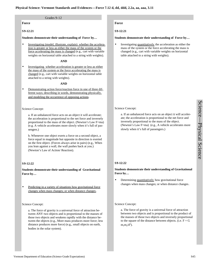#### Grades 9-12

**Force**

#### **S9-12:21**

#### **Students demonstrate their understanding of Force by…**

Investigating (model, illustrate, explain) whether the acceleration is greater or less as either the mass of the system or the force accelerating the mass is changed (e.g., cart with variable weights on horizontal table attached to a string with weights).

#### **AND**

• Investigating whether acceleration is greater or less as either the mass of the system or the force accelerating the mass is changed (e.g., cart with variable weights on horizontal table attached to a string with weights).

#### **AND**

• Demonstrating action force/reaction force in one of three different ways; describing in words, demonstrating physically, and modeling the occurrence of opposing actions.

#### Science Concept:

a. If an unbalanced force acts on an object it will accelerate; the acceleration is proportional to the net force and inversely proportional to the mass of the object. (Newton's Law F=ma) (e.g. A vehicle accelerates more slowly when it's full of passengers.)

b. Whenever one object exerts a force on a second object, a force equal in magnitude but opposite in direction is exerted on the first object. (Forces always arise in pairs) (e.g., When you lean against a wall, the wall pushes back at you.) (Newton's Law of Action/ Reaction).

#### **S9-12:22**

**Students demonstrate their understanding of Gravitational Force by…**

Predicting in a variety of situations how gravitational force changes when mass changes; or when distance changes.

#### Science Concept:

a. The force of gravity is a universal force of attraction between ANY two objects and is proportional to the masses of those two objects and weakens rapidly with the distance between the objects (e.g., More mass produces more force; less distance produces more force) (e.g., small objects on earth, bodies in the solar system).

### **Force**

**S9-12:21**

#### **Students demonstrate their understanding of Force by…**

• Investigating quantitatively the acceleration as either the mass of the system or the force accelerating the mass is changed (e.g., cart with variable weights on horizontal table attached to a string with weights).

#### Science Concept:

a. If an unbalanced force acts on an object it will accelerate; the acceleration is proportional to the net force and inversely proportional to the mass of the object. (Newton's Law F=ma) (e.g., A vehicle accelerates more slowly when it's full of passengers.)

# **S9-12:22**

#### **Students demonstrate their understanding of Gravitational Force by…**

Determining quantitatively how gravitational force changes when mass changes; or when distance changes.

#### Science Concept:

a. The force of gravity is a universal force of attraction between two objects and is proportional to the product of the masses of those two objects and inversely proportional to the square of the distance between objects. (i.e.  $F = G$  $m_1m_2/d^2$ ).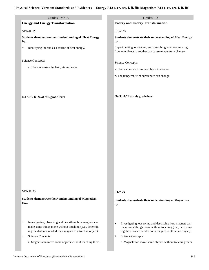| Grades PreK-K                                                                                                          | Grades 1-2                                                                                                             |
|------------------------------------------------------------------------------------------------------------------------|------------------------------------------------------------------------------------------------------------------------|
| <b>Energy and Energy Transformation</b>                                                                                | <b>Energy and Energy Transformation</b>                                                                                |
| <b>SPK-K:23</b>                                                                                                        | S 1-2:23                                                                                                               |
|                                                                                                                        |                                                                                                                        |
| Students demonstrate their understanding of Heat Energy<br>by                                                          | Students demonstrate their understanding of Heat Energy<br>by                                                          |
| Identifying the sun as a source of heat energy.<br>$\bullet$                                                           | Experimenting, observing, and describing how heat moving                                                               |
|                                                                                                                        | from one object to another can cause temperature changes.                                                              |
| Science Concepts:                                                                                                      |                                                                                                                        |
| a. The sun warms the land, air and water.                                                                              | <b>Science Concepts:</b>                                                                                               |
|                                                                                                                        | a. Heat can move from one object to another.                                                                           |
|                                                                                                                        | b. The temperature of substances can change.                                                                           |
|                                                                                                                        |                                                                                                                        |
|                                                                                                                        |                                                                                                                        |
| No SPK-K:24 at this grade level                                                                                        | No S1-2:24 at this grade level                                                                                         |
|                                                                                                                        |                                                                                                                        |
|                                                                                                                        |                                                                                                                        |
|                                                                                                                        |                                                                                                                        |
|                                                                                                                        |                                                                                                                        |
|                                                                                                                        |                                                                                                                        |
|                                                                                                                        |                                                                                                                        |
|                                                                                                                        |                                                                                                                        |
|                                                                                                                        |                                                                                                                        |
|                                                                                                                        |                                                                                                                        |
|                                                                                                                        |                                                                                                                        |
|                                                                                                                        |                                                                                                                        |
|                                                                                                                        |                                                                                                                        |
|                                                                                                                        |                                                                                                                        |
|                                                                                                                        |                                                                                                                        |
|                                                                                                                        |                                                                                                                        |
| $SPK-K:25$                                                                                                             | $S1-2:25$                                                                                                              |
| Students demonstrate their understanding of Magnetism                                                                  | <b>Students demonstrate their understanding of Magnetism</b>                                                           |
| by                                                                                                                     | by                                                                                                                     |
|                                                                                                                        |                                                                                                                        |
|                                                                                                                        |                                                                                                                        |
| Investigating, observing and describing how magnets can<br>٠                                                           | Investigating, observing and describing how magnets can<br>$\bullet$                                                   |
| make some things move without touching (e.g., determin-<br>ing the distance needed for a magnet to attract an object). | make some things move without touching (e.g., determin-<br>ing the distance needed for a magnet to attract an object). |
| Science Concepts:                                                                                                      | Science Concepts:<br>$\bullet$                                                                                         |
|                                                                                                                        |                                                                                                                        |

a. Magnets can move some objects without touching them.

a. Magnets can move some objects without touching them.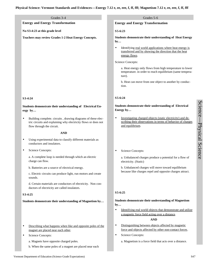# **Energy and Energy Transformation**

# **No S3-4:23 at this grade level**

**Teachers may review Grades 1-2 Heat Energy Concepts.**

# **S3-4:24**

# **Students demonstrate their understanding of Electrical Energy by…**

• Building complete. circuits , drawing diagrams of these electric circuits and explaining why electricity flows or does not flow through the circuit.

#### **AND**

- Using experimental data to classify different materials as conductors and insulators.
- Science Concepts:

a. A complete loop is needed through which an electric charge can flow.

b. Batteries are a source of electrical energy.

c. Electric circuits can produce light, run motors and create sounds.

d. Certain materials are conductors of electricity. Non conductors of electricity are called insulators.

#### **S3-4:25**

#### **Students demonstrate their understanding of Magnetism by…**

- Describing what happens when like and opposite poles of the magnet are placed near each other.
- Science Concepts:
	- a. Magnets have opposite charged poles.
	- b. When the same poles of a magnet are placed near each

#### Grades 3-4 Grades 3-6

#### **Energy and Energy Transformation**

#### **S5-6:23**

**Students demonstrate their understanding of Heat Energy by…** 

• Identifying real world applications where heat energy is transferred and by showing the direction that the heat energy flows.

Science Concepts:

a. Heat energy only flows from high temperature to lower temperature. in order to reach equilibrium (same temperature).

b. Heat can move from one object to another by conduction.

# **S5-6:24**

**Students demonstrate their understanding of Electrical Energy by…**

- Investigating charged objects (static electricity) and describing their observations in terms of behavior of charges and equilibrium.
- Science Concepts:

a. Unbalanced charges produce a potential for a flow of electricity. (Static)

b. Unbalanced charges will move toward equilibrium because like charges repel and opposite charges attract.

#### **S5-6:25**

#### **Students demonstrate their understanding of Magnetism by…**

• Identifying real world objects that demonstrate and utilize a magnetic force field acting over a distance.

#### **AND**

- Distinguishing between objects affected by magnetic force and objects affected by other non-contact forces.
- Science Concepts:
	- a. Magnetism is a force field that acts over a distance.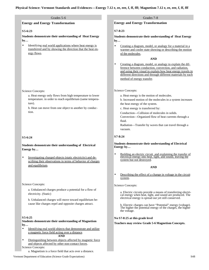#### Grades 5-6 Grades 7-8

#### **Energy and Energy Transformation**

#### **S5-6:23**

**Students demonstrate their understanding of Heat Energy by…** 

Identifying real world applications where heat energy is transferred and by showing the direction that the heat energy flows.

#### Science Concepts:

a. Heat energy only flows from high temperature to lower temperature. in order to reach equilibrium (same temperature).

b. Heat can move from one object to another by conduction.

#### **S5-6:24**

#### **Students demonstrate their understanding of Electrical Energy by…**

• Investigating charged objects (static electricity) and describing their observations in terms of behavior of charges and equilibrium.

#### Science Concepts:

a. Unbalanced charges produce a potential for a flow of electricity. (Static)

b. Unbalanced charges will move toward equilibrium because like charges repel and opposite charges attract.

#### **S5-6:25**

#### **Students demonstrate their understanding of Magnetism by…**

- Identifying real world objects that demonstrate and utilize a magnetic force field acting over a distance. **AND**
- Distinguishing between objects affected by magnetic force and objects affected by other non-contact forces.

Science Concepts:

a. Magnetism is a force field that acts over a distance.

#### **Energy and Energy Transformation**

#### **S7-8:23**

**Students demonstrate their understanding of Heat Energy by…**

• Creating a diagram, model, or analogy for a material in a warmer and cooler state showing or describing the motion of the molecules.

#### **AND**

• Creating a diagram, model, or analogy to explain the difference between conduction, convection, and radiation, and using their visual to explain how heat energy travels in different directions and through different materials by each method of energy transfer.

#### Science Concepts:

a. Heat energy is the motion of molecules.

b. Increased motion of the molecules in a system increases the heat energy of the system.

c. Heat energy is transferred by:

Conduction—Collision of molecules in solids.

Convection—Organized flow of heat currents through a fluid.

Radiation—Transfer by waves that can travel through a vacuum.

#### **S7-8:24**

#### **Students demonstrate their understanding of Electrical Energy by…**

• Building an electric circuit and explaining the transfer of electrical energy into heat, light, and sound, leaving the system but not destroyed.

#### **AND**

• Describing the effect of a change in voltage in the circuit system.

Science Concepts:

a. Electric circuits provide a means of transferring electrical energy when heat, light, and sound are produced. The electrical energy is spread out yet still conserved.

b. Electric charges can have "Potential" energy (voltage). The higher the potential energy of the charges, the higher the voltage.

#### **No S7-8:25 at this grade level**

**Teachers may review Grade 5-6 Magnetism Concepts.**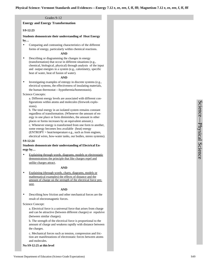#### Grades 9-12

#### **Energy and Energy Transformation**

#### **S9-12:23**

**Students demonstrate their understanding of Heat Energy by…** 

• Comparing and contrasting characteristics of the different forms of energy, particularly within chemical reactions.

#### **AND**

• Describing or diagramming the changes in energy (transformation) that occur in different situations (e.g., chemical, biological, physical) through analysis of the input and output energies in a system (e.g., calorimetry, specific heat of water, heat of fusion of water).

#### **AND**

• Investigating examples of entropy in discrete systems (e.g., electrical systems, the effectiveness of insulating materials, the human thermostat—hypothermia/homeostasis).

Science Concepts:

a. Different energy levels are associated with different configurations within atoms and molecules (firework explosions).

b. The total energy in an isolated system remains constant regardless of transformation. (Whenever the amount of energy in one place or form diminishes, the amount in other places or forms increases by an equivalent amount.).

c. Whenever energy is transformed from one form to another, some energy becomes less available (heat) energy (ENTROPY = heat/temperature e.g., such as from engines,

electrical wires, how-water tanks, our bodies, stereo systems).

#### **S9-12:24**

#### **Students demonstrate their understanding of Electrical Energy by…**

Explaining through words, diagrams, models or electrostatic demonstrations the principle that like charges repel and unlike charges attract.

#### **AND**

Explaining (through words, charts, diagrams, models or mathematical examples) the effects of distance and the amount of charge on the strength of the electrical force present.

#### **AND**

• Describing how friction and other mechanical forces are the result of electromagnetic forces.

#### Science Concept:

a. Electrical force is a universal force that arises from charge and can be attractive (between different charges) or repulsive (between similar charges).

b. The strength of the electrical force is proportional to the amount of charge and weakens rapidly with distance between the charges.

c. Mechanical forces such as tension, compression and friction are manifestations of electrostatic forces between atoms and molecules.

**No S9-12:25 at this level**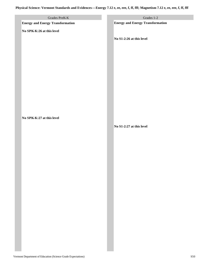| Grades PreK-K<br><b>Energy and Energy Transformation</b> | Grades 1-2<br><b>Energy and Energy Transformation</b> |
|----------------------------------------------------------|-------------------------------------------------------|
|                                                          |                                                       |
| No SPK-K:26 at this level                                |                                                       |
|                                                          | No S1-2:26 at this level                              |
|                                                          |                                                       |
|                                                          |                                                       |
|                                                          |                                                       |
|                                                          |                                                       |
|                                                          |                                                       |
|                                                          |                                                       |
|                                                          |                                                       |
|                                                          |                                                       |
|                                                          |                                                       |
|                                                          |                                                       |
|                                                          |                                                       |
|                                                          |                                                       |
|                                                          |                                                       |
| No SPK-K:27 at this level                                |                                                       |
|                                                          | No S1-2:27 at this level                              |
|                                                          |                                                       |
|                                                          |                                                       |
|                                                          |                                                       |
|                                                          |                                                       |
|                                                          |                                                       |
|                                                          |                                                       |
|                                                          |                                                       |
|                                                          |                                                       |
|                                                          |                                                       |
|                                                          |                                                       |
|                                                          |                                                       |
|                                                          |                                                       |
|                                                          |                                                       |
|                                                          |                                                       |
|                                                          |                                                       |
|                                                          |                                                       |
|                                                          |                                                       |
|                                                          |                                                       |
|                                                          |                                                       |
|                                                          |                                                       |
|                                                          |                                                       |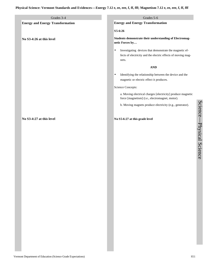| Grades 3-4                              | Grades 5-6                                                                                                                                    |
|-----------------------------------------|-----------------------------------------------------------------------------------------------------------------------------------------------|
| <b>Energy and Energy Transformation</b> | <b>Energy and Energy Transformation</b>                                                                                                       |
|                                         | S5-6:26                                                                                                                                       |
| No S3-4:26 at this level                | Students demonstrate their understanding of Electromag-<br>netic Forces by                                                                    |
|                                         | Investigating devices that demonstrate the magnetic ef-<br>$\bullet$<br>fects of electricity and the electric effects of moving mag-<br>nets. |
|                                         | <b>AND</b>                                                                                                                                    |
|                                         | Identifying the relationship between the device and the<br>$\bullet$                                                                          |
|                                         | magnetic or electric effect it produces.                                                                                                      |
|                                         | Science Concepts:                                                                                                                             |
|                                         | a. Moving electrical charges [electricity] produce magnetic<br>force [magnetism] (i.e., electromagnet, motor).                                |
|                                         | b. Moving magnets produce electricity (e.g., generator).                                                                                      |
| No S3-4:27 at this level                | No S5-6:27 at this grade level                                                                                                                |
|                                         |                                                                                                                                               |
|                                         |                                                                                                                                               |

Science

 $\overline{\phantom{a}}$ 

Physical Science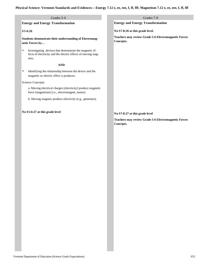| Grades 5-6                                                                                                                            | Grades 7-8                                                                                    |
|---------------------------------------------------------------------------------------------------------------------------------------|-----------------------------------------------------------------------------------------------|
| <b>Energy and Energy Transformation</b>                                                                                               | <b>Energy and Energy Transformation</b>                                                       |
| $S5-6:26$                                                                                                                             | No S7-8:26 at this grade level.                                                               |
| Students demonstrate their understanding of Electromag-<br>netic Forces by                                                            | <b>Teachers may review Grade 5-6 Electromagnetic Forces</b><br>Concepts.                      |
| Investigating devices that demonstrate the magnetic ef-<br>٠<br>fects of electricity and the electric effects of moving mag-<br>nets. |                                                                                               |
| <b>AND</b>                                                                                                                            |                                                                                               |
| Identifying the relationship between the device and the<br>٠<br>magnetic or electric effect it produces.                              |                                                                                               |
| Science Concepts:                                                                                                                     |                                                                                               |
| a. Moving electrical charges [electricity] produce magnetic<br>force [magnetism] (i.e., electromagnet, motor).                        |                                                                                               |
| b. Moving magnets produce electricity (e.g., generator).                                                                              |                                                                                               |
| No S5-6:27 at this grade level                                                                                                        | No S7-8:27 at this grade level<br><b>Teachers may review Grade 5-6 Electromagnetic Forces</b> |
|                                                                                                                                       | Concepts.                                                                                     |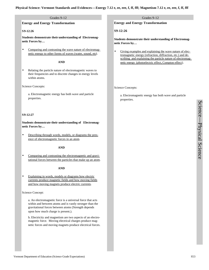#### Grades 9-12

#### **Energy and Energy Transformation**

#### **S9-12:26**

**Students demonstrate their understanding of Electromagnetic Forces by…**

Comparing and contrasting the wave nature of electromagnetic energy to other forms of waves (water, sound, etc).

#### **AND**

Relating the particle nature of electromagnetic waves to their frequencies and to discrete changes in energy levels within atoms.

Science Concepts:

a. Electromagnetic energy has both wave and particle properties.

#### **S9-12:27**

**Students demonstrate their understanding of Electromagnetic Forces by…**

• Describing through words, models, or diagrams the presence of electromagnetic forces in an atom.

#### **AND**

Comparing and contrasting the electromagnetic and gravitational forces between the particles that make up an atom.

#### **AND**

Explaining in words, models or diagrams how electric currents produce magnetic fields and how moving fields and how moving magnets produce electric currents.

#### Science Concept:

a. An electromagnetic force is a universal force that acts within and between atoms and is vastly stronger than the gravitational forces between atoms (Strength depends upon how much charge is present.).

b. Electricity and magnetism are two aspects of an electromagnetic force. Moving electrical charges produce magnetic forces and moving magnets produce electrical forces.

#### Grades 9-12

**Energy and Energy Transformation**

**S9-12:26**

**Students demonstrate their understanding of Electromagnetic Forces by…**

Giving examples and explaining the wave nature of electromagnetic energy (refraction, diffraction, etc.) and describing and explaining the particle nature of electromagnetic energy (photoelectric effect, Compton effect).

Science Concepts:

a. Electromagnetic energy has both wave and particle properties.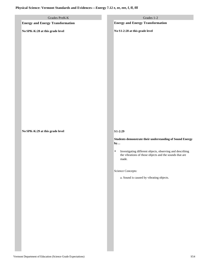# **Physical Science: Vermont Standards and Evidences—Energy 7.12 e, ee, eee, f, ff, fff**

| Grades PreK-K<br><b>Energy and Energy Transformation</b> | Grades 1-2<br><b>Energy and Energy Transformation</b>                                                                                      |
|----------------------------------------------------------|--------------------------------------------------------------------------------------------------------------------------------------------|
|                                                          |                                                                                                                                            |
| No SPK-K:28 at this grade level                          | No S1-2:28 at this grade level                                                                                                             |
|                                                          |                                                                                                                                            |
|                                                          |                                                                                                                                            |
| No SPK-K:29 at this grade level                          | $S1-2:29$                                                                                                                                  |
|                                                          | Students demonstrate their understanding of Sound Energy<br>by                                                                             |
|                                                          | Investigating different objects, observing and describing<br>$\bullet$<br>the vibrations of those objects and the sounds that are<br>made. |
|                                                          | <b>Science Concepts:</b>                                                                                                                   |
|                                                          | a. Sound is caused by vibrating objects.                                                                                                   |
|                                                          |                                                                                                                                            |
|                                                          |                                                                                                                                            |
|                                                          |                                                                                                                                            |
|                                                          |                                                                                                                                            |
|                                                          |                                                                                                                                            |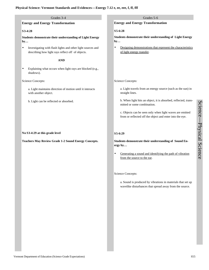### **Physical Science: Vermont Standards and Evidences—Energy 7.12 e, ee, eee, f, ff, fff**

| Grades 3-4                                                                                                       | Grades 5-6                                                                                                           |  |
|------------------------------------------------------------------------------------------------------------------|----------------------------------------------------------------------------------------------------------------------|--|
| <b>Energy and Energy Transformation</b>                                                                          | <b>Energy and Energy Transformation</b>                                                                              |  |
| S3-4:28                                                                                                          | $S5-6:28$                                                                                                            |  |
| Students demonstrate their understanding of Light Energy<br>by                                                   | <b>Students demonstrate their understanding of Light Energy</b><br>by                                                |  |
| Investigating with flash lights and other light sources and<br>describing how light rays reflect off of objects. | Designing demonstrations that represent the characteristics<br>٠<br>of light energy transfer.                        |  |
| <b>AND</b>                                                                                                       |                                                                                                                      |  |
| Explaining what occurs when light rays are blocked (e.g.,<br>shadows).                                           |                                                                                                                      |  |
| Science Concepts:                                                                                                | Science Concepts:                                                                                                    |  |
| a. Light maintains direction of motion until it interacts<br>with another object.                                | a. Light travels from an energy source (such as the sun) in<br>straight lines.                                       |  |
| b. Light can be reflected or absorbed.                                                                           | b. When light hits an object, it is absorbed, reflected, trans-<br>mitted or some combination.                       |  |
|                                                                                                                  | c. Objects can be seen only when light waves are emitted<br>from or reflected off the object and enter into the eye. |  |
| No S3-4:29 at this grade level                                                                                   | $S5-6:29$                                                                                                            |  |
| <b>Teachers May Review Grade 1-2 Sound Energy Concepts.</b>                                                      | Students demonstrate their understanding of Sound En-<br>ergy by                                                     |  |
|                                                                                                                  | Generating a sound and identifying the path of vibration<br>٠<br>from the source to the ear.                         |  |

Science Concepts:

a. Sound is produced by vibrations in materials that set up wavelike disturbances that spread away from the source.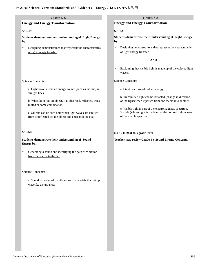#### **Physical Science: Vermont Standards and Evidences—Energy 7.12 e, ee, eee, f, ff, fff**

#### Grades 5-6

#### **Energy and Energy Transformation**

#### **S5-6:28**

**Students demonstrate their understanding of Light Energy by…**

Designing demonstrations that represent the characteristics of light energy transfer.

#### Science Concepts:

a. Light travels from an energy source (such as the sun) in straight lines.

b. When light hits an object, it is absorbed, reflected, transmitted or some combination.

c. Objects can be seen only when light waves are emitted from or reflected off the object and enter into the eye.

#### **S5-6:29**

**Students demonstrate their understanding of Sound Energy by…**

Generating a sound and identifying the path of vibration from the source to the ear.

#### Science Concepts:

a. Sound is produced by vibrations in materials that set up wavelike disturbances

#### Grades 7-8

#### **Energy and Energy Transformation**

#### **S7-8:28**

**Students demonstrate their understanding of Light Energy by…**

• Designing demonstrations that represent the characteristics of light energy transfer.

#### **AND**

• Explaining that visible light is made up of the colored light waves.

Science Concepts:

a. Light is a form of radiant energy.

b. Transmitted light can be refracted (change in direction of the light) when it passes from one media into another.

c. Visible light is part of the electromagnetic spectrum. Visible (white) light is made up of the colored light waves of the visible spectrum.

#### **No S7-8:29 at this grade level**

**Teacher may review Grade 5-6 Sound Energy Concepts.**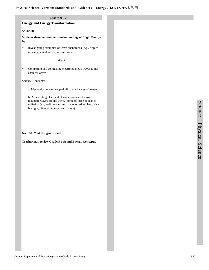#### Grades 9-12

#### **Energy and Energy Transformation**

#### **S9-12:28**

**Students demonstrate their understanding of Light Energy by…**

• Investigating examples of wave phenomena (e.g., ripples in water, sound waves, seismic waves).

#### **AND**

Comparing and contrasting electromagnetic waves to mechanical waves.

Science Concepts:

a. Mechanical waves are periodic disturbances of matter.

b. Accelerating electrical charges produce electromagnetic waves around them. Some of these appear as radiation (e.g. radio waves, microwaves radiant heat, visible light, ultra-violet rays, and x-rays).

**No S7-8:29 at this grade level**

**Teacher may review Grade 5-6 Sound Energy Concepts.**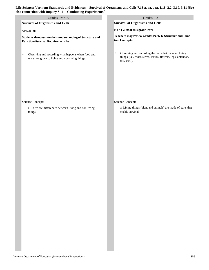| so connection with Inquiry S: 4-Conducting Experiments.]                                                    |                                                           |                                                                                                                                                     |
|-------------------------------------------------------------------------------------------------------------|-----------------------------------------------------------|-----------------------------------------------------------------------------------------------------------------------------------------------------|
| Grades PreK-K                                                                                               |                                                           | Grades 1-2                                                                                                                                          |
|                                                                                                             |                                                           | <b>Survival of Organisms and Cells</b>                                                                                                              |
|                                                                                                             |                                                           | No S1-2:30 at this grade level                                                                                                                      |
| Students demonstrate their understanding of Structure and<br>Function-Survival Requirements by              |                                                           | Teachers may review Grades PreK-K Structure and Func-<br>tion Concepts.                                                                             |
| Observing and recording what happens when food and<br>٠<br>water are given to living and non-living things. |                                                           | Observing and recording the parts that make up living<br>$\bullet$<br>things (i.e., roots, stems, leaves, flowers, legs, antennae,<br>tail, shell). |
| Science Concept:<br>a. There are differences between living and non-living<br>things.                       |                                                           | Science Concept:<br>a. Living things (plant and animals) are made of parts that<br>enable survival.                                                 |
|                                                                                                             | <b>Survival of Organisms and Cells</b><br><b>SPK-K:30</b> |                                                                                                                                                     |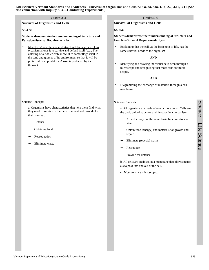#### Grades 3-4 Grades 5-6

**Survival of Organisms and Cells**

#### **S3-4:30**

**Students demonstrate their understanding of Structure and Function–Survival Requirements by…**

Identifying how the physical structure/characteristic of an organism allows it to survive and defend itself (e.g., The coloring of a fiddler crab allows it to camouflage itself in the sand and grasses of its environment so that it will be protected from predators. A rose is protected by its thorns.).

#### Science Concept:

a. Organisms have characteristics that help them find what they need to survive in their environment and provide for their survival:

- − Defense
- − Obtaining food
- − Reproduction
- Eliminate waste

#### **Survival of Organisms and Cells**

#### **S5-6:30**

#### **Students demonstrate their understanding of Structure and Function-Survival Requirements by…**

• Explaining that the cell, as the basic unit of life, has the same survival needs as the organism.

#### **AND**

• Identifying and drawing individual cells seen through a microscope and recognizing that most cells are microscopic.

#### **AND**

• Diagramming the exchange of materials through a cell membrane.

#### Science Concepts:

a. All organisms are made of one or more cells. Cells are the basic unit of structure and function in an organism.

- All cells carry out the same basic functions to survive:
- − Obtain food (energy) and materials for growth and repair
- − Eliminate (recycle) waste
- − Reproduce
- Provide for defense

b. All cells are enclosed in a membrane that allows materials to pass into and out of the cell.

c. Most cells are microscopic.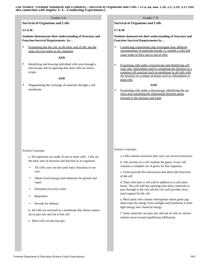#### Grades 5-6 Grades 7-8

**Survival of Organisms and Cells**

#### **S5-6:30**

**Students demonstrate their understanding of Structure and Function-Survival Requirements by…**

Explaining that the cell, as the basic unit of life, has the same survival needs as the organism.

#### **AND**

• Identifying and drawing individual cells seen through a microscope and recognizing that most cells are microscopic.

#### **AND**

• Diagramming the exchange of materials through a cell membrane.

#### Science Concepts:

a. All organisms are made of one or more cells. Cells are the basic unit of structure and function in an organism.

- − All cells carry out the same basic functions to survive:
- − Obtain food (energy) and materials for growth and repair
- − Eliminate (recycle) waste
- − Reproduce
- Provide for defense

b. All cells are enclosed in a membrane that allows materials to pass into and out of the cell.

c. Most cells are microscopic. .

**Survival of Organisms and Cells**

#### **S7-8:30**

**Students demonstrate their understanding of Structure and Function–Survival Requirements by…** 

- Conducting experiments that investigate how different concentrations of materials (inside vs. outside a cell) will cause water to flow into or out of cells.
- Examining cells under a microscope and identifying cell wall, and chloroplasts and by comparing the function of a common cell structure such as membrane in all cells with the function of a unique structure such as chloroplasts in plant cells.

#### **AND**

Examining cells under a microscope, identifying the nucleus and explaining the relationship between genes (located in the nucleus) and traits.

#### Science Concepts:

- a. Cells contain structures that carry out survival functions.
- b. The nucleus of a cell contains the genes. Every cell contains a complete set of genes for that organism.
- c. Genes provide the instructions that direct the functions of the cell.
- d. Plant cells have a cell wall in addition to a cell membrane. The cell wall has openings that allow materials to pass through to the cell and the cell wall provides structural support for the cell.
- e. Most plant cells contain chloroplasts where green pigment traps the energy from sunlight and transforms it from light energy into chemical energy.
- f. Some materials can pass into and out of cells as concentrations move toward equilibrium (diffusion).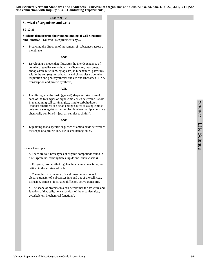#### Grades 9-12

#### **Survival of Organisms and Cells**

#### **S9-12:30:**

**Students demonstrate their understanding of Cell Structure and Function—Survival Requirements by…** 

Predicting the direction of movement of substances across a membrane.

#### **AND**

• Developing a model that illustrates the interdependence of cellular organelles (mitochondria, ribosomes, lysosomes, endoplasmic reticulum, cytoplasm) in biochemical pathways within the cell (e.g. mitochondria and chloroplasts : cellular respiration and photosynthesis; nucleus and ribosomes : DNA transcription and protein synthesis).

#### **AND**

Identifying how the basic (general) shape and structure of each of the four types of organic molecules determine its role in maintaining cell survival (i.e., simple carbohydrates [monosaccharides] can be an energy source as a single molecule and a storage/structural molecule when multiple units are chemically combined—[starch, cellulose, chitin].).

#### **AND**

Explaining that a specific sequence of amino acids determines the shape of a protein (i.e., sickle cell hemoglobin).

#### Science Concepts:

a. There are four basic types of organic compounds found in a cell (proteins, carbohydrates, lipids and nucleic acids).

b. Enzymes, proteins that regulate biochemical reactions, are critical to the survival of cells.

c. The molecular structure of a cell membrane allows for elective transfer of substances into and out of the cell. (i.e., diffusion, osmosis, facilitated diffusion, active transport).

d. The shape of proteins in a cell determines the structure and function of that cells, hence survival of the organism (i.e., cytoskeleton, biochemical functions).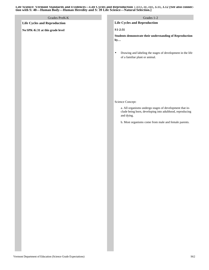| Grades PreK-K                       | Grades 1-2                                                                                                                        |
|-------------------------------------|-----------------------------------------------------------------------------------------------------------------------------------|
| <b>Life Cycles and Reproduction</b> | <b>Life Cycles and Reproduction</b>                                                                                               |
| No SPK-K:31 at this grade level     | S1-2:31                                                                                                                           |
|                                     | Students demonstrate their understanding of Reproduction<br>by                                                                    |
|                                     | Drawing and labeling the stages of development in the life<br>٠<br>of a familiar plant or animal.                                 |
|                                     |                                                                                                                                   |
|                                     | Science Concept:                                                                                                                  |
|                                     | a. All organisms undergo stages of development that in-<br>clude being born, developing into adulthood, reproducing<br>and dying. |
|                                     | b. Most organisms come from male and female parents.                                                                              |
|                                     |                                                                                                                                   |
|                                     |                                                                                                                                   |
|                                     |                                                                                                                                   |
|                                     |                                                                                                                                   |
|                                     |                                                                                                                                   |
|                                     |                                                                                                                                   |
|                                     |                                                                                                                                   |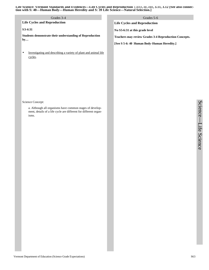| Grades 3-4                                                                                                                                                | Grades 5-6                                                   |
|-----------------------------------------------------------------------------------------------------------------------------------------------------------|--------------------------------------------------------------|
| <b>Life Cycles and Reproduction</b>                                                                                                                       | <b>Life Cycles and Reproduction</b>                          |
| S3-4:31                                                                                                                                                   | No S5-6:31 at this grade level                               |
| Students demonstrate their understanding of Reproduction<br>by                                                                                            | <b>Teachers may review Grades 3-4 Reproduction Concepts.</b> |
|                                                                                                                                                           | [See S 5-6: 40 Human Body-Human Heredity.]                   |
| Investigating and describing a variety of plant and animal life<br>$\bullet$<br>cycles.                                                                   |                                                              |
| Science Concept:<br>a. Although all organisms have common stages of develop-<br>ment, details of a life cycle are different for different organ-<br>isms. |                                                              |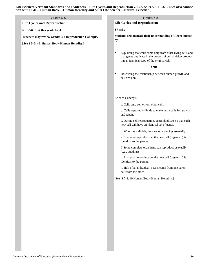#### Grades 5-6 Grades 7-8

**Life Cycles and Reproduction**

**No S5-6:31 at this grade level**

**Teachers may review Grades 3-4 Reproduction Concepts.**

**[See S 5-6: 40 Human Body-Human Heredity.]**

**Life Cycles and Reproduction**

#### **S7-8:31**

**Students demonstrate their understanding of Reproduction by …**

• Explaining that cells come only from other living cells and that genes duplicate in the process of cell division producing an identical copy of the original cell.

#### **AND**

• Describing the relationship between human growth and cell division.

#### Science Concepts:

a. Cells only come from other cells.

b. Cells repeatedly divide to make more cells for growth and repair.

c. During cell reproduction, genes duplicate so that each new cell will have an identical set of genes.

d. When cells divide, they are reproducing asexually.

e. In asexual reproduction, the new cell (organism) is identical to the parent.

f. Some complete organisms can reproduce asexually (e.g., budding).

g. In asexual reproduction, the new cell (organism) is identical to the parent.

h. Half of an individual's traits come from one parent half from the other.

[See S 7-8: 40 Human Body-Human Heredity.]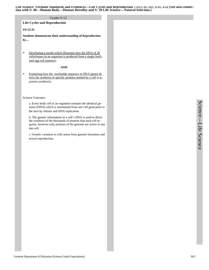#### Grades 9-12

**Life Cycles and Reproduction**

#### **S9-12:31**

**Students demonstrate their understanding of Reproduction by…** 

• Developing a model which illustrates how the DNA of all cells/tissues in an organism is produced from a single fertilized egg cell (mitosis).

#### **AND**

• Explaining how the nucleotide sequence in DNA (gene) directs the synthesis of specific proteins needed by a cell (e.g., protein synthesis).

Science Concepts:

a. Every body cell in an organism contains the identical genome (DNA) which is maintained from one cell generation to the next by mitosis and DNA replication.

b. The genetic information in a cell's DNA is used to direct the synthesis of the thousands of proteins that each cell requires, however only portions of the genome are active in any one cell.

c. Genetic variation in cells arises from gamete formation and sexual reproduction.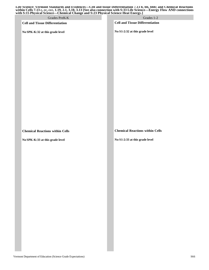**Life Science: Vermont Standards and Evidences—Cell and tissue Differentiation 7.13 b, bb, bbb; and Chemical Reactions within Cells 7.13 c, cc, ccc, 1.19, 2.1, 3.10, 3.13 [See also connection with S:33 Life Science—Energy Flow AND connections with S:15 Physical Science—Chemical Change and S:23 Physical Science Heat Energy.]**

| This Section is the science—chemical change and Section Science Heat Energy. $\int$ |                                                                          |
|-------------------------------------------------------------------------------------|--------------------------------------------------------------------------|
| Grades PreK-K                                                                       | Grades 1-2                                                               |
| <b>Cell and Tissue Differentiation</b>                                              | <b>Cell and Tissue Differentiation</b>                                   |
| No SPK-K:32 at this grade level                                                     | No S1-2:32 at this grade level                                           |
|                                                                                     |                                                                          |
| <b>Chemical Reactions within Cells</b><br>No SPK-K:33 at this grade level           | <b>Chemical Reactions within Cells</b><br>No S1-2:33 at this grade level |
|                                                                                     |                                                                          |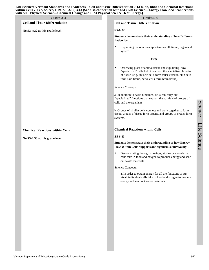**Life Science: Vermont Standards and Evidences—Cell and tissue Differentiation 7.13 b, bb, bbb; and Chemical Reactions within Cells 7.13 c, cc, ccc, 1.19, 2.1, 3.10, 3.13 [See also connection with S:33 Life Science—Energy Flow AND connections with S:15 Physical Science—Chemical Change and S:23 Physical Science Heat Energy.]**

| $\sim$ . The state of the state theory composition<br>vith S:15 Physical Science—Chemical Change and S:23 Physical Science Heat Energy.] |                                        |  |                                                                                                                                                                                                                                                       |  |  |
|------------------------------------------------------------------------------------------------------------------------------------------|----------------------------------------|--|-------------------------------------------------------------------------------------------------------------------------------------------------------------------------------------------------------------------------------------------------------|--|--|
|                                                                                                                                          | Grades 3-4                             |  | Grades 5-6                                                                                                                                                                                                                                            |  |  |
|                                                                                                                                          | <b>Cell and Tissue Differentiation</b> |  | <b>Cell and Tissue Differentiation</b>                                                                                                                                                                                                                |  |  |
|                                                                                                                                          | No S3-4:32 at this grade level         |  | S5-6:32                                                                                                                                                                                                                                               |  |  |
|                                                                                                                                          |                                        |  | Students demonstrate their understanding of how Differen-<br>tiation by                                                                                                                                                                               |  |  |
|                                                                                                                                          |                                        |  | Explaining the relationship between cell, tissue, organ and<br>$\bullet$<br>system.                                                                                                                                                                   |  |  |
|                                                                                                                                          |                                        |  | <b>AND</b>                                                                                                                                                                                                                                            |  |  |
|                                                                                                                                          |                                        |  | Observing plant or animal tissue and explaining how<br>$\bullet$<br>"specialized" cells help to support the specialized function<br>of tissue (e.g., muscle cells form muscle tissue, skin cells<br>form skin tissue, nerve cells form brain tissue). |  |  |
|                                                                                                                                          |                                        |  | Science Concepts:                                                                                                                                                                                                                                     |  |  |
|                                                                                                                                          |                                        |  | a. In addition to basic functions, cells can carry out<br>"specialized" functions that support the survival of groups of<br>cells and the organism.                                                                                                   |  |  |
|                                                                                                                                          |                                        |  | b. Groups of similar cells connect and work together to form<br>tissue, groups of tissue form organs, and groups of organs form<br>systems.                                                                                                           |  |  |
|                                                                                                                                          | <b>Chemical Reactions within Cells</b> |  | <b>Chemical Reactions within Cells</b>                                                                                                                                                                                                                |  |  |
|                                                                                                                                          | No S3-4:33 at this grade level         |  | S5-6:33                                                                                                                                                                                                                                               |  |  |
|                                                                                                                                          |                                        |  | <b>Students demonstrate their understanding of how Energy</b><br>Flow Within Cells Supports an Organism's Survival by                                                                                                                                 |  |  |
|                                                                                                                                          |                                        |  | Demonstrating through drawings, stories or models that<br>$\bullet$<br>cells take in food and oxygen to produce energy and send<br>out waste materials.                                                                                               |  |  |
|                                                                                                                                          |                                        |  | Science Concepts:                                                                                                                                                                                                                                     |  |  |
|                                                                                                                                          |                                        |  | a. In order to obtain energy for all the functions of sur-<br>vival, individual cells take in food and oxygen to produce<br>energy and send out waste materials.                                                                                      |  |  |
|                                                                                                                                          |                                        |  |                                                                                                                                                                                                                                                       |  |  |
|                                                                                                                                          |                                        |  |                                                                                                                                                                                                                                                       |  |  |
|                                                                                                                                          |                                        |  |                                                                                                                                                                                                                                                       |  |  |
|                                                                                                                                          |                                        |  |                                                                                                                                                                                                                                                       |  |  |
|                                                                                                                                          |                                        |  |                                                                                                                                                                                                                                                       |  |  |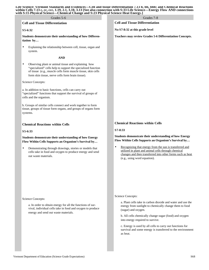**Life Science: Vermont Standards and Evidences—Cell and tissue Differentiation 7.13 b, bb, bbb; and Chemical Reactions within Cells 7.13 c, cc, ccc, 1.19, 2.1, 3.10, 3.13 [See also connection with S:33 Life Science—Energy Flow AND connections with S:15 Physical Science—Chemical Change and S:23 Physical Science Heat Energy.]**

#### **Cell and Tissue Differentiation**

#### **S5-6:32**

**Students demonstrate their understanding of how Differentiation by…**

• Explaining the relationship between cell, tissue, organ and system.

#### **AND**

• Observing plant or animal tissue and explaining how "specialized" cells help to support the specialized function of tissue (e.g., muscle cells form muscle tissue, skin cells form skin tissue, nerve cells form brain tissue).

#### Science Concepts:

a. In addition to basic functions, cells can carry out "specialized" functions that support the survival of groups of cells and the organism.

b. Groups of similar cells connect and work together to form tissue, groups of tissue form organs, and groups of organs form systems.

#### **Chemical Reactions within Cells**

#### **S5-6:33**

#### **Students demonstrate their understanding of how Energy Flow Within Cells Supports an Organism's Survival by…**

• Demonstrating through drawings, stories or models that cells take in food and oxygen to produce energy and send out waste materials.

#### Science Concepts:

a. In order to obtain energy for all the functions of survival, individual cells take in food and oxygen to produce energy and send out waste materials.

Grades 5-6 Grades 7-8

**Cell and Tissue Differentiation**

**No S7-8:32 at this grade level**

**Teachers may review Grades 5-6 Differentiation Concepts.**

#### **Chemical Reactions within Cells**

**S7-8:33**

#### **Students demonstrate their understanding of how Energy Flow Within Cells Supports an Organism's Survival by…**

Recognizing that energy from the sun is transferred and utilized in plant and animal cells through chemical changes and then transferred into other forms such as heat (e.g., using word equation).

#### Science Concepts:

a. Plant cells take in carbon dioxide and water and use the energy from sunlight to chemically change them to food (sugar) and oxygen.

b. All cells chemically change sugar (food) and oxygen into energy required to survive.

c. Energy is used by all cells to carry out functions for survival and some energy is transferred to the environment as heat.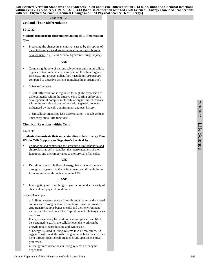#### Grades 9-12

#### **Cell and Tissue Differentiation**

#### **S9-12:32**

**Students demonstrate their understanding of Differentiation by…**

• Predicting the change in an embryo, caused by disruption of the ectoderm or mesoderm or endoderm during embryonic development (e.g., Fetal Alcohol Syndrome, drugs, injury).

**AND**

- Comparing the role of various sub-cellular units in unicellular organisms to comparable structures in multicellular organisms (i.e., oral groove, gullet, food vacuole in *Paramecium* compared to digestive systems in multicellular organisms).
- Science Concepts:

a. Cell differentiation is regulated through the expression of different genes within the embryo cells. During embryonic development of complex multicellular organisms, chemicals within the cells deactivate portions of the genetic code as influenced by the cell's environment and past history.

b. Unicellular organisms lack differentiation, but sub-cellular units carry out all life functions.

#### **Chemical Reactions within Cells**

#### **S9-12:33**

#### **Students demonstrate their understanding of how Energy Flow Within Cells Supports an Organism's Survival by…**

Comparing and contrasting the structure of mitochondria and chloroplasts as cell organelles, the interrelatedness of their functions, and their importance to the survival of all cells.

#### **AND**

• Describing a possible flow of energy from the environment through an organism to the cellular level, and through the cell from assimilation through storage in ATP.

#### **AND**

• Investigating and describing enzyme action under a variety of chemical and physical conditions.

#### Science Concepts:

a. In living systems energy flows through matter and is stored and released through chemical reactions. Basic survival energy transformations between cells and their environment include aerobic and anaerobic respiration and photosynthesis reactions.

Energy is necessary for work to be accomplished and life to be sustained (e.g., At the cellular level this work can be growth, repair, reproduction, and synthesis.) .

b. Energy is stored in living systems in ATP molecules. Energy is transformed through living systems from the environment through specific cell organelles and specific chemical processes.

**c.** Energy transformations in living systems are enzymedependent.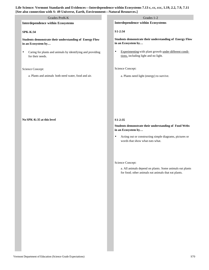# **Life Science: Vermont Standards and Evidences—Interdependence within Ecosystems 7.13 c, cc, ccc, 1.19, 2.2, 7.9, 7.11 [See also connection with S: 49 Universe, Earth, Environment—Natural Resources.]**

| 'ee also connection with S: 49 Universe, Earth, Environment-Natural Resources.]             |                                                                                                                                                                                             |  |  |  |
|---------------------------------------------------------------------------------------------|---------------------------------------------------------------------------------------------------------------------------------------------------------------------------------------------|--|--|--|
| Grades PreK-K                                                                               | Grades 1-2                                                                                                                                                                                  |  |  |  |
| <b>Interdependence within Ecosystems</b>                                                    | <b>Interdependence within Ecosystems</b>                                                                                                                                                    |  |  |  |
| <b>SPK-K:34</b>                                                                             | S1-2:34                                                                                                                                                                                     |  |  |  |
| Students demonstrate their understanding of Energy Flow<br>in an Ecosystem by               | Students demonstrate their understanding of Energy Flow<br>in an Ecosystem by                                                                                                               |  |  |  |
| Caring for plants and animals by identifying and providing<br>$\bullet$<br>for their needs. | Experimenting with plant growth under different condi-<br>$\bullet$<br>tions, including light and no light.                                                                                 |  |  |  |
| Science Concept:                                                                            | Science Concept:                                                                                                                                                                            |  |  |  |
| a. Plants and animals both need water, food and air.                                        | a. Plants need light (energy) to survive.                                                                                                                                                   |  |  |  |
| No SPK-K:35 at this level                                                                   | $S1-2:35$<br>Students demonstrate their understanding of Food Webs<br>in an Ecosystem by<br>Acting out or constructing simple diagrams, pictures or<br>٠<br>words that show what eats what. |  |  |  |
|                                                                                             | Science Concept:<br>a. All animals depend on plants. Some animals eat plants<br>for food; other animals eat animals that eat plants.                                                        |  |  |  |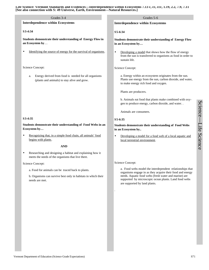**Life Science: Vermont Standards and Evidences—Interdependence within Ecosystems 7.13 c, cc, ccc, 1.19, 2.2, 7.9, 7.11 [See also connection with S: 49 Universe, Earth, Environment—Natural Resources.]**

| Grades 3-4                                                                                                          | Grades 5-6                                                                                                                                                   |
|---------------------------------------------------------------------------------------------------------------------|--------------------------------------------------------------------------------------------------------------------------------------------------------------|
| <b>Interdependence within Ecosystems</b>                                                                            | <b>Interdependence within Ecosystems</b>                                                                                                                     |
| S3-4:34                                                                                                             | S5-6:34                                                                                                                                                      |
| Students demonstrate their understanding of Energy Flow in<br>an Ecosystem by                                       | <b>Students demonstrate their understanding of Energy Flow</b><br>in an Ecosystem by                                                                         |
| Identifying the source of energy for the survival of organisms.                                                     | Developing a model that shows how the flow of energy<br>$\bullet$<br>from the sun is transferred to organisms as food in order to<br>sustain life.           |
| Science Concept:                                                                                                    | Science Concept:                                                                                                                                             |
| Energy derived from food is needed for all organisms<br>a.<br>(plants and animals) to stay alive and grow.          | a. Energy within an ecosystem originates from the sun.<br>Plants use energy from the sun, carbon dioxide, and water,<br>to make energy rich food and oxygen. |
|                                                                                                                     | Plants are producers.                                                                                                                                        |
|                                                                                                                     | b. Animals eat food that plants make combined with oxy-<br>gen to produce energy, carbon dioxide, and water. .                                               |
|                                                                                                                     | Animals are consumers.                                                                                                                                       |
| S3-4:35                                                                                                             | S 5-6:35                                                                                                                                                     |
| Students demonstrate their understanding of Food Webs in an<br>Ecosystem by                                         | Students demonstrate their understanding of Food Webs<br>in an Ecosystem by                                                                                  |
| Recognizing that, in a simple food chain, all animals' food<br>begins with plants.                                  | Developing a model for a food web of a local aquatic and<br>$\bullet$<br>local terrestrial environment.                                                      |
| <b>AND</b>                                                                                                          |                                                                                                                                                              |
| Researching and designing a habitat and explaining how it<br>٠<br>meets the needs of the organisms that live there. |                                                                                                                                                              |
| Science Concept:                                                                                                    | Science Concept:                                                                                                                                             |
| a. Food for animals can be traced back to plants.                                                                   | a. Food webs model the interdependent relationships that<br>organisms engage in as they acquire their food and energy                                        |
| b. Organisms can survive best only in habitats in which their<br>needs are met.                                     | needs. Aquatic food webs (fresh water and marine) are<br>supported by microscopic ocean plants. Land food webs<br>are supported by land plants.              |
|                                                                                                                     | $\cdot$                                                                                                                                                      |
|                                                                                                                     |                                                                                                                                                              |
|                                                                                                                     |                                                                                                                                                              |
|                                                                                                                     |                                                                                                                                                              |
|                                                                                                                     |                                                                                                                                                              |
|                                                                                                                     |                                                                                                                                                              |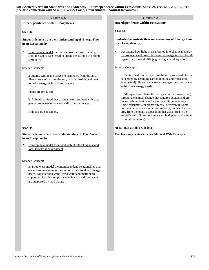**Life Science: Vermont Standards and Evidences—Interdependence within Ecosystems 7.13 c, cc, ccc, 1.19, 2.2, 7.9, 7.11 [See also connection with S: 49 Universe, Earth, Environment—Natural Resources.]**

### Grades 5-6 Grades 7-8

**Interdependence within Ecosystems**

# **S5-6:34**

**Students demonstrate their understanding of Energy Flow in an Ecosystem by…**

• Developing a model that shows how the flow of energy from the sun is transferred to organisms as food in order to sustain life.

### Science Concept:

a. Energy within an ecosystem originates from the sun. Plants use energy from the sun, carbon dioxide, and water, to make energy rich food and oxygen.

Plants are producers.

b. Animals eat food that plants make combined with oxygen to produce energy, carbon dioxide, and water. .

Animals are consumers.

### **S5-6:35**

# **Students demonstrate their understanding of Food Webs in an Ecosystem by..**

• Developing a model for a food web of a local aquatic and local terrestrial environment.

### Science Concept:

.

a. Food webs model the interdependent relationships that organisms engage in as they acquire their food and energy needs. Aquatic food webs (fresh water and marine) are supported by microscopic ocean plants. Land food webs are supported by land plants.

**Interdependence within Ecosystems**

**S7-8:34**

**Students demonstrate their understanding of Energy Flow in an Ecosystem by…**

• Describing how light is transformed into chemical energy by producers and how this chemical energy is used by all organisms to sustain life (e.g., using a word equation).

Science Concept:

a. Plants transform energy from the sun into stored chemical energy by changing carbon dioxide and water into sugar (food). Plants use or store the sugar they produce to satisfy their energy needs.

b. All organisms release the energy stored in sugar (food) through a chemical change that requires oxygen and produces carbon dioxide and water in addition to energy. Some consumers eat plants directly (herbivores). Some consumers eat other animals (carnivores) and use the energy from the plant's sugar food that was stored in the animal's cells. Some consumers eat both plant and animal material (omnivore).

### **No S7-8:35 at this grade level**

**Teachers may review Grades 5-6 Food Web Concepts.**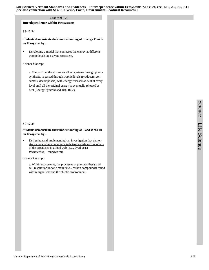**Life Science: Vermont Standards and Evidences—Interdependence within Ecosystems 7.13 c, cc, ccc, 1.19, 2.2, 7.9, 7.11 [See also connection with S: 49 Universe, Earth, Environment—Natural Resources.]**

# Grades 9-12

# **Interdependence within Ecosystems**

### **S9-12:34**

**Students demonstrate their understanding of Energy Flow in an Ecosystem by…**

• Developing a model that compares the energy at different trophic levels in a given ecosystem.

# Science Concept:

a. Energy from the sun enters all ecosystems through photosynthesis, is passed through trophic levels (producers, consumers, decomposers) with energy released as heat at every level until all the original energy is eventually released as heat (Energy Pyramid and 10% Rule).

# **S9-12:35**

# **Students demonstrate their understanding of Food Webs in an Ecosystem by…**

• Designing (and implementing) an investigation that demonstrates the chemical relationship between carbon compounds of the organisms in a food web (e.g., dyed yeast— *Paramecium*—roundworm).

Science Concept:

a. Within ecosystems, the processes of photosynthesis and cell respiration recycle matter (i.e., carbon compounds) found within organisms and the abiotic environment.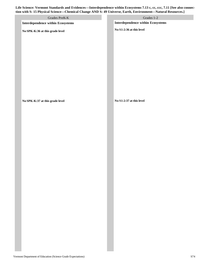**Life Science: Vermont Standards and Evidences—Interdependence within Ecosystems 7.13 c, cc, ccc, 7.11 [See also connection with S: 15 Physical Science—Chemical Change AND S: 49 Universe, Earth, Environment—Natural Resources.]**

| $\sim$<br>$\sim$<br>$\sim$<br>0                    | $\sim$ $\sim$ $\sim$<br>$\sim$                    |
|----------------------------------------------------|---------------------------------------------------|
| Grades PreK-K<br>Interdependence within Ecosystems | Grades $1-2$<br>Interdependence within Ecosystems |
| No SPK-K:36 at this grade level                    | No $\mathbf{S}$ 1-2:36 at this level              |
|                                                    |                                                   |
|                                                    |                                                   |
|                                                    |                                                   |
|                                                    |                                                   |
|                                                    |                                                   |
|                                                    |                                                   |
|                                                    |                                                   |
|                                                    |                                                   |
|                                                    |                                                   |
|                                                    |                                                   |
| No SPK-K:37 at this grade level                    | No $\mathbf{S}1\text{-}2\text{:}37$ at this level |
|                                                    |                                                   |
|                                                    |                                                   |
|                                                    |                                                   |
|                                                    |                                                   |
|                                                    |                                                   |
|                                                    |                                                   |
|                                                    |                                                   |
|                                                    |                                                   |
|                                                    |                                                   |
|                                                    |                                                   |
|                                                    |                                                   |
|                                                    |                                                   |
|                                                    |                                                   |
|                                                    |                                                   |
|                                                    |                                                   |
|                                                    |                                                   |
|                                                    |                                                   |
|                                                    |                                                   |
|                                                    |                                                   |
|                                                    |                                                   |
|                                                    |                                                   |
|                                                    |                                                   |
|                                                    |                                                   |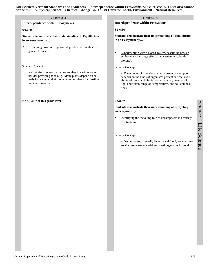# Grades 3-4 Grades 5-6

**Interdependence within Ecosystems**

### **S3-4:36**

**Students demonstrate their understanding of Equilibrium in an ecosystem by…** 

Explaining how one organism depends upon another organism to survive.

### Science Concept:

a. Organisms interact with one another in various ways besides providing food (e.g., Many plants depend on animals for carrying their pollen to other plants for fertilizing their flowers).

### **No S3-4:37 at this grade level**

**Interdependence within Ecosystems**

### **S5-6:36**

**Students demonstrate their understanding of Equilibrium in an Ecosystem by…**

• Experimenting with a closed system, describing how an environmental change effects the system (e.g., bottle biology).

### Science Concept:

a. The number of organisms an ecosystem can support depends on the kinds of organisms present and the availability of biotic and abiotic resources (i.e., quantity of light and water, range of temperatures, and soil composition).

### **S5-6:37**

# **Students demonstrate their understanding of Recycling in an ecosystem** by…

Identifying the recycling role of decomposers in a variety of situations.

# Science Concept:

a. Decomposers, primarily bacteria and fungi, are consumers that use waste material and dead organisms for food.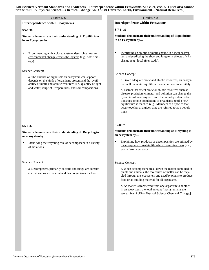Life Science: Vermont Standards and Evidences—Interdependence within Ecosystems 7.13 c, cc, ccc, 7.11 [See also connec**tion with S: 15 Physical Science—Chemical Change AND S: 49 Universe, Earth, Environment—Natural Resources.]**

# Grades 5-6 Grades 7-8

**Interdependence within Ecosystems**

### **S5-6:36**

**Students demonstrate their understanding of Equilibrium in an Ecosystem by…**

Experimenting with a closed system, describing how an environmental change effects the system (e.g., bottle biology).

### Science Concept:

a. The number of organisms an ecosystem can support depends on the kinds of organisms present and the availability of biotic and abiotic resources (i.e., quantity of light and water, range of temperatures, and soil composition).

### **S5-6:37**

# **Students demonstrate their understanding of Recycling in an ecosystem** by…

Identifying the recycling role of decomposers in a variety of situations.

### Science Concept:

a. Decomposers, primarily bacteria and fungi, are consumers that use waste material and dead organisms for food.

**Interdependence within Ecosystems**

**S 7-8: 36**

**Students demonstrate their understanding of Equilibrium in an Ecosystem by…**

• Identifying an abiotic or biotic change in a local ecosystem and predicting the short and long-term effects of t his change (e.g., local river study).

### Science Concept:

a. Given adequate biotic and abiotic resources, an ecosystem will maintain equilibrium and continue indefinitely.

b. Factors that affect biotic or abiotic resources such as disease, predation, climate, and pollution can change the dynamics of an ecosystem and the interdependent relationships among populations of organisms. until a new equilibrium is reached (e.g., Members of a species that occur together at a given time are referred to as a population).

### **S7-8:37**

**Students demonstrate their understanding of Recycling in an ecosystem** by…

• Explaining how products of decomposition are utilized by the ecosystem to sustain life while conserving mass (e.g., worm farm, compost).

### Science Concept:

a. When decomposers break down the matter contained in plants and animals, the molecules of matter can be recycled through the ecosystem and used by plants to produce food or as building material for all organisms.

b. As matter is transferred from one organism to another in an ecosystem, the total amount (mass) remains the same. [See S:15— Physical Science Chemical Change.]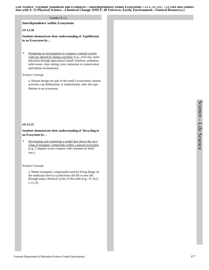Life Science: Vermont Standards and Evidences—Interdependence within Ecosystems 7.13 c, cc, ccc, 7.11 [See also connec**tion with S: 15 Physical Science—Chemical Change AND S: 49 Universe, Earth, Environment—Natural Resources.]**

### Grades 9-12

### **Interdependence within Ecosystems**

# **S9-12:36**

**Students demonstrate their understanding of Equilibrium in an Ecosystem by…**

• Designing an investigation to compare a natural system with one altered by human activities (e.g., acid rain, eutrophication through agricultural runoff, fertilizer, pollution, solid waste, clear cutting, toxic emissions or conservation and habitat reclamation).

### Science Concept:

a. Human beings are part of the earth's ecosystems; human activities can deliberately or inadvertently, alter the equilibrium in an ecosystem.

### **S9-12:37**

# **Students demonstrate their understanding of Recycling in an Ecosystem by…**

Developing and explaining a model that shows the recycling of inorganic compounds within a natural ecosystem (e.g., Compare worm compost with commercial fertilizer.).

Science Concept:

a. Matter (inorganic compounds) used by living things on the molecular level is cycled from old life to new life through major chemical cycles of the earth (e.g., N,  $H_2O$ , C-O, P).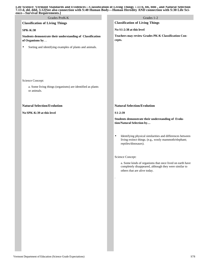| Grades PreK-K                                                                 | Grades 1-2                                                                                                                                        |
|-------------------------------------------------------------------------------|---------------------------------------------------------------------------------------------------------------------------------------------------|
| <b>Classification of Living Things</b>                                        | <b>Classification of Living Things</b>                                                                                                            |
| <b>SPK-K:38</b>                                                               | No S1-2:38 at this level                                                                                                                          |
| Students demonstrate their understanding of Classification<br>of Organisms by | Teachers may review Grades PK-K Classification Con-<br>cepts.                                                                                     |
| Sorting and identifying examples of plants and animals.<br>$\bullet$          |                                                                                                                                                   |
|                                                                               |                                                                                                                                                   |
| Science Concept:                                                              |                                                                                                                                                   |
| a. Some living things (organisms) are identified as plants<br>or animals.     |                                                                                                                                                   |
| <b>Natural Selection/Evolution</b>                                            | <b>Natural Selection/Evolution</b>                                                                                                                |
| No SPK-K:39 at this level                                                     | S1-2:39                                                                                                                                           |
|                                                                               | Students demonstrate their understanding of Evolu-<br>tion/Natural Selection by                                                                   |
|                                                                               | Identifying physical similarities and differences between<br>٠<br>living extinct things. (e.g., wooly mammoth/elephant;<br>reptiles/dinosaurs).   |
|                                                                               | Science Concept:                                                                                                                                  |
|                                                                               | a. Some kinds of organisms that once lived on earth have<br>completely disappeared, although they were similar to<br>others that are alive today. |
|                                                                               |                                                                                                                                                   |
|                                                                               |                                                                                                                                                   |
|                                                                               |                                                                                                                                                   |
|                                                                               |                                                                                                                                                   |
|                                                                               |                                                                                                                                                   |
|                                                                               |                                                                                                                                                   |
|                                                                               |                                                                                                                                                   |
|                                                                               |                                                                                                                                                   |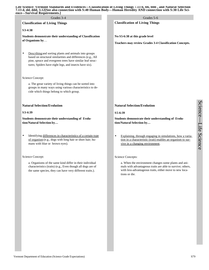### **Life Science: Vermont Standards and Evidences—Classification of Living Things 7.13 b, bb, bbb , and Natural Selection 7.13 d, dd, ddd, 3.12[See also connection with S:40 Human Body—Human Heredity AND connection with S:30 Life Science—Survival Requirements.]**

| Grades 3-4                                                                                                                                                                                                                                  | Grades 5-6                                                                                                                                                                                     |
|---------------------------------------------------------------------------------------------------------------------------------------------------------------------------------------------------------------------------------------------|------------------------------------------------------------------------------------------------------------------------------------------------------------------------------------------------|
| <b>Classification of Living Things</b>                                                                                                                                                                                                      | <b>Classification of Living Things</b>                                                                                                                                                         |
| S3-4:38                                                                                                                                                                                                                                     |                                                                                                                                                                                                |
| Students demonstrate their understanding of Classification<br>of Organisms by                                                                                                                                                               | No S5-6:38 at this grade level                                                                                                                                                                 |
|                                                                                                                                                                                                                                             | Teachers may review Grades 3-4 Classification Concepts.                                                                                                                                        |
| Describing and sorting plants and animals into groups<br>based on structural similarities and differences (e.g., All<br>pine, spruce and evergreen trees have similar leaf struc-<br>tures; Spiders have eight legs, and insects have six). |                                                                                                                                                                                                |
| Science Concept:                                                                                                                                                                                                                            |                                                                                                                                                                                                |
| a. The great variety of living things can be sorted into<br>groups in many ways using various characteristics to de-<br>cide which things belong to which group.                                                                            |                                                                                                                                                                                                |
| <b>Natural Selection/Evolution</b>                                                                                                                                                                                                          | <b>Natural Selection/Evolution</b>                                                                                                                                                             |
| S3-4:39                                                                                                                                                                                                                                     | S5-6:39                                                                                                                                                                                        |
| Students demonstrate their understanding of Evolu-<br>tion/Natural Selection by                                                                                                                                                             | Students demonstrate their understanding of Evolu-<br>tion/Natural Selection by                                                                                                                |
| Identifying differences in characteristics of a certain type<br>of organism (e.g., dogs with long hair or short hair; hu-<br>mans with blue or brown eyes).                                                                                 | Explaining, through engaging in simulations, how a varia-<br>$\bullet$<br>tion in a characteristic (trait) enables an organism to sur-<br>vive in a changing environment.                      |
| Science Concept:                                                                                                                                                                                                                            | Science Concepts:                                                                                                                                                                              |
| a. Organisms of the same kind differ in their individual<br>characteristics (traits) (e.g., Even though all dogs are of<br>the same species, they can have very different traits.).                                                         | a. When the environment changes some plants and ani-<br>mals with advantageous traits are able to survive; others,<br>with less-advantageous traits, either move to new loca-<br>tions or die. |
|                                                                                                                                                                                                                                             |                                                                                                                                                                                                |
|                                                                                                                                                                                                                                             |                                                                                                                                                                                                |
|                                                                                                                                                                                                                                             |                                                                                                                                                                                                |
|                                                                                                                                                                                                                                             |                                                                                                                                                                                                |
|                                                                                                                                                                                                                                             |                                                                                                                                                                                                |
|                                                                                                                                                                                                                                             |                                                                                                                                                                                                |

Science

 $\overline{\phantom{a}}$ 

Life Science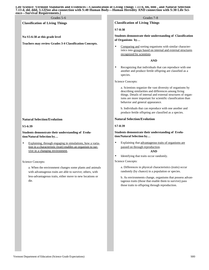### **Life Science: Vermont Standards and Evidences—Classification of Living Things 7.13 b, bb, bbb , and Natural Selection 7.13 d, dd, ddd, 3.12[See also connection with S:40 Human Body—Human Heredity AND connection with S:30 Life Science—Survival Requirements.]**

**Classification of Living Things**

**No S5-6:38 at this grade level**

**Teachers may review Grades 3-4 Classification Concepts.**

# **Natural Selection/Evolution**

**S5-6:39**

**Students demonstrate their understanding of Evolution/Natural Selection by…**

Explaining, through engaging in simulations, how a variation in a characteristic (trait) enables an organism to survive in a changing environment.

# Science Concepts:

a. When the environment changes some plants and animals with advantageous traits are able to survive; others, with less-advantageous traits, either move to new locations or die.

# Grades 5-6 Grades 7-8

**Classification of Living Things**

# **S7-8:38**

**Students demonstrate their understanding of Classification of Organisms by…** 

Comparing and sorting organisms with similar characteristics into groups based on internal and external structures recognized by scientists.

# **AND**

• Recognizing that individuals that can reproduce with one another and produce fertile offspring are classified as a species.

Science Concepts:

a. Scientists organize the vast diversity of organisms by describing similarities and differences among living things. Details of internal and external structures of organisms are more important for scientific classification than behavior and general appearance.

b. Individuals that can reproduce with one another and produce fertile offspring are classified as a species.

# **Natural Selection/Evolution**

# **S7-8:39**

**Students demonstrate their understanding of Evolution/Natural Selection by…**

• Explaining that advantageous traits of organisms are passed on through reproduction.

# **AND**

• Identifying that traits occur randomly.

Science Concepts:

a. Differences in physical characteristics (traits) occur randomly (by chance) in a population or species.

b. As environments change, organisms that possess advantageous traits (those that enable them to survive) pass those traits to offspring through reproduction.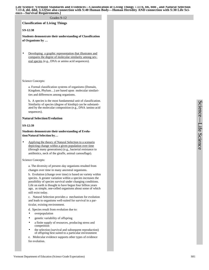**Life Science: Vermont Standards and Evidences—Classification of Living Things 7.13 b, bb, bbb , and Natural Selection 7.13 d, dd, ddd, 3.12[See also connection with S:40 Human Body—Human Heredity AND connection with S:30 Life Science—Survival Requirements.]**

### Grades 9-12

**Classification of Living Things**

### **S9-12:38**

**Students demonstrate their understanding of Classification of Organisms by …**

Developing a graphic representation that illustrates and compares the degree of molecular similarity among several species (e.g., DNA or amino acid sequences).

Science Concepts:

a. Formal classification systems of organisms (Domain, Kingdom, Phylum…) are based upon molecular similarities and differences among organisms.

b**.** A species is the most fundamental unit of classification. Similarity of species (degree of kinship) can be substantiated by the molecular composition (e.g., DNA /amino acid sequences).

# **Natural Selection/Evolution**

# **S9-12:39**

**Students demonstrate their understanding of Evolution/Natural Selection by…**

Applying the theory of Natural Selection to a scenario depicting change within a given population over time (through many generations) (e.g., bacterial resistance to antibiotics, neck of the giraffe, animal camouflage).

### Science Concepts:

a. The diversity of present-day organisms resulted from changes over time in many ancestral organisms.

b. Evolution (change over time) is based on variety within species. A greater variation within a species increases the possibility of species survival under changing conditions. Life on earth is thought to have begun four billion years ago, as simple, one-celled organisms about some of which still exist today.

c. Natural Selection provides a mechanism for evolution and leads to organisms well-suited for survival in a particular, existing environment.

- d. Species result from evolution due to:
- overpopulation
- genetic variability of offspring
- a finite supply of resources, producing stress and competition
- the selection (survival and subsequent reproduction) of offspring best suited to a particular environment

e. Molecular evidence supports other types of evidence for evolution.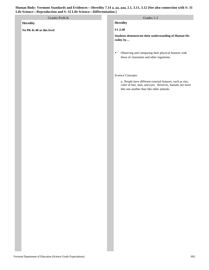# **Human Body: Vermont Standards and Evidences—Heredity 7.14 a, aa, aaa, 2.1, 3.11, 3.12 [See also connection with S: 31 Life Science—Reproduction and S: 32 Life Science—Differentiation.]**

| Life Science—Reproduction and S: 32 Life Science—Differentiation.] |  |                                                                                                                                                                                        |  |  |
|--------------------------------------------------------------------|--|----------------------------------------------------------------------------------------------------------------------------------------------------------------------------------------|--|--|
| Grades PreK-K                                                      |  | Grades 1-2                                                                                                                                                                             |  |  |
| <b>Heredity</b>                                                    |  | Heredity                                                                                                                                                                               |  |  |
| No PK-K:40 at this level                                           |  | $S1-2:40$                                                                                                                                                                              |  |  |
|                                                                    |  | Students demonstrate their understanding of Human He-<br>redity by                                                                                                                     |  |  |
|                                                                    |  | Observing and comparing their physical features with<br>$\bullet$<br>those of classmates and other organisms.                                                                          |  |  |
|                                                                    |  | Science Concepts:<br>a. People have different external features, such as size,<br>color of hair, skin, and eyes. However, humans are more<br>like one another than like other animals. |  |  |
|                                                                    |  |                                                                                                                                                                                        |  |  |
|                                                                    |  |                                                                                                                                                                                        |  |  |
|                                                                    |  |                                                                                                                                                                                        |  |  |
|                                                                    |  |                                                                                                                                                                                        |  |  |
|                                                                    |  |                                                                                                                                                                                        |  |  |
|                                                                    |  |                                                                                                                                                                                        |  |  |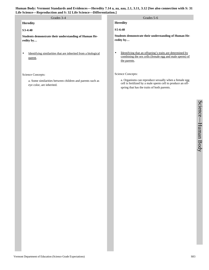# **Human Body: Vermont Standards and Evidences—Heredity 7.14 a, aa, aaa, 2.1, 3.11, 3.12 [See also connection with S: 31 Life Science—Reproduction and S: 32 Life Science—Differentiation.]**

| life Science—Reproduction and S: 32 Life Science—Differentiation.]                     |                                                                                                                                                                    |  |  |
|----------------------------------------------------------------------------------------|--------------------------------------------------------------------------------------------------------------------------------------------------------------------|--|--|
| Grades 3-4                                                                             | Grades 5-6                                                                                                                                                         |  |  |
| <b>Heredity</b>                                                                        | <b>Heredity</b>                                                                                                                                                    |  |  |
| S3-4:40                                                                                | S5-6:40                                                                                                                                                            |  |  |
| Students demonstrate their understanding of Human He-<br>redity by                     | Students demonstrate their understanding of Human He-<br>redity by                                                                                                 |  |  |
| Identifying similarities that are inherited from a biological<br>٠<br>parent.          | Identifying that an offspring's traits are determined by<br>$\bullet$<br>combining the sex cells (female egg and male sperm) of<br>the parents.                    |  |  |
| Science Concepts:                                                                      | Science Concepts:                                                                                                                                                  |  |  |
| a. Some similarities between children and parents such as<br>eye color, are inherited. | a. Organisms can reproduce sexually when a female egg<br>cell is fertilized by a male sperm cell to produce an off-<br>spring that has the traits of both parents. |  |  |
|                                                                                        |                                                                                                                                                                    |  |  |
|                                                                                        |                                                                                                                                                                    |  |  |
|                                                                                        |                                                                                                                                                                    |  |  |
|                                                                                        |                                                                                                                                                                    |  |  |
|                                                                                        |                                                                                                                                                                    |  |  |
|                                                                                        |                                                                                                                                                                    |  |  |
|                                                                                        |                                                                                                                                                                    |  |  |
|                                                                                        |                                                                                                                                                                    |  |  |
|                                                                                        |                                                                                                                                                                    |  |  |

Science

 $\overline{\phantom{a}}$ 

Human Body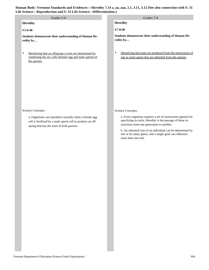| Human Body: Vermont Standards and Evidences—Heredity 7.14 a, aa, aaa, 2.1, 3.11, 3.12 [See also connection with S: 31 |
|-----------------------------------------------------------------------------------------------------------------------|
| Life Science—Reproduction and S: 32 Life Science—Differentiation.]                                                    |

| Grades 5-6                                                                                                                                                                              | Grades 7-8                                                                                                                                                                                                                                                                                                                                     |
|-----------------------------------------------------------------------------------------------------------------------------------------------------------------------------------------|------------------------------------------------------------------------------------------------------------------------------------------------------------------------------------------------------------------------------------------------------------------------------------------------------------------------------------------------|
| <b>Heredity</b>                                                                                                                                                                         | <b>Heredity</b>                                                                                                                                                                                                                                                                                                                                |
| S5-6:40                                                                                                                                                                                 | S7-8:40                                                                                                                                                                                                                                                                                                                                        |
| Students demonstrate their understanding of Human He-<br>redity by                                                                                                                      | Students demonstrate their understanding of Human He-<br>redity by                                                                                                                                                                                                                                                                             |
| Identifying that an offspring's traits are determined by<br>$\bullet$<br>combining the sex cells (female egg and male sperm) of<br>the parents.                                         | Identifying that traits are produced from the instructions of<br>$\bullet$<br>one or more genes that are inherited from the parents.                                                                                                                                                                                                           |
| Science Concepts:<br>a. Organisms can reproduce sexually when a female egg<br>cell is fertilized by a male sperm cell to produce an off-<br>spring that has the traits of both parents. | Science Concepts:<br>a. Every organism requires a set of instructions (genes) for<br>specifying its traits. Heredity is the passage of these in-<br>structions from one generation to another.<br>b. An inherited trait of an individual can be determined by<br>one or by many genes, and a single gene can influence<br>more than one trait. |
|                                                                                                                                                                                         |                                                                                                                                                                                                                                                                                                                                                |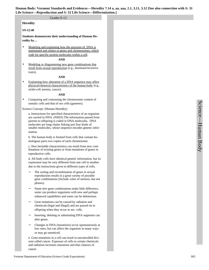### Grades 9-12

### **Heredity**

# **S9-12:40**

**Students demonstrate their understanding of Human Heredity by…**

Modeling and explaining how the structure of DNA is maintained and relates to genes and chromosomes, which code for specific protein molecules within a cell.

### **AND**

Modeling or diagramming new gene combinations that result from sexual reproduction (e.g., dominant/recessive traits).

# **AND**

Explaining how alteration of a DNA sequence may affect physical/chemical characteristics of the human body (e.g., sickle-cell anemia, cancer).

# **AND**

• Comparing and contrasting the chromosome content of somatic cells and that of sex cells (gametes).

# Science Concept: (Human Heredity)

a. Instructions for specified characteristics of an organism are carried in DNA. (NSES) The information passed from parents to offspring is coded in DNA molecules. DNA molecules are long chains linking just four kinds of smaller molecules, whose sequence encodes genetic information.

b. The human body is formed from cells that contain homologous parrs two copies of each chromosome.

c**.** New heritable characteristics can result from new combinations of existing genes or from mutations of genes in reproductive cells.

d. All body cells have identical genetic information, but its expression may be very different from one cell to another due to the instructions given to different types of cells.

- The sorting and recombination of genes in sexual reproduction results in a great variety of possible gene combinations (Include value of meiosis, but not phases).
- Some new gene combinations make little difference, some can produce organisms with new and perhaps enhanced capabilities and some can be deleterious.
- Gene mutations can be caused by radiation and chemicals (legal and illegal) and are passed on to offspring when they occur in sex cells.
- Inserting, deleting or substituting DNA segments can alter genes.
- − Changes in DNA (mutations) occur spontaneously at low rates, but can affect the organism in many ways or may go unnoticed.

e. Gene mutations in a cell can result in uncontrolled division called cancer. Exposure of cells to certain chemicals and radiation increases mutations and thus chances of cancer.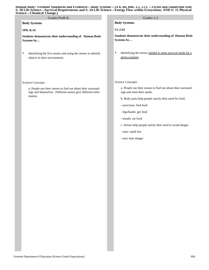### **Human Body: Vermont Standards and Evidences—Body Systems 7.14 b, bb, bbb, 3.5, 3.11, 7.11[See also connection with S: 30 Life Science—Survival Requirements and S: 34 Life Science---Energy Flow within Ecosystems; AND S: 15 Physical Science—Chemical Change.]**

| Grades PreK-K                                                                                                               | Grades 1-2                                                                                 |
|-----------------------------------------------------------------------------------------------------------------------------|--------------------------------------------------------------------------------------------|
| <b>Body Systems</b>                                                                                                         | <b>Body Systems</b>                                                                        |
| <b>SPK-K:41</b>                                                                                                             | S1-2:41                                                                                    |
| Students demonstrate their understanding of Human Body<br>Systems by                                                        | Students demonstrate their understanding of Human Body<br>Systems by                       |
| Identifying the five senses and using the senses to identify<br>$\bullet$<br>objects in their environment.                  | Identifying the senses needed to meet survival needs for a<br>$\bullet$<br>given scenario. |
| Science Concepts:                                                                                                           | Science Concepts:                                                                          |
| a. People use their senses to find out about their surround-<br>ings and themselves. Different senses give different infor- | a. People use their senses to find out about their surround-<br>ings and meet their needs. |
| mation.                                                                                                                     | b. Body parts help people satisfy their need for food.                                     |
|                                                                                                                             | - eyes/nose: find food                                                                     |
|                                                                                                                             | - legs/hands: get food                                                                     |
|                                                                                                                             | - mouth: eat food                                                                          |
|                                                                                                                             | c. Senses help people satisfy their need to avoid danger.                                  |
|                                                                                                                             | - nose: smell fire                                                                         |
|                                                                                                                             | - ears: hear danger                                                                        |
|                                                                                                                             |                                                                                            |
|                                                                                                                             |                                                                                            |
|                                                                                                                             |                                                                                            |
|                                                                                                                             |                                                                                            |
|                                                                                                                             |                                                                                            |
|                                                                                                                             |                                                                                            |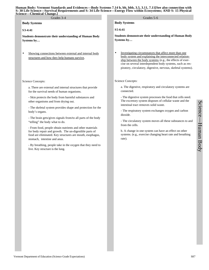# **Human Body: Vermont Standards and Evidences—Body Systems 7.14 b, bb, bbb, 3.5, 3.11, 7.11[See also connection with S: 30 Life Science—Survival Requirements and S: 34 Life Science---Energy Flow within Ecosystems; AND S: 15 Physical**

| Human Body: Vermont Standards and Evidences—Body Systems 7.14 b, bb, bbb, 3.5, 3.11, 7.11[See also connection with<br>S: 30 Life Science—Survival Requirements and S: 34 Life Science---Energy Flow within Ecosystems; AND S: 15 Physical<br><b>Science—Chemical Change.]</b> |                                                                                                                                                                                                                                                                                                                  |
|-------------------------------------------------------------------------------------------------------------------------------------------------------------------------------------------------------------------------------------------------------------------------------|------------------------------------------------------------------------------------------------------------------------------------------------------------------------------------------------------------------------------------------------------------------------------------------------------------------|
| Grades 3-4                                                                                                                                                                                                                                                                    | Grades 5-6                                                                                                                                                                                                                                                                                                       |
| <b>Body Systems</b>                                                                                                                                                                                                                                                           | <b>Body Systems</b>                                                                                                                                                                                                                                                                                              |
| S3-4:41                                                                                                                                                                                                                                                                       | $S$ 5-6:41                                                                                                                                                                                                                                                                                                       |
| <b>Students demonstrate their understanding of Human Body</b><br>Systems by                                                                                                                                                                                                   | <b>Students demonstrate their understanding of Human Body</b><br>Systems by                                                                                                                                                                                                                                      |
| Showing connections between external and internal body<br>٠<br>structures and how they help humans survive,                                                                                                                                                                   | Investigating circumstances that affect more than one<br>٠<br>body system and explaining the interconnected relation-<br>ship between the body systems (e.g., the effects of exer-<br>cise on several interdependent body systems, such as res-<br>piratory, circulatory, digestive, nervous, skeletal systems). |
| Science Concepts:                                                                                                                                                                                                                                                             | Science Concepts:                                                                                                                                                                                                                                                                                                |
| a. There are external and internal structures that provide<br>for the survival needs of human organisms.                                                                                                                                                                      | a. The digestive, respiratory and circulatory systems are<br>connected.                                                                                                                                                                                                                                          |
| - Skin protects the body from harmful substances and<br>other organisms and from drying out.                                                                                                                                                                                  | - The digestive system processes the food that cells need.<br>The excretory system disposes of cellular waste and the<br>intestinal tract removes solid waste.                                                                                                                                                   |
| - The skeletal system provides shape and protection for the<br>body's organs.                                                                                                                                                                                                 | - The respiratory system exchanges oxygen and carbon<br>dioxide.                                                                                                                                                                                                                                                 |
| - The brain gets/gives signals from/to all parts of the body<br>"telling" the body what to do.                                                                                                                                                                                | - The circulatory system moves all these substances to and<br>from the cells.                                                                                                                                                                                                                                    |
| - From food, people obtain nutrients and other materials<br>for body repair and growth. The un-digestible parts of<br>food are eliminated. Key structures are mouth, esophagus,<br>stomach, intestine and anus.                                                               | b. A change in one system can have an effect on other<br>systems. (e.g., exercise changing heart rate and breathing<br>rate).                                                                                                                                                                                    |
| - By breathing, people take in the oxygen that they need to<br>live. Key structure is the lung.                                                                                                                                                                               |                                                                                                                                                                                                                                                                                                                  |
|                                                                                                                                                                                                                                                                               |                                                                                                                                                                                                                                                                                                                  |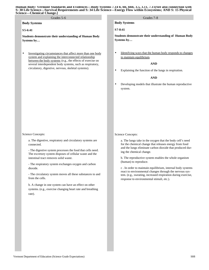### **Human Body: Vermont Standards and Evidences—Body Systems 7.14 b, bb, bbb, 3.5, 3.11, 7.11[See also connection with S: 30 Life Science—Survival Requirements and S: 34 Life Science---Energy Flow within Ecosystems; AND S: 15 Physical Science—Chemical Change.]**

| cience—Chemical Change.]                                                                                                                                                                                                                                                                                                                                                                                                                                                                                                                             |                                                                                                                                                                                                                                                                                                                                                                                                                                                                                                                                                           |
|------------------------------------------------------------------------------------------------------------------------------------------------------------------------------------------------------------------------------------------------------------------------------------------------------------------------------------------------------------------------------------------------------------------------------------------------------------------------------------------------------------------------------------------------------|-----------------------------------------------------------------------------------------------------------------------------------------------------------------------------------------------------------------------------------------------------------------------------------------------------------------------------------------------------------------------------------------------------------------------------------------------------------------------------------------------------------------------------------------------------------|
| Grades 5-6                                                                                                                                                                                                                                                                                                                                                                                                                                                                                                                                           | Grades 7-8                                                                                                                                                                                                                                                                                                                                                                                                                                                                                                                                                |
| <b>Body Systems</b>                                                                                                                                                                                                                                                                                                                                                                                                                                                                                                                                  | <b>Body Systems</b>                                                                                                                                                                                                                                                                                                                                                                                                                                                                                                                                       |
| S5-6:41                                                                                                                                                                                                                                                                                                                                                                                                                                                                                                                                              | S7-8:41                                                                                                                                                                                                                                                                                                                                                                                                                                                                                                                                                   |
| Students demonstrate their understanding of Human Body<br>Systems by                                                                                                                                                                                                                                                                                                                                                                                                                                                                                 | Students demonstrate their understanding of Human Body<br>Systems by                                                                                                                                                                                                                                                                                                                                                                                                                                                                                      |
| Investigating circumstances that affect more than one body<br>٠<br>system and explaining the interconnected relationship<br>between the body systems (e.g., the effects of exercise on<br>several interdependent body systems, such as respiratory,<br>circulatory, digestive, nervous, skeletal systems).                                                                                                                                                                                                                                           | Identifying ways that the human body responds to changes<br>$\bullet$<br>to maintain equilibrium.<br><b>AND</b><br>Explaining the function of the lungs in respiration.<br>$\bullet$<br><b>AND</b><br>Developing models that illustrate the human reproductive<br>$\bullet$<br>system.                                                                                                                                                                                                                                                                    |
| Science Concepts:<br>a. The digestive, respiratory and circulatory systems are<br>connected.<br>- The digestive system processes the food that cells need.<br>The excretory system disposes of cellular waste and the<br>intestinal tract removes solid waste.<br>- The respiratory system exchanges oxygen and carbon<br>dioxide.<br>- The circulatory system moves all these substances to and<br>from the cells.<br>b. A change in one system can have an effect on other<br>systems. (e.g., exercise changing heart rate and breathing<br>rate). | Science Concepts:<br>a. The lungs take in the oxygen that the body cell's need<br>for the chemical change that releases energy from food<br>and the lungs eliminate carbon dioxide that produced dur-<br>ing the chemical change.<br>b. The reproductive system enables the whole organism<br>(human) to reproduce.<br>c. In order to maintain equilibrium, internal body systems<br>react to environmental changes through the nervous sys-<br>tem. (e.g., sweating, increased respiration during exercise,<br>response to environmental stimuli, etc.). |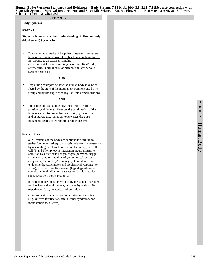**Human Body: Vermont Standards and Evidences—Body Systems 7.14 b, bb, bbb, 3.5, 3.11, 7.11[See also connection with S: 30 Life Science—Survival Requirements and S: 34 Life Science---Energy Flow within Ecosystems; AND S: 15 Physical Science—Chemical Change.]**

### Grades 9-12

**Body Systems**

### **S9-12:41**

**Students demonstrate their understanding of Human Body (biochemical) Systems by…**

Diagramming a feedback loop that illustrates how several human body systems work together to restore homeostasis in response to an external stimulus (environmental/.behavioral) (e.g., exercise, fight/flight, stress, drugs, normal cellular metabolism, any nervous system response).

### **AND**

Explaining examples of how the human body may be affected by the state of the internal environment and by heredity and by life experience (e.g., effects of malnutrition).

### **AND**

Predicting and explaining how the effect of various physiological factors influences the continuation of the human species (reproductive success) (e.g., anorexia and/or steroid use, radiation/toxic wastes/drug use, mutagenic agents and/or improper diet/obesity).

### Science Concepts:

a. All systems of the body are continually working together (communicating) to maintain balance (homeostasis) by responding to internal and external stimuli, (e.g., cellcell (B and T lymphocyte interaction, neurotransmitter secretion by nerve cells); organ-organ (hormones trigger target cells; motor impulses trigger muscles); system (respiratory/circulatory/excretory system interactions, endocrine/digestive/motor and biochemical responses to stress); external stimuli-organism (hypo/hyperthermia, chemical stimuli affect organs/systems/whole organism; sense reception, nerve response)

b. Human behavior is determined by the state of our internal biochemical environment, our heredity and our life experiences (e.g., innate/learned behaviors).

c. Reproduction is necessary for survival of a species. (e.g., *in vitro* fertilization, fetal alcohol syndrome, hormone imbalances, stress).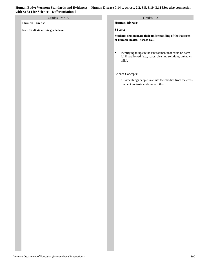# Grades PreK-K Grades 1-2

# **Human Disease**

**No SPK-K:42 at this grade level**

**Human Disease**

**S1-2:42**

**Students demonstrate their understanding of the Patterns of Human Health/Disease by…**

• Identifying things in the environment that could be harmful if swallowed (e.g., soaps, cleaning solutions, unknown pills).

Science Concepts:

a. Some things people take into their bodies from the environment are toxic and can hurt them.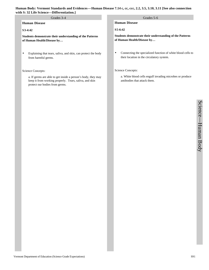# **Human Disease**

# **S3-4:42**

**Students demonstrate their understanding of the Patterns of Human Health/Disease by…**

• Explaining that tears, saliva, and skin, can protect the body from harmful germs.

### Science Concepts:

a. If germs are able to get inside a person's body, they may keep it from working properly. Tears, saliva, and skin protect our bodies from germs.

# Grades 3-4 Grades 5-6

**Human Disease**

**S5-6:42**

**Students demonstrate their understanding of the Patterns of Human Health/Disease by…**

• Connecting the specialized function of white blood cells to their location in the circulatory system.

# Science Concepts:

a. White blood cells engulf invading microbes or produce antibodies that attack them.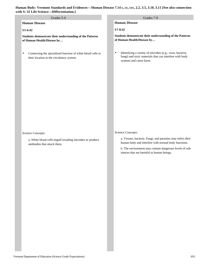| with S: 32 Life Science—Differentiation.]                                                                             |                                                                                                                                                                                                                                                 |  |  |  |
|-----------------------------------------------------------------------------------------------------------------------|-------------------------------------------------------------------------------------------------------------------------------------------------------------------------------------------------------------------------------------------------|--|--|--|
| Grades 5-6                                                                                                            | Grades 7-8                                                                                                                                                                                                                                      |  |  |  |
| <b>Human Disease</b>                                                                                                  | <b>Human Disease</b>                                                                                                                                                                                                                            |  |  |  |
| S5-6:42                                                                                                               | S7-8:42                                                                                                                                                                                                                                         |  |  |  |
| Students demonstrate their understanding of the Patterns<br>of Human Health/Disease by                                | Students demonstrate their understanding of the Patterns<br>of Human Health/Disease by                                                                                                                                                          |  |  |  |
| Connecting the specialized function of white blood cells to<br>$\bullet$<br>their location in the circulatory system. | Identifying a variety of microbes (e.g., virus, bacteria,<br>$\bullet$<br>fungi) and toxic materials that can interfere with body<br>systems and cause harm.                                                                                    |  |  |  |
| Science Concepts:<br>a. White blood cells engulf invading microbes or produce<br>antibodies that attack them.         | Science Concepts:<br>a. Viruses, bacteria. Fungi, and parasites may infect then<br>human body and interfere with normal body functions.<br>b. The environment may contain dangerous levels of sub-<br>stances that are harmful to human beings. |  |  |  |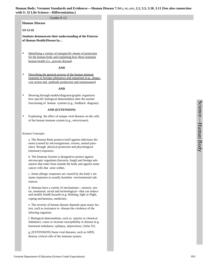### Grades 9-12

**Human Disease**

# **S9-12:42**

**Students demonstrate their understanding of the Patterns of Human Health/Disease by...**

Identifying a variety of nonspecific means of protection for the human body and explaining how these maintain human health (i.e., prevent disease).

# **AND**

Describing the general process of the human immune response to foreign substances and organisms (e.g., phagocyte action and antibody production and maintenance).

### **AND**

• Showing through models/diagrams/graphic organizers how specific biological abnormalities alter the normal functioning of human systems (e.g., feedback diagram).

### **AND (EXTENSION)**

Explaining the effect of unique viral diseases on the cells of the human immune system (e.g., retroviruses).

### Science Concepts:

a. The Human Body protects itself against infectious diseases (caused by microorganisms, viruses, animal parasites) through physical protection and physiological (immune) responses.

b. The Immune System is designed to protect against microscopic organisms (bacteria, fungi) and foreign substances that enter from outside the body and against some cancer cells that arise within.

c. Some allergic responses are caused by the body's immune responses to usually harmless environmental substances.

d. Humans have a variety of mechanisms—sensory, motor, emotional, social and technological—that can reduce and modify health hazards (e.g. blinking, fight or flight, coping mechanisms, medicine).

e. The severity of human disease depends upon many factors, such as resistance to disease the virulence of the infecting organism.

f. Biological abnormalities, such as injuries or chemical imbalance, cause or increase susceptibility to disease (e.g. hormonal imbalance, epilepsy, depression). (Atlas 91)

g. (EXTENSION) Some viral diseases, such as AIDS, destroy critical cells of the immune system.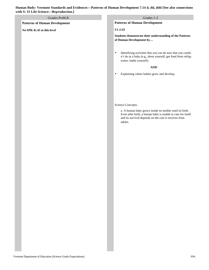| Human Body: Vermont Standards and Evidences—Patterns of Human Development 7.14 d, dd, ddd [See also connections |  |
|-----------------------------------------------------------------------------------------------------------------|--|
| with S: 31 Life Science—Reproduction.]                                                                          |  |

# **Patterns of Human Development No SPK-K:43 at this level Patterns of Human Development S1-2:43 Students demonstrate their understanding of the Patterns of Human Development by…** • Identifying activities that you can do now that you couldn't do as a baby (e.g., dress yourself, get food form refrigerator, bathe yourself). **AND** • Explaining where babies grow and develop. Science Concepts: a. A human baby grows inside its mother until its birth. Even after birth, a human baby is unable to care for itself, and its survival depends on the care it receives from adults. Grades PreK-K Grades 1-2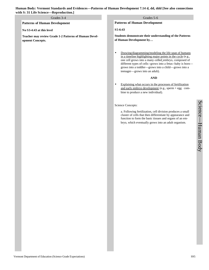# Grades 3-4 Grades 5-6

**Patterns of Human Development**

### **No S3-4:43 at this level**

**Teacher may review Grade 1-2 Patterns of Human Development Concepts.**

# **Patterns of Human Development**

### **S5-6:43**

**Students demonstrate their understanding of the Patterns of Human Development by…**

• Drawing/diagramming/modeling the life span of humans in a timeline highlighting major points in the cycle (e.g., one cell grows into a many-celled embryo, composed of different types of cells--grows into a fetus--baby is born grows into a toddler—grows into a child—grows into a teenager—grows into an adult).

# **AND**

• Explaining what occurs in the processes of fertilization and early embryo development (e.g., sperm + egg combine to produce a new individual).

Science Concepts:

a. Following fertilization, cell division produces a small cluster of cells that then differentiate by appearance and function to form the basic tissues and organs of an embryo, which eventually grows into an adult organism.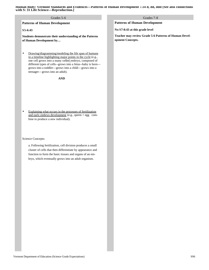**Human Body: Vermont Standards and Evidences—Patterns of Human Development 7.14 d, dd, ddd [See also connections with S: 31 Life Science—Reproduction.]**

### Grades 5-6

**Patterns of Human Development**

# **S5-6:43**

**Students demonstrate their understanding of the Patterns of Human Development by…**

• Drawing/diagramming/modeling the life span of humans in a timeline highlighting major points in the cycle (e.g., one cell grows into a many-celled embryo, composed of different types of cells--grows into a fetus--baby is born grows into a toddler—grows into a child—grows into a teenager—grows into an adult).

**AND**

Explaining what occurs in the processes of fertilization and early embryo development (e.g., sperm + egg combine to produce a new individual).

Science Concepts:

a. Following fertilization, cell division produces a small cluster of cells that then differentiate by appearance and function to form the basic tissues and organs of an embryo, which eventually grows into an adult organism.

**Patterns of Human Development**

**No S7-8:43 at this grade level**

**Teacher may review Grade 5-6 Patterns of Human Development Concepts.**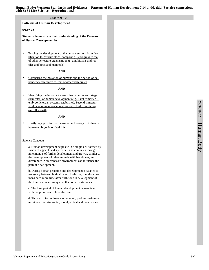**Human Body: Vermont Standards and Evidences—Patterns of Human Development 7.14 d, dd, ddd [See also connections with S: 31 Life Science—Reproduction.]**

### Grades 9-12

### **Patterns of Human Development**

### **S9-12:43**

**Students demonstrate their understanding of the Patterns of Human Development by…**

Tracing the development of the human embryo from fertilization to gastrula stage, comparing its progress to that of other vertebrate organisms (e.g., amphibians and reptiles and birds and mammals).

### **AND**

Comparing the gestation of humans and the period of dependency after birth to that of other vertebrates.

### **AND**

Identifying the important events that occur in each stage (trimester) of human development (e.g., First trimester embryonic organ systems established, Second trimester fetal development/organ maturation, Third trimester overall growth).

### **AND**

• Justifying a position on the use of technology to influence human embryonic or fetal life.

### Science Concepts:

a. Human development begins with a single cell formed by fusion of egg cell and sperm cell and continues through nine months of further development and growth, similar to the development of other animals with backbones; and differences in an embryo's environment can influence the path of development.

b. During human gestation and development a balance is necessary between brain size and birth size, therefore humans need more time after birth for full development of the brain and nervous system than other vertebrates.

c. The long period of human development is associated with the prominent role of the brain.

d. The use of technologies to maintain, prolong sustain or terminate life raise social, moral, ethical and legal issues.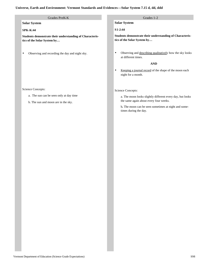# **Universe, Earth and Environment: Vermont Standards and Evidences—Solar System 7.15 d, dd, ddd**

# Grades PreK-K Grades 1-2

# **Solar System**

# **SPK-K:44**

**Students demonstrate their understanding of Characteristics of the Solar System by…**

• Observing and recording the day and night sky.

# Science Concepts:

- a. The sun can be seen only at day time
- b. The sun and moon are in the sky.

**Solar System**

# **S1-2:44**

**Students demonstrate their understanding of Characteristics of the Solar System by…**

• Observing and describing qualitatively how the sky looks at different times.

# **AND**

• Keeping a journal record of the shape of the moon each night for a month.

### Science Concepts:

a. The moon looks slightly different every day, but looks the same again about every four weeks.

b**.** The moon can be seen sometimes at night and sometimes during the day.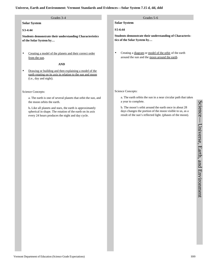# **Universe, Earth and Environment: Vermont Standards and Evidences—Solar System 7.15 d, dd, ddd**

**Solar System**

# **S3-4:44**

**Students demonstrate their understanding Characteristics of the Solar System by…**

Creating a model of the planets and their correct order from the sun.

### **AND**

Drawing or building and then explaining a model of the earth rotating on its axis in relation to the sun and moon (i.e., day and night).

### Science Concepts:

a. The earth is one of several planets that orbit the sun, and the moon orbits the earth.

b**.** Like all planets and stars, the earth is approximately spherical in shape. The rotation of the earth on its axis every 24 hours produces the night and day cycle.

# Grades 3-4 Grades 5-6

**Solar System**

**S5-6:44**

**Students demonstrate their understanding of Characteristics of the Solar System by…**

• Creating a diagram or model of the orbit of the earth around the sun and the moon around the earth.

# Science Concepts:

a. The earth orbits the sun in a near circular path that takes a year to complete.

b. The moon's orbit around the earth once in about 28 days changes the portion of the moon visible to us, as a result of the sun's reflected light. (phases of the moon).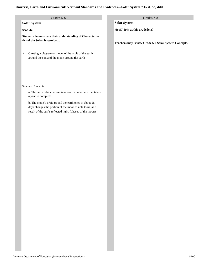### **Universe, Earth and Environment: Vermont Standards and Evidences—Solar System 7.15 d, dd, ddd**

| Grades 5-6 |  |
|------------|--|
|            |  |

**Solar System**

# **S5-6:44**

**Students demonstrate their understanding of Characteristics of the Solar System by…**

• Creating a diagram or model of the orbit of the earth around the sun and the moon around the earth.

Science Concepts:

a. The earth orbits the sun in a near circular path that takes a year to complete.

b. The moon's orbit around the earth once in about 28 days changes the portion of the moon visible to us, as a result of the sun's reflected light. (phases of the moon). Grades 7-8

**Solar System**

**No S7-8:44 at this grade level**

**Teachers may review Grade 5-6 Solar System Concepts.**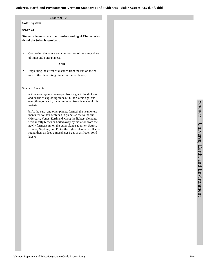# Grades 9-12

**Solar System**

# **S9-12:44**

**Students demonstrate their understanding of Characteristics of the Solar System by…**

• Comparing the nature and composition of the atmosphere of inner and outer planets.

# **AND**

• Explaining the effect of distance from the sun on the nature of the planets (e.g., inner vs. outer planets).

Science Concepts:

a. Our solar system developed from a giant cloud of gas and debris of exploding stars 4.6 billion years ago, and everything on earth, including organisms, is made of this material.

b. As the earth and other planets formed, the heavier elements fell to their centers. On planets close to the sun (Mercury, Venus, Earth and Mars) the lightest elements were mostly blown or boiled away by radiation from the newly formed sun; on the outer planets (Jupiter, Saturn, Uranus, Neptune, and Pluto) the lighter elements still surround them as deep atmospheres f gas or as frozen solid layers.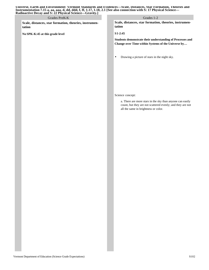| Universe, Earth and Environment: Vermont Standards and Evidences—Scale. Distances. Star Formation. Theories and       |
|-----------------------------------------------------------------------------------------------------------------------|
| Instrumentation 7.15 a, aa, aaa, d, dd, ddd, f, ff, 1.17, 1.18, 2.1 [See also connection with S: 17 Physical Science— |
| <b>Radioactive Decay and S: 22 Physical Science—Gravity.</b>                                                          |

**Scale, distances, star formation, theories, instrumentation**

**No SPK-K:45 at this grade level**

# Grades PreK-K Grades 1-2

**Scale, distances, star formation, theories, instrumentation**

**S1-2:45**

**Students demonstrate their understanding of Processes and Change over Time within Systems of the Universe by…** 

• Drawing a picture of stars in the night sky.

Science concept:

a. There are more stars in the sky than anyone can easily count, but they are not scattered evenly; and they are not all the same in brightness or color.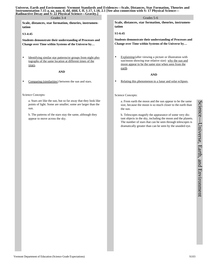**Universe, Earth and Environment: Vermont Standards and Evidences—Scale, Distances, Star Formation, Theories and Instrumentation 7.15 a, aa, aaa, d, dd, ddd, f, ff, 1.17, 1.18, 2.1 [See also connection with S: 17 Physical Science— Radioactive Decay and S: 22 Physical Science—Gravity.]**

**Scale, distances, star formation, theories, instrumentation**

### **S3-4:45**

**Students demonstrate their understanding of Processes and Change over Time within Systems of the Universe by…**

• Identifying similar star patterns/or groups from night photographs of the same location at different times of the years.

### **AND**

Comparing (similarities) between the sun and stars.

Science Concepts:

a. Stars are like the sun, but so far away that they look like points of light. Some are smaller; some are larger than the sun.

b. The patterns of the stars stay the same, although they appear to move across the sky.

Grades 3-4 Grades 5-6

**Scale, distances, star formation, theories, instrumentation**

**S5-6:45**

**Students demonstrate their understanding of Processes and Change over Time within Systems of the Universe by…**

• Explaining (after viewing a picture or illustration with sun/moon showing true relative size) why the sun and moon appear to be the same size when seen from the earth.

### **AND**

• Relating this phenomenon to a lunar and solar eclipses.

### Science Concepts:

a. From earth the moon and the sun appear to be the same size, because the moon is so much closer to the earth than the sun.

b. Telescopes magnify the appearance of some very distant objects in the sky, including the moon and the planets. The number of stars that can be seen through telescopes is dramatically greater than can be seen by the unaided eye.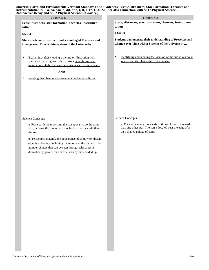|  |                                                        |  |  | Universe, Earth and Environment: Vermont Standards and Evidences—Scale. Distances. Star Formation. Theories and       |  |
|--|--------------------------------------------------------|--|--|-----------------------------------------------------------------------------------------------------------------------|--|
|  |                                                        |  |  | Instrumentation 7.15 a, aa, aaa, d, dd, ddd, f, ff, 1.17, 1.18, 2.1 [See also connection with S: 17 Physical Science— |  |
|  | Radioactive Decay and S. 22 Physical Science—Gravity 1 |  |  |                                                                                                                       |  |

| Grades 5-6                                                                                                                                                                                                                                      | Grades 7-8                                                                                                                                                                   |  |  |  |
|-------------------------------------------------------------------------------------------------------------------------------------------------------------------------------------------------------------------------------------------------|------------------------------------------------------------------------------------------------------------------------------------------------------------------------------|--|--|--|
| Scale, distances, star formation, theories, instrumen-<br>tation                                                                                                                                                                                | Scale, distances, star formation, theories, instrumen-<br>tation<br>$S7-8:45$                                                                                                |  |  |  |
| $S5-6:45$                                                                                                                                                                                                                                       |                                                                                                                                                                              |  |  |  |
| Students demonstrate their understanding of Processes and<br>Change over Time within Systems of the Universe by                                                                                                                                 | Students demonstrate their understanding of Processes and<br>Change over Time within Systems of the Universe by                                                              |  |  |  |
| Explaining (after viewing a picture or illustration with<br>٠<br>sun/moon showing true relative size) why the sun and<br>moon appear to be the same size when seen from the earth.<br><b>AND</b>                                                | Identifying and labeling the location of the sun in our solar<br>٠<br>system and its relationship to the galaxy.                                                             |  |  |  |
| Relating this phenomenon to a lunar and solar eclipses.<br>٠                                                                                                                                                                                    |                                                                                                                                                                              |  |  |  |
| Science Concepts:<br>a. From earth the moon and the sun appear to be the same<br>size, because the moon is so much closer to the earth than<br>the sun.                                                                                         | Science Concepts:<br>a. The sun is many thousands of times closer to the earth<br>than any other star. The sun is located near the edge of a<br>disc-shaped galaxy of stars. |  |  |  |
| b. Telescopes magnify the appearance of some very distant<br>objects in the sky, including the moon and the planets. The<br>number of stars that can be seen through telescopes is<br>dramatically greater than can be seen by the unaided eye. |                                                                                                                                                                              |  |  |  |
|                                                                                                                                                                                                                                                 |                                                                                                                                                                              |  |  |  |
|                                                                                                                                                                                                                                                 |                                                                                                                                                                              |  |  |  |
|                                                                                                                                                                                                                                                 |                                                                                                                                                                              |  |  |  |
|                                                                                                                                                                                                                                                 |                                                                                                                                                                              |  |  |  |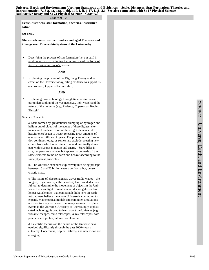### Grades 9-12

**Scale, distances, star formation, theories, instrumentation**

### **S9-12:45**

**Students demonstrate their understanding of Processes and Change over Time within Systems of the Universe by…**

Describing the process of star formation (i.e. our sun) in relation to its size, including the interaction of the force of gravity, fusion and energy release.

### **AND**

Explaining the process of the Big Bang Theory and its effect on the Universe today, citing evidence to support its occurrence (Doppler effect/red shift).

### **AND**

Explaining how technology through time has influenced our understanding of the vastness (i.e., light years) and the nature of the universe (e.g., Ptolemy, Copernicus, Kepler, Einstein).

### Science Concepts:

a. Stars formed by gravitational clumping of hydrogen and helium out of clouds of molecules of these lightest elements until nuclear fusion of these light elements into heavier ones began to occur, releasing great amounts of energy over millions of years. The process of star formation continues today, as some stars explode, creating new clouds from which other stars from and eventually dissipate with changes in matter and energy Stars differ in size, temperature and age, but appear to be made of the same elements found on earth and behave according to the same physical principles.

b.. The Universe expanded explosively into being perhaps between 10 and 20 billion years ago from a hot, dense, chaotic mass.

c. The nature of electromagnetic waves (radio waves-- the longest, to gamma rays, the shortest) has provided a useful tool to determine the movement of objects in the Universe. Because light from almost all distant galaxies has longer wavelengths that comparable light here on earth, astronomers believe the whole Universe is continuing to expand. Mathematical models and computer simulations are used to study evidence from many sources to explain events in the Universe. A variety of increasingly sophisticated technology is used to learn about the Universe (e.g., visual telescopes, radio telescopes, X-ray telescopes, computers, space probes, atomic accelerators.

d. Scientific theories on the nature of the Universe have evolved significantly through the past 2000+ years (Ptolemy, Copernicus, Kepler, Galileo), and new views are emerging.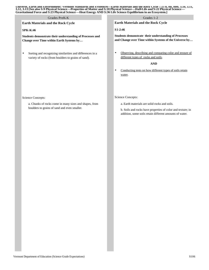Universe, Earth and Environment: Vermont Standards and Evidences—Earth Materials and the Kock Uycle 7.15 b, bb, bbb, 5.10, 5.11,<br>3.12, 3.13 [See also S:9 Physical Science—Properties of Matter and S:18 Physical Science—Half **Gravitational Force and S:23 Physical Science—Heat Energy AND S:36 Life Science Equilibrium in an Ecosystem.]**

# **Earth Materials and the Rock Cycle** Grades PreK-K Grades 1-2

# **SPK-K:46**

**Students demonstrate their understanding of Processes and Change over Time within Earth Systems by…**

• Sorting and recognizing similarities and differences in a variety of rocks (from boulders to grains of sand).

**Earth Materials and the Rock Cycle**

**S1-2:46**

**Students demonstrate their understanding of Processes and Change over Time within Systems of the Universe by…**

• Observing, describing and comparing color and texture of different types of rocks and soils.

# **AND**

• Conducting tests on how different types of soils retain water.

Science Concepts:

a. Earth materials are solid rocks and soils.

b. Soils and rocks have properties of color and texture; in addition, some soils retain different amounts of water.

Science Concepts:

a. Chunks of rocks come in many sizes and shapes, from boulders to grains of sand and even smaller.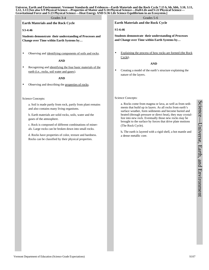### Grades 3-4 Grades 3-6

**Earth Materials and the Rock Cycle**

#### **S3-4:46**

**Students demonstrate their understanding of Processes and Change over Time within Earth Systems by…** 

Observing and identifying components of soils and rocks.

# **AND**

Recognizing and identifying the four basic materials of the earth (i.e., rocks, soil water and gases).

# **AND**

Observing and describing the properties of rocks.

### Science Concepts:

a. Soil is made partly from rock, partly from plant remains and also contains many living organisms.

b. Earth materials are solid rocks, soils, water and the gases of the atmosphere.

c. Rock is composed of different combinations of minerals. Large rocks can be broken down into small rocks.

d. Rocks have properties of color, texture and hardness. Rocks can be classified by their physical properties.

**Earth Materials and the Rock Cycle**

# **S5-6:46**

**Students demonstrate their understanding of Processes and Change over Time within Earth Systems by…**

• Explaining the process of how rocks are formed (the Rock Cycle).

### **AND**

• Creating a model of the earth's structure explaining the nature of the layers.

### Science Concepts:

a. Rocks come from magma or lava, as well as from sediments that build up in layers. As all rocks from earth's surface weather, form sediments and become buried and heated (through pressure or direct heat), they may crystallize into new rock. Eventually those new rocks may be brought to the surface by forces that drive plate motions (The Rock Cycle).

b**.** The earth is layered with a rigid shell, a hot mantle and a dense metallic core.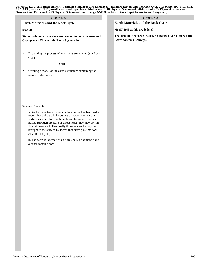Universe, Earth and Environment: Vermont Standards and Evidences—Earth Materials and the Kock Uycle 7.15 b, bb, bbb, 5.10, 5.11,<br>3.12, 3.13 [See also S:9 Physical Science—Properties of Matter and S:18 Physical Science—Half **Gravitational Force and S:23 Physical Science—Heat Energy AND S:36 Life Science Equilibrium in an Ecosystem.]**

| Grades 5-6                                                                                                                                                                                                                                                                                                                                                                                                                                                                                            | Grades 7-8                                                                              |
|-------------------------------------------------------------------------------------------------------------------------------------------------------------------------------------------------------------------------------------------------------------------------------------------------------------------------------------------------------------------------------------------------------------------------------------------------------------------------------------------------------|-----------------------------------------------------------------------------------------|
| Earth Materials and the Rock Cycle                                                                                                                                                                                                                                                                                                                                                                                                                                                                    | Earth Materials and the Rock Cycle                                                      |
| S5-6:46                                                                                                                                                                                                                                                                                                                                                                                                                                                                                               | No S7-8:46 at this grade level                                                          |
| Students demonstrate their understanding of Processes and<br>Change over Time within Earth Systems by                                                                                                                                                                                                                                                                                                                                                                                                 | Teachers may review Grade 5-6 Change Over Time within<br><b>Earth Systems Concepts.</b> |
| Explaining the process of how rocks are formed (the Rock<br>٠<br>Cycle).                                                                                                                                                                                                                                                                                                                                                                                                                              |                                                                                         |
| <b>AND</b><br>Creating a model of the earth's structure explaining the<br>٠<br>nature of the layers.                                                                                                                                                                                                                                                                                                                                                                                                  |                                                                                         |
| Science Concepts:<br>a. Rocks come from magma or lava, as well as from sedi-<br>ments that build up in layers. As all rocks from earth's<br>surface weather, form sediments and become buried and<br>heated (through pressure or direct heat), they may crystal-<br>lize into new rock. Eventually those new rocks may be<br>brought to the surface by forces that drive plate motions<br>(The Rock Cycle).<br>b. The earth is layered with a rigid shell, a hot mantle and<br>a dense metallic core. |                                                                                         |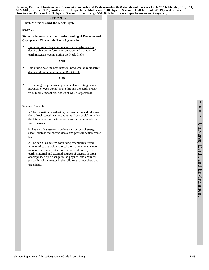Universe, Earth and Environment: Vermont Standards and Evidences—Earth Materials and the Rock Cycle 7.15 b, bb, bbb, 3.10, 3.11,<br>3.12, 3.13 [See also S:9 Physical Science—Properties of Matter and S:18 Physical Science—Half **Gravitational Force and S:23 Physical Science—Heat Energy AND S:36 Life Science Equilibrium in an Ecosystem.]**

#### Grades 9-12

#### **Earth Materials and the Rock Cycle**

#### **S9-12:46**

**Students demonstrate their understanding of Processes and Change over Time within Earth Systems by…**

• Investigating and explaining evidence illustrating that despite changes in form, conservation in the amount of earth materials occurs during the Rock Cycle.

#### **AND**

• Explaining how the heat (energy) produced by radioactive decay and pressure affects the Rock Cycle.

#### **AND**

• Explaining the processes by which elements (e.g., carbon, nitrogen, oxygen atoms) move through the earth's reservoirs (soil, atmosphere, bodies of water, organisms).

#### Science Concepts:

a. The formation, weathering, sedimentation and reformation of rock constitutes a continuing "rock cycle" in which the total amount of material remains the same, while its form changes.

b. The earth's systems have internal sources of energy (heat), such as radioactive decay and pressure which create heat**.** 

c. The earth is a system containing essentially a fixed amount of each stable chemical atom or element. Movement of this matter between reservoirs, driven by the earth's internal and external sources of energy, is often accomplished by a change in the physical and chemical properties of the matter in the solid earth atmosphere and organisms.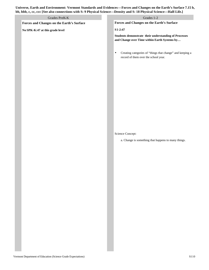# **Universe, Earth and Environment: Vermont Standards and Evidences—Forces and Changes on the Earth's Surface 7.15 b, bb, bbb, c, cc, ccc [See also connections with S: 9 Physical Science—Density and S: 18 Physical Science—Half-Life.]**

| Grades PreK-K                             | Grades 1-2                                                                                                     |
|-------------------------------------------|----------------------------------------------------------------------------------------------------------------|
| Forces and Changes on the Earth's Surface | Forces and Changes on the Earth's Surface                                                                      |
| No SPK-K:47 at this grade level           | $S1-2:47$                                                                                                      |
|                                           | Students demonstrate their understanding of Processes<br>and Change over Time within Earth Systems by          |
|                                           | Creating categories of "things that change" and keeping a<br>$\bullet$<br>record of them over the school year. |
|                                           |                                                                                                                |
|                                           |                                                                                                                |
|                                           |                                                                                                                |
|                                           |                                                                                                                |
|                                           | Science Concept:<br>a. Change is something that happens to many things.                                        |
|                                           |                                                                                                                |
|                                           |                                                                                                                |
|                                           |                                                                                                                |
|                                           |                                                                                                                |
|                                           |                                                                                                                |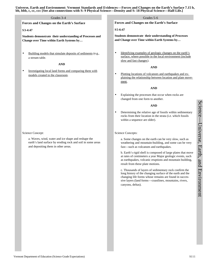# **Forces and Changes on the Earth's Surface AND Forces and Changes on the Earth's Surface S5-6:47 Students demonstrate their understanding of Processes and Change over Time within Earth Systems by…** • Identifying examples of geologic changes on the earth's surface, where possible in the local environment (include slow and fast changes). **AND** • Plotting locations of volcanoes and earthquakes and explaining the relationship between location and plate movement. **AND** • Explaining the processes that occur when rocks are changed from one form to another. **AND** • Determining the relative age of fossils within sedimentary rocks from their location in the strata (i.e. which fossils within a sequence are older). Grades 3-4 Grades 3-6

Science Concepts:

a. Some changes on the earth can be very slow, such as weathering and mountain-building, and some can be very fast—such as volcanoes and earthquakes.

b. Earth's rigid shell is composed of large plates that move at rates of centimeters a year Major geologic events, such as earthquakes, volcanic eruptions and mountain building, result from these plate motions.

c. Thousands of layers of sedimentary rock confirm the long history of the changing surface of the earth and the changing life forms whose remains are found in successive layers (land forms—coastlines, mountains, rivers, canyons, deltas).

# **S3-4:47**

**Students demonstrate their understanding of Processes and Change over Time within Earth Systems by…**

- Building models that simulate deposits of sediments (e.g., a stream table.
- Investigating local land forms and comparing them with models created in the classroom.

Science Concept:

a. Waves, wind, water and ice shape and reshape the earth's land surface by eroding rock and soil in some areas and depositing them in other areas.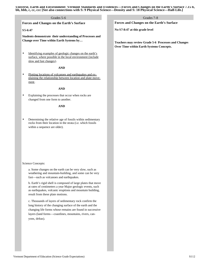**Universe, Earth and Environment: Vermont Standards and Evidences—Forces and Changes on the Earth's Surface 7.15 b, bb, bbb, c, cc, ccc [See also connections with S: 9 Physical Science—Density and S: 18 Physical Science—Half-Life.]**

#### Grades 7-8 **Forces and Changes on the Earth's Surface S5-6:47 Forces and Changes on the Earth's Surface No S7-8:47 at this grade level** Grades 5-6

**Students demonstrate their understanding of Processes and Change over Time within Earth Systems by…**

Identifying examples of geologic changes on the earth's surface, where possible in the local environment (include slow and fast changes).

#### **AND**

Plotting locations of volcanoes and earthquakes and explaining the relationship between location and plate movement.

# **AND**

Explaining the processes that occur when rocks are changed from one form to another.

#### **AND**

• Determining the relative age of fossils within sedimentary rocks from their location in the strata (i.e. which fossils within a sequence are older).

Science Concepts:

a. Some changes on the earth can be very slow, such as weathering and mountain-building, and some can be very fast—such as volcanoes and earthquakes.

b. Earth's rigid shell is composed of large plates that move at rates of centimeters a year Major geologic events, such as earthquakes, volcanic eruptions and mountain building, result from these plate motions.

c. Thousands of layers of sedimentary rock confirm the long history of the changing surface of the earth and the changing life forms whose remains are found in successive layers (land forms—coastlines, mountains, rivers, canyons, deltas).

**Teachers may review Grade 5-6 Processes and Changes Over Time within Earth Systems Concepts.**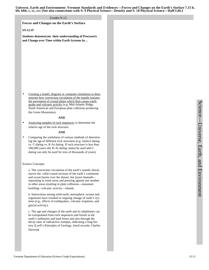**Universe, Earth and Environment: Vermont Standards and Evidences—Forces and Changes on the Earth's Surface 7.15 b, bb, bbb, c, cc, ccc [See also connections with S: 9 Physical Science—Density and S: 18 Physical Science—Half-Life.]**

#### Grades 9-12

**Forces and Changes on the Earth's Surface**

#### **S9-12:47**

**Students demonstrate their understanding of Processe1s and Change over Time within Earth Systems by…**

• Creating a model, diagram or computer simulation to demonstrate how convection circulation of the mantle initiates the movement of crustal plates which then causes earthquake and volcanic activity (e.g. Mid-Atlantic Ridge, North American and European plate collisions producing the Green Mountains).

#### **AND**

• Analyzing samples of rock sequences to determine the relative age of the rock structure.

#### **AND**

• Comparing the usefulness of various methods of determining the age of different rock structures (e.g. relative dating vs. C-dating vs. K-Ar dating. If rock structure is less than 500,000 years old, K-Ar dating cannot be used and Cdating can only be used for tens of thousands of years).

#### Science Concepts:

a. The convection circulation of the earth's mantle slowly moves the solid crustal sections of the earth's continents and ocean basins over the denser, hot layers beneath separating in some areas and pressing against one another in other areas resulting in plate collisions—mountain building—volcanic activity—islands.

b. Interactions among solid earth, atmosphere, oceans and organisms have resulted in ongoing change of earth's systems (e.g., effects of earthquakes, volcanic eruptions, and glacial activity).

c. The age and changes of the earth and its inhabitants can be extrapolated from rock sequences and fossils in the earth's sediments and land forms and also through the decay rates of radioactive isotopes, indicating a long history (Lyell's Principles of Geology, fossil records, Charles Darwin**).**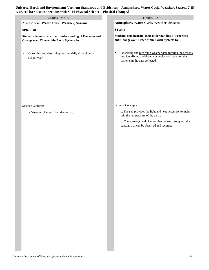**Universe, Earth and Environment: Vermont Standards and Evidences—Atmosphere, Water Cycle, Weather, Seasons 7.15 c, cc, ccc [See also connections with S: 14 Physical Science—Physical Change.]**

| c, cc, ccc [bcc also connections with b. 14 I hysical belence—I hysical Change.]                      |                                                                                                                                                                                                           |
|-------------------------------------------------------------------------------------------------------|-----------------------------------------------------------------------------------------------------------------------------------------------------------------------------------------------------------|
| Grades PreK-K                                                                                         | Grades 1-2                                                                                                                                                                                                |
| Atmosphere, Water Cycle, Weather, Seasons                                                             | Atmosphere, Water Cycle, Weather, Seasons                                                                                                                                                                 |
| <b>SPK-K:48</b>                                                                                       | S1-2:48                                                                                                                                                                                                   |
| Students demonstrate their understanding of Processes and<br>Change over Time within Earth Systems by | Students demonstrate their understanding of Processes<br>and Change over Time within Earth Systems by                                                                                                     |
| Observing and describing weather daily throughout a<br>$\bullet$<br>school year.                      | Observing and recording weather data through the seasons<br>$\bullet$<br>and identifying and drawing conclusions based on the<br>patterns in the data collected.                                          |
| Science Concepts:                                                                                     | Science Concepts:                                                                                                                                                                                         |
| a. Weather changes from day to day.                                                                   | a. The sun provides the light and heat necessary to main-<br>tain the temperature of the earth.<br>b. There are cyclical changes that we see throughout the<br>seasons that can be observed and recorded. |
|                                                                                                       |                                                                                                                                                                                                           |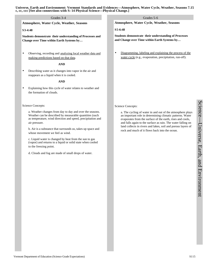# **Atmosphere, Water Cycle, Weather, Seasons S3-4:48 Students demonstrate their understanding of Processes and Change over Time within Earth Systems by…** Observing, recording and analyzing local weather data and making predictions based on that data. **AND**  • Describing water as it changes into vapor in the air and reappears as a liquid when it is cooled. **AND** Explaining how this cycle of water relates to weather and the formation of clouds. Science Concepts: a. Weather changes from day to day and over the seasons. Weather can be described by measurable quantities (such as temperature, wind direction and speed, precipitation and air pressure. b. Air is a substance that surrounds us, takes up space and whose movement we feel as wind. c. Liquid water is changed by heat from the sun to gas (vapor) and returns to a liquid or solid state when cooled to the freezing point. d. Clouds and fog are made of small drops of water. **Atmosphere, Water Cycle, Weather, Seasons S5-6:48 Students demonstrate their understanding of Processes and Change over Time within Earth Systems by…**  • Diagramming, labeling and explaining the process of the water cycle (e.g., evaporation, precipitation, run-off). Science Concepts: a. The cycling of water in and out of the atmosphere plays an important role in determining climatic patterns. Water evaporates from the surface of the earth, rises and cools, and falls again to the surface as rain. The water falling on land collects in rivers and lakes, soil and porous layers of rock and much of it flows back into the ocean. Grades 3-4 Grades 5-6 **Universe, Earth and Environment: Vermont Standards and Evidences—Atmosphere, Water Cycle, Weather, Seasons 7.15**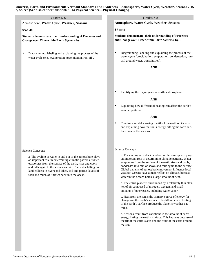**Universe, Earth and Environment: Vermont Standards and Evidences—Atmosphere, Water Cycle, Weather, Seasons 7.15 c, cc, ccc [See also connections with S: 14 Physical Science—Physical Change.]**

# Grades 7-8 **Atmosphere, Water Cycle, Weather, Seasons S5-6:48 Students demonstrate their understanding of Processes and Change over Time within Earth Systems by…**  • Diagramming, labeling and explaining the process of the water cycle (e.g., evaporation, precipitation, run-off). Science Concepts: a. The cycling of water in and out of the atmosphere plays an important role in determining climatic patterns. Water evaporates from the surface of the earth, rises and cools, and falls again to the surface as rain. The water falling on land collects in rivers and lakes, soil and porous layers of rock and much of it flows back into the ocean. **Atmosphere, Water Cycle, Weather, Seasons S7-8:48 Students demonstrate their understanding of Processes and Change over Time within Earth Systems by…** • Diagramming, labeling and explaining the process of the water cycle (precipitation, evaporation, condensation, runoff, ground water, transpiration). **AND** • Identifying the major gases of earth's atmosphere. **AND** • Explaining how differential heating can affect the earth's weather patterns. **AND** • Creating a model showing the tilt of the earth on its axis and explaining how the sun's energy hitting the earth surface creates the seasons. Science Concepts: a. The cycling of water in and out of the atmosphere plays an important role in determining climatic patterns. Water evaporates from the surface of the earth, rises and cools, condenses into rain or snow, and falls again to the surface. Global patterns of atmospheric movement influence local weather. Oceans have a major effect on climate, because water in the oceans holds a large amount of heat. Grades 5-6

b. The entire planet is surrounded by a relatively thin blanket of air composed of nitrogen, oxygen, and small amounts of other gases, including water vapor.

c. Heat from the sun is the primary source of energy for changes on the earth's surface. The differences in heating of the earth's surface produce the planet's weather patterns.

d. Seasons result from variations in the amount of sun's energy hitting the earth's surface. This happens because of the tilt of the earth's axis and the orbit of the earth around the sun.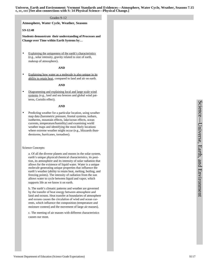#### Grades 9-12

**Atmosphere, Water Cycle, Weather, Seasons**

#### **S9-12:48**

**Students demonstrate their understanding of Processes and Change over Time within Earth Systems by…**

Explaining the uniqueness of the earth's characteristics (e.g., solar intensity, gravity related to size of earth, makeup of atmosphere).

#### **AND**

Explaining how water as a molecule is also unique in its ability to retain heat, compared to land and air on earth.

#### **AND**

• Diagramming and explaining local and large scale wind systems (e.g., land and sea breezes and global wind patterns, Coriolis effect).

#### **AND**

Predicting weather for a particular location, using weather map data (barometric pressure, frontal systems, isobars, isotherms, mountain effects, lake/ocean effects, ocean currents, temperature/humidity) and examining world weather maps and identifying the most likely locations where extreme weather might occur (e.g., blizzards thunderstorms, hurricanes, tornadoes).

#### Science Concepts:

a. Of all the diverse planets and moons in the solar system, earth's unique physical/chemical characteristics, its position, its atmosphere and its intensity of solar radiation that allows for the existence of liquid water. Water is a unique molecule generating unique properties that influence the earth's weather (ability to retain heat, melting, boiling, and freezing points). The intensity of radiation from the sun allows water to cycle between liquid and vapor, which supports life as we know it on earth.

b. The earth's climatic patterns and weather are governed by the transfer of heat energy between atmosphere and land and oceans. Heat transfer at boundaries of atmosphere and oceans causes the circulation of wind and ocean currents, which influence the composition (temperature and moisture content) and the movement of large air masses).

c. The meeting of air masses with different characteristics causes our most.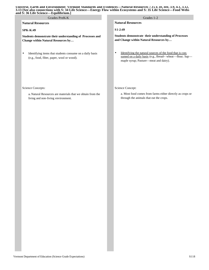#### **Universe, Earth and Environment: Vermont Standards and Evidences—Natural Resources 7.15 e, ee, eee, 3.9, 4.1, 3.12, 3.13 [See also connections with S: 34 Life Science—Energy Flow within Ecosystems and S: 35 Life Science—Food Webs and S: 36 Life Science—Equilibrium.]**

| Grades PreK-K                                                                                                         | Grades 1-2                                                                                                                                                        |
|-----------------------------------------------------------------------------------------------------------------------|-------------------------------------------------------------------------------------------------------------------------------------------------------------------|
| <b>Natural Resources</b>                                                                                              | <b>Natural Resources</b>                                                                                                                                          |
| $SPK-K:49$                                                                                                            | $S1-2:49$                                                                                                                                                         |
| Students demonstrate their understanding of Processes and<br>Change within Natural Resources by                       | Students demonstrate their understanding of Processes<br>and Change within Natural Resources by                                                                   |
| Identifying items that students consume on a daily basis<br>(e.g., food, fiber, paper, wool or wood).                 | Identifying the natural sources of the food that is con-<br>٠<br>sumed on a daily basis (e.g., Bread-- wheat-flour; Sap-<br>maple syrup; Pasture—meat and dairy). |
| Science Concepts:<br>a. Natural Resources are materials that we obtain from the<br>living and non-living environment. | Science Concept:<br>a. Most food comes from farms either directly as crops or<br>through the animals that eat the crops.                                          |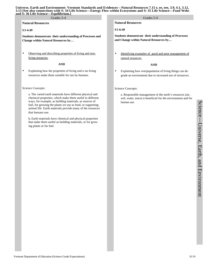#### **Universe, Earth and Environment: Vermont Standards and Evidences—Natural Resources 7.15 e, ee, eee, 3.9, 4.1, 3.12, 3.13 [See also connections with S: 34 Life Science—Energy Flow within Ecosystems and S: 35 Life Science—Food Webs and S: 36 Life Science—Equilibrium.]**

### **Natural Resources**

# **S3-4:49**

**Students demonstrate their understanding of Processes and Change within Natural Resources by…**

Observing and describing properties of living and nonliving resources.

#### **AND**

• Explaining how the properties of living and n on-living resources make them suitable for use by humans.

#### Science Concepts:

a. The varied earth materials have different physical and chemical properties, which make them useful in different ways, for example, as building materials, as sources of fuel, for growing the plants we use as food, or supporting animal life. Earth materials provide many of the resources that humans use.

b**.** Earth materials have chemical and physical properties that make them useful as building materials, or for growing plants or for fuel.

Grades 3-4 Grades 3-6

# **Natural Resources**

**S5-6:49**

**Students demonstrate their understanding of Processes and Change within Natural Resources by…**

• Identifying examples of good and poor management of natural resources.

#### **AND**

• Explaining how overpopulation of living things can degrade an environment due to increased use of resources.

Science Concepts:

a. Responsible management of the earth's resources (air, soil, water, trees) is beneficial for the environment and for human use.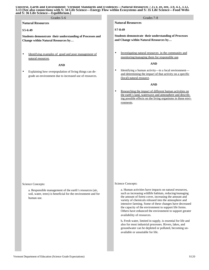#### **Natural Resources**

### **S5-6:49**

**Students demonstrate their understanding of Processes and Change within Natural Resources by…**

Grades 5-6

• Identifying examples of good and poor management of natural resources.

#### **AND**

Explaining how overpopulation of living things can degrade an environment due to increased use of resources.

Science Concepts:

a. Responsible management of the earth's resources (air, soil, water, trees) is beneficial for the environment and for human use.

Grades 7-8 **Natural Resources**

#### **S7-8:49**

**Students demonstrate their understanding of Processes and Change within Natural Resources by…**

• Investigating natural resources in the community and monitoring/managing them for responsible use.

### **AND**

• Identifying a human activity—in a local environment and determining the impact of that activity on a specific (local) natural resource.

#### **AND**

• Researching the impact of different human activities on the earth's land, waterways and atmosphere and describing possible effects on the living organisms in those environments.

#### Science Concepts:

a. Human activities have impacts on natural resources, such as increasing wildlife habitats, reducing/managing the amount of forest cover, increasing the amount and variety of chemicals released into the atmosphere and intensive farming. Some of these changes have decreased the capacity of the environment to support life forms. Others have enhanced the environment to support greater availability of resources.

b**.** Fresh water, limited in supply, is essential for life and also for most industrial processes. Rivers, lakes, and groundwater can be depleted or polluted, becoming unavailable or unsuitable for life.